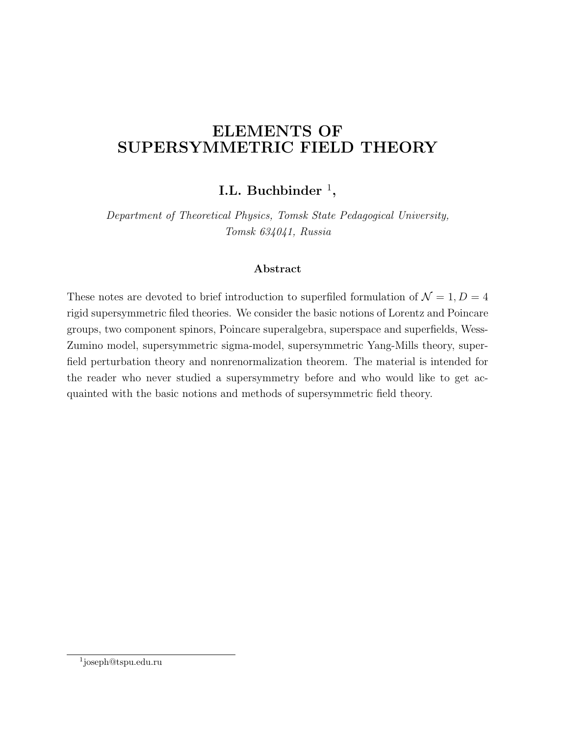# **ELEMENTS OF SUPERSYMMETRIC FIELD THEORY**

### **I.L. Buchbinder** <sup>1</sup> **,**

*Department of Theoretical Physics, Tomsk State Pedagogical University, Tomsk 634041, Russia*

#### **Abstract**

These notes are devoted to brief introduction to superfiled formulation of  $\mathcal{N} = 1, D = 4$ rigid supersymmetric filed theories. We consider the basic notions of Lorentz and Poincare groups, two component spinors, Poincare superalgebra, superspace and superfields, Wess-Zumino model, supersymmetric sigma-model, supersymmetric Yang-Mills theory, superfield perturbation theory and nonrenormalization theorem. The material is intended for the reader who never studied a supersymmetry before and who would like to get acquainted with the basic notions and methods of supersymmetric field theory.

<sup>1</sup> joseph@tspu.edu.ru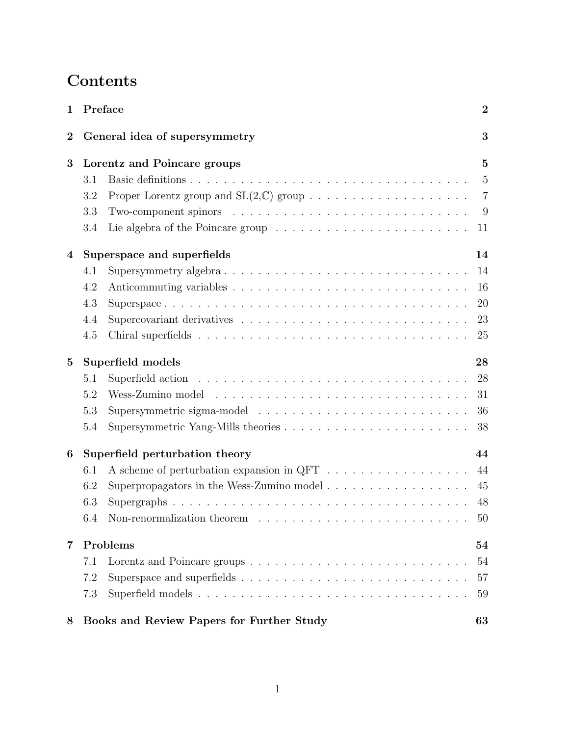# **Contents**

| 1        |                                           | Preface                                   | $\overline{2}$ |
|----------|-------------------------------------------|-------------------------------------------|----------------|
| $\bf{2}$ | General idea of supersymmetry             |                                           | 3              |
| 3        | Lorentz and Poincare groups               |                                           | $\overline{5}$ |
|          | 3.1                                       |                                           | $\overline{5}$ |
|          | 3.2                                       |                                           | $\overline{7}$ |
|          | 3.3                                       |                                           | 9              |
|          | 3.4                                       |                                           | 11             |
| 4        |                                           | Superspace and superfields<br>14          |                |
|          | 4.1                                       | Supersymmetry algebra                     | 14             |
|          | 4.2                                       |                                           | 16             |
|          | 4.3                                       |                                           | 20             |
|          | 4.4                                       |                                           | 23             |
|          | 4.5                                       |                                           | 25             |
| $\bf{5}$ | Superfield models                         |                                           | 28             |
|          | 5.1                                       |                                           | 28             |
|          | 5.2                                       |                                           | 31             |
|          | 5.3                                       |                                           | 36             |
|          | 5.4                                       |                                           | 38             |
| 6        | Superfield perturbation theory            |                                           | 44             |
|          | 6.1                                       |                                           | 44             |
|          | 6.2                                       | Superpropagators in the Wess-Zumino model | 45             |
|          | 6.3                                       |                                           | 48             |
|          | 6.4                                       |                                           | $50\,$         |
| 7        | Problems                                  |                                           | 54             |
|          | 7.1                                       |                                           | 54             |
|          | 7.2                                       |                                           | 57             |
|          | 7.3                                       |                                           | 59             |
| 8        | Books and Review Papers for Further Study |                                           | 63             |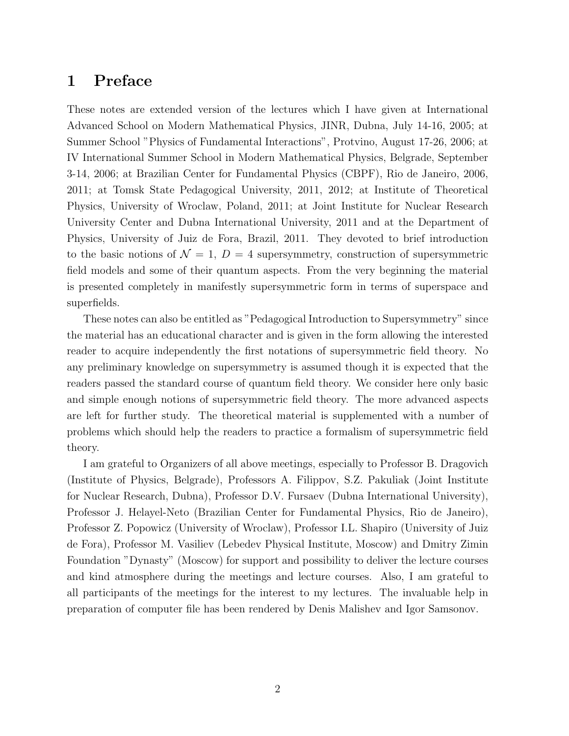## **1 Preface**

These notes are extended version of the lectures which I have given at International Advanced School on Modern Mathematical Physics, JINR, Dubna, July 14-16, 2005; at Summer School "Physics of Fundamental Interactions", Protvino, August 17-26, 2006; at IV International Summer School in Modern Mathematical Physics, Belgrade, September 3-14, 2006; at Brazilian Center for Fundamental Physics (CBPF), Rio de Janeiro, 2006, 2011; at Tomsk State Pedagogical University, 2011, 2012; at Institute of Theoretical Physics, University of Wroclaw, Poland, 2011; at Joint Institute for Nuclear Research University Center and Dubna International University, 2011 and at the Department of Physics, University of Juiz de Fora, Brazil, 2011. They devoted to brief introduction to the basic notions of  $\mathcal{N} = 1$ ,  $D = 4$  supersymmetry, construction of supersymmetric field models and some of their quantum aspects. From the very beginning the material is presented completely in manifestly supersymmetric form in terms of superspace and superfields.

These notes can also be entitled as "Pedagogical Introduction to Supersymmetry" since the material has an educational character and is given in the form allowing the interested reader to acquire independently the first notations of supersymmetric field theory. No any preliminary knowledge on supersymmetry is assumed though it is expected that the readers passed the standard course of quantum field theory. We consider here only basic and simple enough notions of supersymmetric field theory. The more advanced aspects are left for further study. The theoretical material is supplemented with a number of problems which should help the readers to practice a formalism of supersymmetric field theory.

I am grateful to Organizers of all above meetings, especially to Professor B. Dragovich (Institute of Physics, Belgrade), Professors A. Filippov, S.Z. Pakuliak (Joint Institute for Nuclear Research, Dubna), Professor D.V. Fursaev (Dubna International University), Professor J. Helayel-Neto (Brazilian Center for Fundamental Physics, Rio de Janeiro), Professor Z. Popowicz (University of Wroclaw), Professor I.L. Shapiro (University of Juiz de Fora), Professor M. Vasiliev (Lebedev Physical Institute, Moscow) and Dmitry Zimin Foundation "Dynasty" (Moscow) for support and possibility to deliver the lecture courses and kind atmosphere during the meetings and lecture courses. Also, I am grateful to all participants of the meetings for the interest to my lectures. The invaluable help in preparation of computer file has been rendered by Denis Malishev and Igor Samsonov.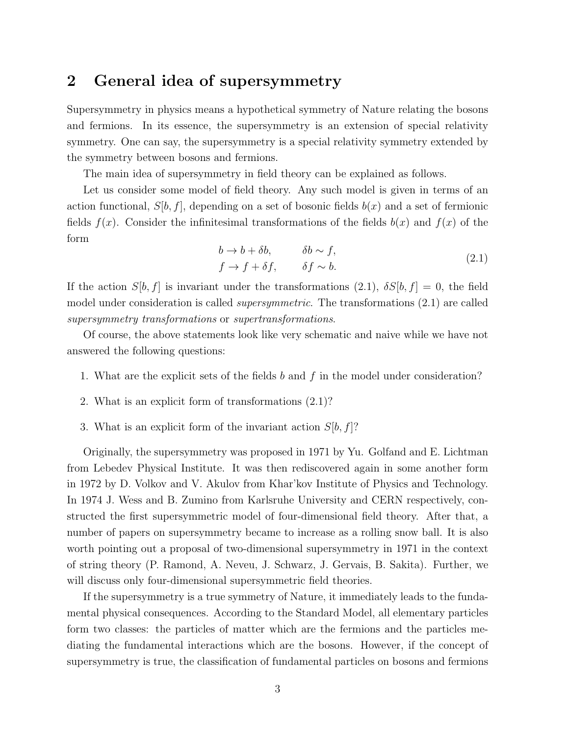### **2 General idea of supersymmetry**

Supersymmetry in physics means a hypothetical symmetry of Nature relating the bosons and fermions. In its essence, the supersymmetry is an extension of special relativity symmetry. One can say, the supersymmetry is a special relativity symmetry extended by the symmetry between bosons and fermions.

The main idea of supersymmetry in field theory can be explained as follows.

Let us consider some model of field theory. Any such model is given in terms of an action functional,  $S[b, f]$ , depending on a set of bosonic fields  $b(x)$  and a set of fermionic fields  $f(x)$ . Consider the infinitesimal transformations of the fields  $b(x)$  and  $f(x)$  of the form

$$
b \to b + \delta b, \qquad \delta b \sim f,
$$
  

$$
f \to f + \delta f, \qquad \delta f \sim b.
$$
 (2.1)

If the action  $S[b, f]$  is invariant under the transformations  $(2.1)$ ,  $\delta S[b, f] = 0$ , the field model under consideration is called *supersymmetric*. The transformations (2.1) are called *supersymmetry transformations* or *supertransformations*.

Of course, the above statements look like very schematic and naive while we have not answered the following questions:

- 1. What are the explicit sets of the fields *b* and *f* in the model under consideration?
- 2. What is an explicit form of transformations (2.1)?
- 3. What is an explicit form of the invariant action *S*[*b, f*]?

Originally, the supersymmetry was proposed in 1971 by Yu. Golfand and E. Lichtman from Lebedev Physical Institute. It was then rediscovered again in some another form in 1972 by D. Volkov and V. Akulov from Khar'kov Institute of Physics and Technology. In 1974 J. Wess and B. Zumino from Karlsruhe University and CERN respectively, constructed the first supersymmetric model of four-dimensional field theory. After that, a number of papers on supersymmetry became to increase as a rolling snow ball. It is also worth pointing out a proposal of two-dimensional supersymmetry in 1971 in the context of string theory (P. Ramond, A. Neveu, J. Schwarz, J. Gervais, B. Sakita). Further, we will discuss only four-dimensional supersymmetric field theories.

If the supersymmetry is a true symmetry of Nature, it immediately leads to the fundamental physical consequences. According to the Standard Model, all elementary particles form two classes: the particles of matter which are the fermions and the particles mediating the fundamental interactions which are the bosons. However, if the concept of supersymmetry is true, the classification of fundamental particles on bosons and fermions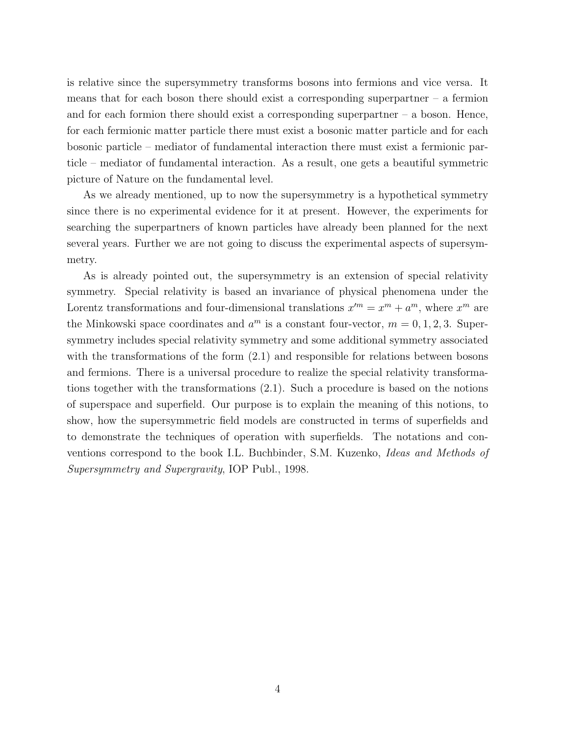is relative since the supersymmetry transforms bosons into fermions and vice versa. It means that for each boson there should exist a corresponding superpartner  $-$  a fermion and for each formion there should exist a corresponding superpartner  $-$  a boson. Hence, for each fermionic matter particle there must exist a bosonic matter particle and for each bosonic particle – mediator of fundamental interaction there must exist a fermionic particle – mediator of fundamental interaction. As a result, one gets a beautiful symmetric picture of Nature on the fundamental level.

As we already mentioned, up to now the supersymmetry is a hypothetical symmetry since there is no experimental evidence for it at present. However, the experiments for searching the superpartners of known particles have already been planned for the next several years. Further we are not going to discuss the experimental aspects of supersymmetry.

As is already pointed out, the supersymmetry is an extension of special relativity symmetry. Special relativity is based an invariance of physical phenomena under the Lorentz transformations and four-dimensional translations  $x^{\prime m} = x^m + a^m$ , where  $x^m$  are the Minkowski space coordinates and  $a^m$  is a constant four-vector,  $m = 0, 1, 2, 3$ . Supersymmetry includes special relativity symmetry and some additional symmetry associated with the transformations of the form  $(2.1)$  and responsible for relations between bosons and fermions. There is a universal procedure to realize the special relativity transformations together with the transformations (2.1). Such a procedure is based on the notions of superspace and superfield. Our purpose is to explain the meaning of this notions, to show, how the supersymmetric field models are constructed in terms of superfields and to demonstrate the techniques of operation with superfields. The notations and conventions correspond to the book I.L. Buchbinder, S.M. Kuzenko, *Ideas and Methods of Supersymmetry and Supergravity*, IOP Publ., 1998.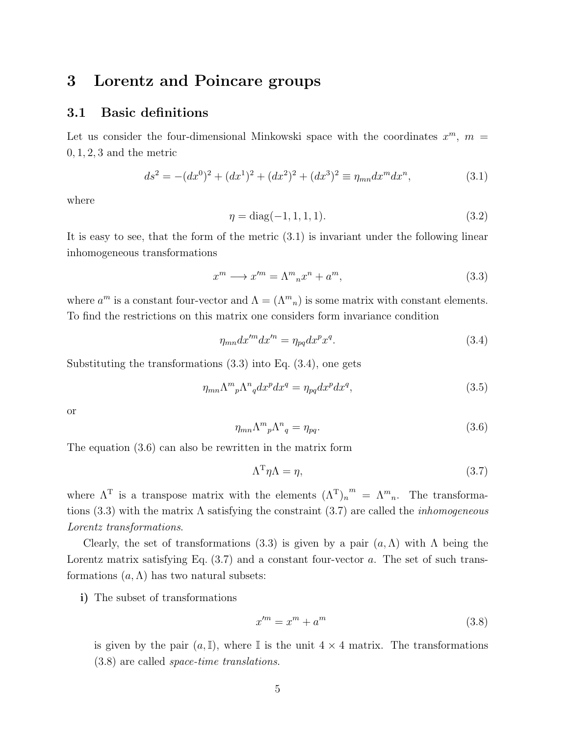### **3 Lorentz and Poincare groups**

### **3.1 Basic definitions**

Let us consider the four-dimensional Minkowski space with the coordinates  $x^m$ ,  $m =$ 0*,* 1*,* 2*,* 3 and the metric

$$
ds^{2} = -(dx^{0})^{2} + (dx^{1})^{2} + (dx^{2})^{2} + (dx^{3})^{2} \equiv \eta_{mn} dx^{m} dx^{n},
$$
\n(3.1)

where

$$
\eta = \text{diag}(-1, 1, 1, 1). \tag{3.2}
$$

It is easy to see, that the form of the metric (3.1) is invariant under the following linear inhomogeneous transformations

$$
x^m \longrightarrow x^{\prime m} = \Lambda^m{}_n x^n + a^m,\tag{3.3}
$$

where  $a^m$  is a constant four-vector and  $\Lambda = (\Lambda^m{}_n)$  is some matrix with constant elements. To find the restrictions on this matrix one considers form invariance condition

$$
\eta_{mn} dx'^m dx'^n = \eta_{pq} dx^p x^q. \tag{3.4}
$$

Substituting the transformations (3.3) into Eq. (3.4), one gets

$$
\eta_{mn}\Lambda^{m}{}_{p}\Lambda^{n}{}_{q}dx^{p}dx^{q} = \eta_{pq}dx^{p}dx^{q},\tag{3.5}
$$

or

$$
\eta_{mn}\Lambda^m{}_p\Lambda^n{}_q = \eta_{pq}.\tag{3.6}
$$

The equation (3.6) can also be rewritten in the matrix form

$$
\Lambda^{\mathrm{T}} \eta \Lambda = \eta,\tag{3.7}
$$

where  $\Lambda^T$  is a transpose matrix with the elements  $(\Lambda^T)_n^m = \Lambda^m{}_n$ . The transformations (3.3) with the matrix Λ satisfying the constraint (3.7) are called the *inhomogeneous Lorentz transformations*.

Clearly, the set of transformations (3.3) is given by a pair  $(a, \Lambda)$  with  $\Lambda$  being the Lorentz matrix satisfying Eq.  $(3.7)$  and a constant four-vector *a*. The set of such transformations  $(a, \Lambda)$  has two natural subsets:

**i)** The subset of transformations

$$
x^{\prime m} = x^m + a^m \tag{3.8}
$$

is given by the pair  $(a, \mathbb{I})$ , where  $\mathbb{I}$  is the unit  $4 \times 4$  matrix. The transformations (3.8) are called *space-time translations*.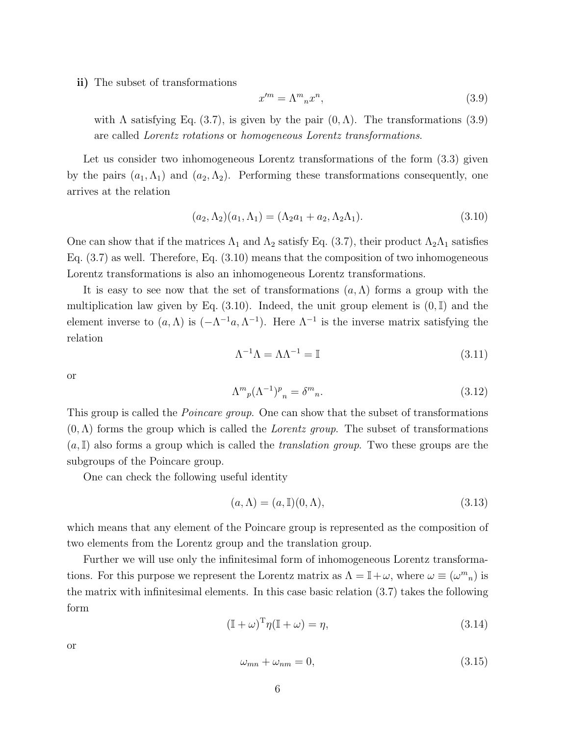**ii)** The subset of transformations

$$
x^{\prime m} = \Lambda^m{}_n x^n,\tag{3.9}
$$

with  $\Lambda$  satisfying Eq. (3.7), is given by the pair  $(0,\Lambda)$ . The transformations (3.9) are called *Lorentz rotations* or *homogeneous Lorentz transformations*.

Let us consider two inhomogeneous Lorentz transformations of the form  $(3.3)$  given by the pairs  $(a_1, \Lambda_1)$  and  $(a_2, \Lambda_2)$ . Performing these transformations consequently, one arrives at the relation

$$
(a_2, \Lambda_2)(a_1, \Lambda_1) = (\Lambda_2 a_1 + a_2, \Lambda_2 \Lambda_1). \tag{3.10}
$$

One can show that if the matrices  $\Lambda_1$  and  $\Lambda_2$  satisfy Eq. (3.7), their product  $\Lambda_2\Lambda_1$  satisfies Eq. (3.7) as well. Therefore, Eq. (3.10) means that the composition of two inhomogeneous Lorentz transformations is also an inhomogeneous Lorentz transformations.

It is easy to see now that the set of transformations (*a,*Λ) forms a group with the multiplication law given by Eq. (3.10). Indeed, the unit group element is (0*,*I) and the element inverse to  $(a, \Lambda)$  is  $(-\Lambda^{-1}a, \Lambda^{-1})$ . Here  $\Lambda^{-1}$  is the inverse matrix satisfying the relation

$$
\Lambda^{-1}\Lambda = \Lambda\Lambda^{-1} = \mathbb{I} \tag{3.11}
$$

or

$$
\Lambda^{m}{}_{p}(\Lambda^{-1})^{p}{}_{n} = \delta^{m}{}_{n}.\tag{3.12}
$$

This group is called the *Poincare group*. One can show that the subset of transformations (0*,*Λ) forms the group which is called the *Lorentz group*. The subset of transformations (*a,*I) also forms a group which is called the *translation group*. Two these groups are the subgroups of the Poincare group.

One can check the following useful identity

$$
(a, \Lambda) = (a, \mathbb{I})(0, \Lambda), \tag{3.13}
$$

which means that any element of the Poincare group is represented as the composition of two elements from the Lorentz group and the translation group.

Further we will use only the infinitesimal form of inhomogeneous Lorentz transformations. For this purpose we represent the Lorentz matrix as  $\Lambda = \mathbb{I} + \omega$ , where  $\omega \equiv (\omega^m{}_n)$  is the matrix with infinitesimal elements. In this case basic relation (3.7) takes the following form

$$
(\mathbb{I} + \omega)^{\mathrm{T}} \eta (\mathbb{I} + \omega) = \eta,\tag{3.14}
$$

or

$$
\omega_{mn} + \omega_{nm} = 0,\tag{3.15}
$$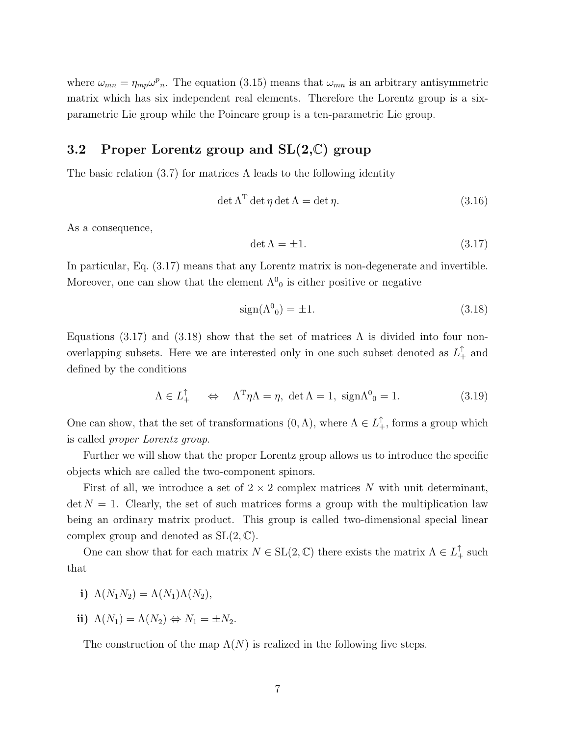where  $\omega_{mn} = \eta_{mp} \omega^p{}_n$ . The equation (3.15) means that  $\omega_{mn}$  is an arbitrary antisymmetric matrix which has six independent real elements. Therefore the Lorentz group is a sixparametric Lie group while the Poincare group is a ten-parametric Lie group.

### **3.2 Proper Lorentz group and SL(2,**C**) group**

The basic relation  $(3.7)$  for matrices  $\Lambda$  leads to the following identity

$$
\det \Lambda^{\mathrm{T}} \det \eta \det \Lambda = \det \eta. \tag{3.16}
$$

As a consequence,

$$
\det \Lambda = \pm 1. \tag{3.17}
$$

In particular, Eq. (3.17) means that any Lorentz matrix is non-degenerate and invertible. Moreover, one can show that the element  $\Lambda^0_0$  is either positive or negative

$$
sign(\Lambda^0_0) = \pm 1. \tag{3.18}
$$

Equations (3.17) and (3.18) show that the set of matrices  $\Lambda$  is divided into four nonoverlapping subsets. Here we are interested only in one such subset denoted as  $L_+^{\dagger}$  and defined by the conditions

$$
\Lambda \in L_+^{\uparrow} \quad \Leftrightarrow \quad \Lambda^{\mathsf{T}} \eta \Lambda = \eta, \, \det \Lambda = 1, \, \operatorname{sign} \Lambda^0{}_0 = 1. \tag{3.19}
$$

One can show, that the set of transformations  $(0, \Lambda)$ , where  $\Lambda \in L_+^{\uparrow}$ , forms a group which is called *proper Lorentz group*.

Further we will show that the proper Lorentz group allows us to introduce the specific objects which are called the two-component spinors.

First of all, we introduce a set of 2 *×* 2 complex matrices *N* with unit determinant,  $\det N = 1$ . Clearly, the set of such matrices forms a group with the multiplication law being an ordinary matrix product. This group is called two-dimensional special linear complex group and denoted as  $SL(2, \mathbb{C})$ .

One can show that for each matrix  $N \in SL(2, \mathbb{C})$  there exists the matrix  $\Lambda \in L^{\uparrow}_+$  such that

i) 
$$
\Lambda(N_1N_2) = \Lambda(N_1)\Lambda(N_2),
$$

$$
ii) \ \Lambda(N_1) = \Lambda(N_2) \Leftrightarrow N_1 = \pm N_2.
$$

The construction of the map  $\Lambda(N)$  is realized in the following five steps.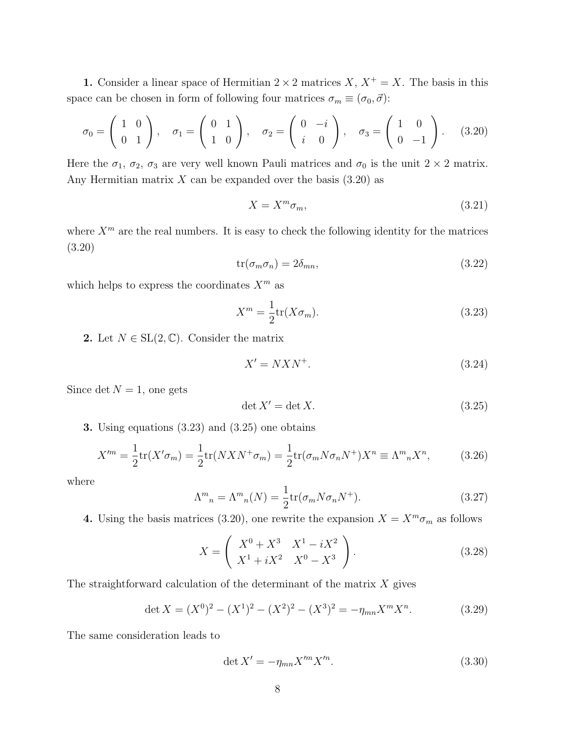**1.** Consider a linear space of Hermitian  $2 \times 2$  matrices *X*,  $X^+ = X$ . The basis in this space can be chosen in form of following four matrices  $\sigma_m \equiv (\sigma_0, \vec{\sigma})$ :

$$
\sigma_0 = \begin{pmatrix} 1 & 0 \\ 0 & 1 \end{pmatrix}, \quad \sigma_1 = \begin{pmatrix} 0 & 1 \\ 1 & 0 \end{pmatrix}, \quad \sigma_2 = \begin{pmatrix} 0 & -i \\ i & 0 \end{pmatrix}, \quad \sigma_3 = \begin{pmatrix} 1 & 0 \\ 0 & -1 \end{pmatrix}.
$$
 (3.20)

Here the  $\sigma_1$ ,  $\sigma_2$ ,  $\sigma_3$  are very well known Pauli matrices and  $\sigma_0$  is the unit  $2 \times 2$  matrix. Any Hermitian matrix  $X$  can be expanded over the basis  $(3.20)$  as

$$
X = X^m \sigma_m,\tag{3.21}
$$

where  $X^m$  are the real numbers. It is easy to check the following identity for the matrices (3.20)

$$
tr(\sigma_m \sigma_n) = 2\delta_{mn},\tag{3.22}
$$

which helps to express the coordinates  $X^m$  as

$$
X^m = \frac{1}{2} \text{tr}(X \sigma_m). \tag{3.23}
$$

2. Let  $N \in SL(2, \mathbb{C})$ . Consider the matrix

$$
X' = N X N^+.
$$
\n
$$
(3.24)
$$

Since  $\det N = 1$ , one gets

$$
\det X' = \det X. \tag{3.25}
$$

**3.** Using equations (3.23) and (3.25) one obtains

$$
X^{\prime m} = \frac{1}{2} \text{tr}(X^{\prime} \sigma_m) = \frac{1}{2} \text{tr}(NXN^{+} \sigma_m) = \frac{1}{2} \text{tr}(\sigma_m N \sigma_n N^{+}) X^n \equiv \Lambda^m{}_n X^n, \tag{3.26}
$$

where

$$
\Lambda^{m}{}_{n} = \Lambda^{m}{}_{n}(N) = \frac{1}{2} \text{tr}(\sigma_{m} N \sigma_{n} N^{+}). \tag{3.27}
$$

**4.** Using the basis matrices (3.20), one rewrite the expansion  $X = X^m \sigma_m$  as follows

$$
X = \left(\begin{array}{cc} X^0 + X^3 & X^1 - iX^2 \\ X^1 + iX^2 & X^0 - X^3 \end{array}\right).
$$
 (3.28)

The straightforward calculation of the determinant of the matrix *X* gives

$$
\det X = (X^0)^2 - (X^1)^2 - (X^2)^2 - (X^3)^2 = -\eta_{mn} X^m X^n.
$$
 (3.29)

The same consideration leads to

$$
\det X' = -\eta_{mn} X'^m X'^n. \tag{3.30}
$$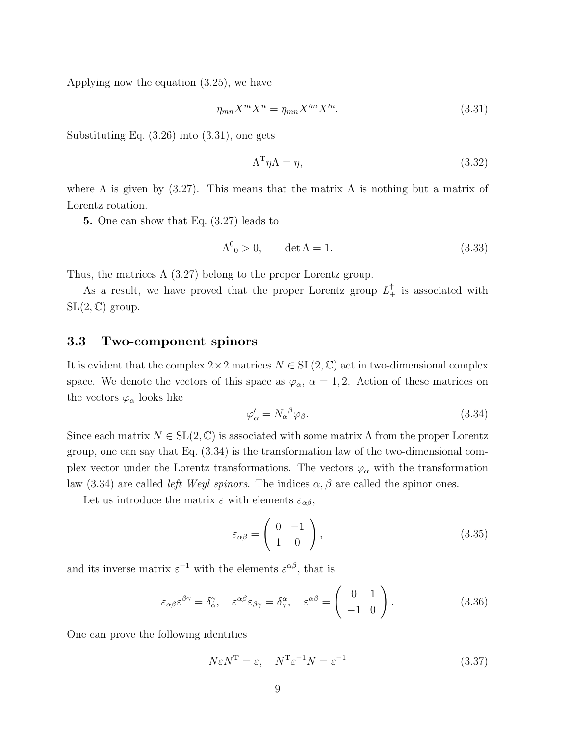Applying now the equation (3.25), we have

$$
\eta_{mn} X^m X^n = \eta_{mn} X'^m X'^n. \tag{3.31}
$$

Substituting Eq. (3.26) into (3.31), one gets

$$
\Lambda^{\mathrm{T}} \eta \Lambda = \eta,\tag{3.32}
$$

where  $\Lambda$  is given by (3.27). This means that the matrix  $\Lambda$  is nothing but a matrix of Lorentz rotation.

**5.** One can show that Eq. (3.27) leads to

$$
\Lambda^0_{\ \,0} > 0, \qquad \det \Lambda = 1. \tag{3.33}
$$

Thus, the matrices  $\Lambda$  (3.27) belong to the proper Lorentz group.

As a result, we have proved that the proper Lorentz group  $L_+^{\dagger}$  is associated with  $SL(2,\mathbb{C})$  group.

#### **3.3 Two-component spinors**

It is evident that the complex  $2 \times 2$  matrices  $N \in SL(2, \mathbb{C})$  act in two-dimensional complex space. We denote the vectors of this space as  $\varphi_{\alpha}$ ,  $\alpha = 1, 2$ . Action of these matrices on the vectors  $\varphi_{\alpha}$  looks like

$$
\varphi'_{\alpha} = N_{\alpha}{}^{\beta} \varphi_{\beta}.
$$
\n(3.34)

Since each matrix  $N \in SL(2, \mathbb{C})$  is associated with some matrix  $\Lambda$  from the proper Lorentz group, one can say that Eq. (3.34) is the transformation law of the two-dimensional complex vector under the Lorentz transformations. The vectors  $\varphi_{\alpha}$  with the transformation law (3.34) are called *left Weyl spinors*. The indices  $\alpha$ ,  $\beta$  are called the spinor ones.

Let us introduce the matrix  $\varepsilon$  with elements  $\varepsilon_{\alpha\beta}$ ,

$$
\varepsilon_{\alpha\beta} = \begin{pmatrix} 0 & -1 \\ 1 & 0 \end{pmatrix},\tag{3.35}
$$

and its inverse matrix  $\varepsilon^{-1}$  with the elements  $\varepsilon^{\alpha\beta}$ , that is

$$
\varepsilon_{\alpha\beta}\varepsilon^{\beta\gamma} = \delta_{\alpha}^{\gamma}, \quad \varepsilon^{\alpha\beta}\varepsilon_{\beta\gamma} = \delta_{\gamma}^{\alpha}, \quad \varepsilon^{\alpha\beta} = \begin{pmatrix} 0 & 1 \\ -1 & 0 \end{pmatrix}.
$$
 (3.36)

One can prove the following identities

$$
N\varepsilon N^{\mathrm{T}} = \varepsilon, \quad N^{\mathrm{T}}\varepsilon^{-1}N = \varepsilon^{-1} \tag{3.37}
$$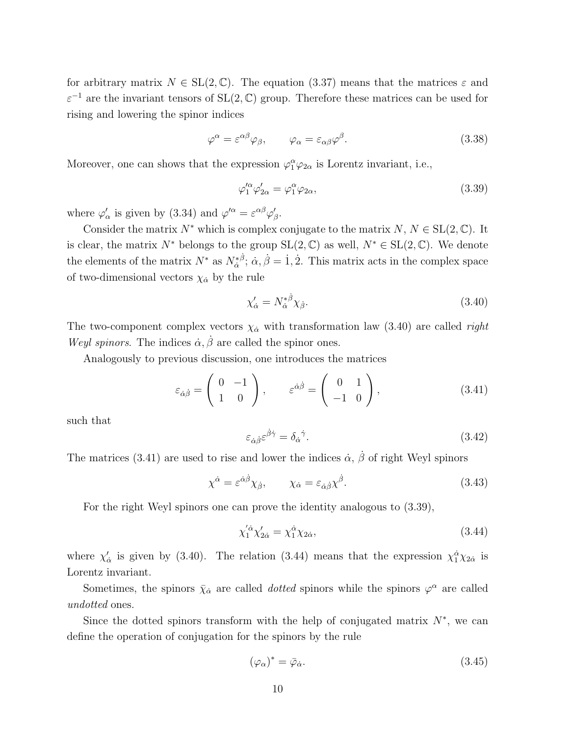for arbitrary matrix  $N \in SL(2, \mathbb{C})$ . The equation (3.37) means that the matrices  $\varepsilon$  and *ε <sup>−</sup>*<sup>1</sup> are the invariant tensors of SL(2*,* C) group. Therefore these matrices can be used for rising and lowering the spinor indices

$$
\varphi^{\alpha} = \varepsilon^{\alpha\beta}\varphi_{\beta}, \qquad \varphi_{\alpha} = \varepsilon_{\alpha\beta}\varphi^{\beta}.
$$
 (3.38)

Moreover, one can shows that the expression  $\varphi_1^{\alpha} \varphi_{2\alpha}$  is Lorentz invariant, i.e.,

$$
\varphi_1^{\prime \alpha} \varphi_{2\alpha}^{\prime} = \varphi_1^{\alpha} \varphi_{2\alpha},\tag{3.39}
$$

where  $\varphi'_{\alpha}$  is given by (3.34) and  $\varphi'^{\alpha} = \varepsilon^{\alpha\beta}\varphi'_{\beta}$ .

Consider the matrix  $N^*$  which is complex conjugate to the matrix  $N, N \in SL(2, \mathbb{C})$ . It is clear, the matrix  $N^*$  belongs to the group  $SL(2,\mathbb{C})$  as well,  $N^* \in SL(2,\mathbb{C})$ . We denote the elements of the matrix  $N^*$  as  $N^*_{\dot{\alpha}}{}^{\dot{\beta}}$ ;  $\dot{\alpha}, \dot{\beta} = 1, 2$ . This matrix acts in the complex space of two-dimensional vectors  $\chi_{\dot{\alpha}}$  by the rule

$$
\chi'_{\dot{\alpha}} = N_{\dot{\alpha}}^{*\dot{\beta}} \chi_{\dot{\beta}}.\tag{3.40}
$$

The two-component complex vectors  $\chi_{\alpha}$  with transformation law (3.40) are called *right Weyl spinors.* The indices  $\dot{\alpha}, \dot{\beta}$  are called the spinor ones.

Analogously to previous discussion, one introduces the matrices

$$
\varepsilon_{\dot{\alpha}\dot{\beta}} = \begin{pmatrix} 0 & -1 \\ 1 & 0 \end{pmatrix}, \qquad \varepsilon^{\dot{\alpha}\dot{\beta}} = \begin{pmatrix} 0 & 1 \\ -1 & 0 \end{pmatrix}, \tag{3.41}
$$

such that

$$
\varepsilon_{\dot{\alpha}\dot{\beta}}\varepsilon^{\dot{\beta}\dot{\gamma}} = \delta_{\dot{\alpha}}{}^{\dot{\gamma}}.\tag{3.42}
$$

The matrices (3.41) are used to rise and lower the indices  $\dot{\alpha}$ ,  $\dot{\beta}$  of right Weyl spinors

$$
\chi^{\dot{\alpha}} = \varepsilon^{\dot{\alpha}\dot{\beta}} \chi_{\dot{\beta}}, \qquad \chi_{\dot{\alpha}} = \varepsilon_{\dot{\alpha}\dot{\beta}} \chi^{\dot{\beta}}.
$$
 (3.43)

For the right Weyl spinors one can prove the identity analogous to (3.39),

$$
\chi_1^{'\dot{\alpha}} \chi_{2\dot{\alpha}}' = \chi_1^{\dot{\alpha}} \chi_{2\dot{\alpha}},\tag{3.44}
$$

where  $\chi'_{\dot{\alpha}}$  is given by (3.40). The relation (3.44) means that the expression  $\chi_1^{\dot{\alpha}}\chi_{2\dot{\alpha}}$  is Lorentz invariant.

Sometimes, the spinors  $\bar{\chi}_{\dot{\alpha}}$  are called *dotted* spinors while the spinors  $\varphi^{\alpha}$  are called *undotted* ones.

Since the dotted spinors transform with the help of conjugated matrix  $N^*$ , we can define the operation of conjugation for the spinors by the rule

$$
(\varphi_{\alpha})^* = \bar{\varphi}_{\dot{\alpha}}.\tag{3.45}
$$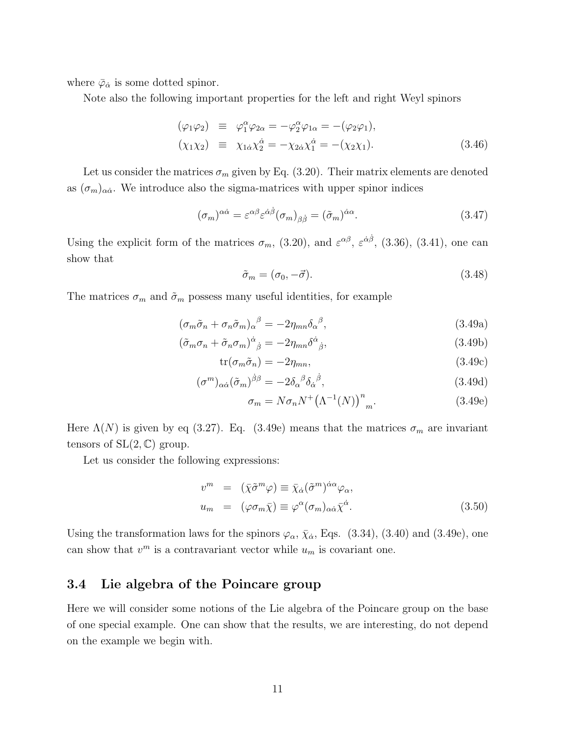where  $\bar{\varphi}_{\dot{\alpha}}$  is some dotted spinor.

Note also the following important properties for the left and right Weyl spinors

$$
(\varphi_1 \varphi_2) \equiv \varphi_1^{\alpha} \varphi_{2\alpha} = -\varphi_2^{\alpha} \varphi_{1\alpha} = -(\varphi_2 \varphi_1),
$$
  
\n
$$
(\chi_1 \chi_2) \equiv \chi_{1\dot{\alpha}} \chi_2^{\dot{\alpha}} = -\chi_{2\dot{\alpha}} \chi_1^{\dot{\alpha}} = -(\chi_2 \chi_1).
$$
\n(3.46)

Let us consider the matrices  $\sigma_m$  given by Eq. (3.20). Their matrix elements are denoted as  $(\sigma_m)_{\alpha\dot{\alpha}}$ . We introduce also the sigma-matrices with upper spinor indices

$$
(\sigma_m)^{\alpha\dot{\alpha}} = \varepsilon^{\alpha\beta} \varepsilon^{\dot{\alpha}\dot{\beta}} (\sigma_m)_{\beta\dot{\beta}} = (\tilde{\sigma}_m)^{\dot{\alpha}\alpha}.
$$
 (3.47)

Using the explicit form of the matrices  $\sigma_m$ , (3.20), and  $\varepsilon^{\alpha\beta}$ ,  $\varepsilon^{\dot{\alpha}\dot{\beta}}$ , (3.36), (3.41), one can show that

$$
\tilde{\sigma}_m = (\sigma_0, -\vec{\sigma}).\tag{3.48}
$$

The matrices  $\sigma_m$  and  $\tilde{\sigma}_m$  possess many useful identities, for example

$$
(\sigma_m \tilde{\sigma}_n + \sigma_n \tilde{\sigma}_m)_{\alpha}{}^{\beta} = -2\eta_{mn} \delta_{\alpha}{}^{\beta},\tag{3.49a}
$$

$$
(\tilde{\sigma}_m \sigma_n + \tilde{\sigma}_n \sigma_m)^{\dot{\alpha}}{}_{\dot{\beta}} = -2\eta_{mn} \delta^{\dot{\alpha}}{}_{\dot{\beta}},\tag{3.49b}
$$

$$
\text{tr}(\sigma_m \tilde{\sigma}_n) = -2\eta_{mn},\tag{3.49c}
$$

$$
(\sigma^m)_{\alpha\dot{\alpha}}(\tilde{\sigma}_m)^{\dot{\beta}\beta} = -2\delta_{\alpha}{}^{\beta}\delta_{\dot{\alpha}}{}^{\dot{\beta}},\tag{3.49d}
$$

$$
\sigma_m = N \sigma_n N^+ \left(\Lambda^{-1}(N)\right)^n{}_m. \tag{3.49e}
$$

Here  $\Lambda(N)$  is given by eq (3.27). Eq. (3.49e) means that the matrices  $\sigma_m$  are invariant tensors of  $SL(2, \mathbb{C})$  group.

Let us consider the following expressions:

$$
v^{m} = (\bar{\chi}\tilde{\sigma}^{m}\varphi) \equiv \bar{\chi}_{\dot{\alpha}}(\tilde{\sigma}^{m})^{\dot{\alpha}\alpha}\varphi_{\alpha},
$$
  

$$
u_{m} = (\varphi\sigma_{m}\bar{\chi}) \equiv \varphi^{\alpha}(\sigma_{m})_{\alpha\dot{\alpha}}\bar{\chi}^{\dot{\alpha}}.
$$
 (3.50)

Using the transformation laws for the spinors  $\varphi_{\alpha}$ ,  $\bar{\chi}_{\dot{\alpha}}$ , Eqs. (3.34), (3.40) and (3.49e), one can show that  $v^m$  is a contravariant vector while  $u_m$  is covariant one.

### **3.4 Lie algebra of the Poincare group**

Here we will consider some notions of the Lie algebra of the Poincare group on the base of one special example. One can show that the results, we are interesting, do not depend on the example we begin with.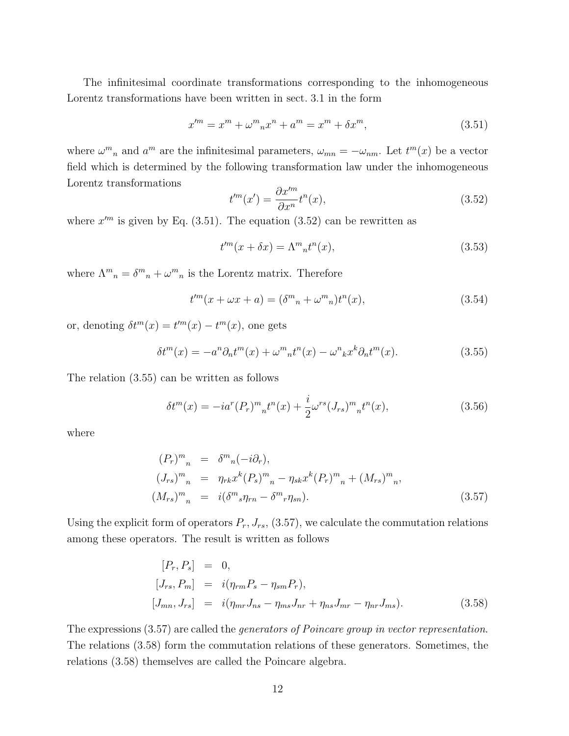The infinitesimal coordinate transformations corresponding to the inhomogeneous Lorentz transformations have been written in sect. 3.1 in the form

$$
x^{\prime m} = x^m + \omega^m{}_n x^n + a^m = x^m + \delta x^m,\tag{3.51}
$$

where  $\omega^m{}_n$  and  $a^m$  are the infinitesimal parameters,  $\omega_{mn} = -\omega_{nm}$ . Let  $t^m(x)$  be a vector field which is determined by the following transformation law under the inhomogeneous Lorentz transformations

$$
t^{\prime m}(x') = \frac{\partial x^{\prime m}}{\partial x^n} t^n(x),\tag{3.52}
$$

where  $x'^m$  is given by Eq. (3.51). The equation (3.52) can be rewritten as

$$
t^{\prime m}(x+\delta x) = \Lambda^{m}{}_{n}t^{n}(x), \qquad (3.53)
$$

where  $\Lambda^m{}_n = \delta^m{}_n + \omega^m{}_n$  is the Lorentz matrix. Therefore

$$
t^{m}(x + \omega x + a) = (\delta^{m}{}_{n} + \omega^{m}{}_{n})t^{n}(x), \qquad (3.54)
$$

or, denoting  $\delta t^m(x) = t^m(x) - t^m(x)$ , one gets

$$
\delta t^m(x) = -a^n \partial_n t^m(x) + \omega^m{}_n t^n(x) - \omega^n{}_k x^k \partial_n t^m(x). \tag{3.55}
$$

The relation (3.55) can be written as follows

$$
\delta t^{m}(x) = -ia^{r}(P_{r})^{m}{}_{n}t^{n}(x) + \frac{i}{2}\omega^{rs}(J_{rs})^{m}{}_{n}t^{n}(x), \qquad (3.56)
$$

where

$$
(P_r)^m{}_n = \delta^m{}_n(-i\partial_r),
$$
  
\n
$$
(J_{rs})^m{}_n = \eta_{rk} x^k (P_s)^m{}_n - \eta_{sk} x^k (P_r)^m{}_n + (M_{rs})^m{}_n,
$$
  
\n
$$
(M_{rs})^m{}_n = i(\delta^m{}_s \eta_{rn} - \delta^m{}_r \eta_{sn}).
$$
\n(3.57)

Using the explicit form of operators  $P_r, J_{rs}, (3.57)$ , we calculate the commutation relations among these operators. The result is written as follows

$$
[P_r, P_s] = 0,
$$
  
\n
$$
[J_{rs}, P_m] = i(\eta_{rm} P_s - \eta_{sm} P_r),
$$
  
\n
$$
[J_{mn}, J_{rs}] = i(\eta_{mr} J_{ns} - \eta_{ms} J_{nr} + \eta_{ns} J_{mr} - \eta_{nr} J_{ms}).
$$
\n(3.58)

The expressions (3.57) are called the *generators of Poincare group in vector representation*. The relations (3.58) form the commutation relations of these generators. Sometimes, the relations (3.58) themselves are called the Poincare algebra.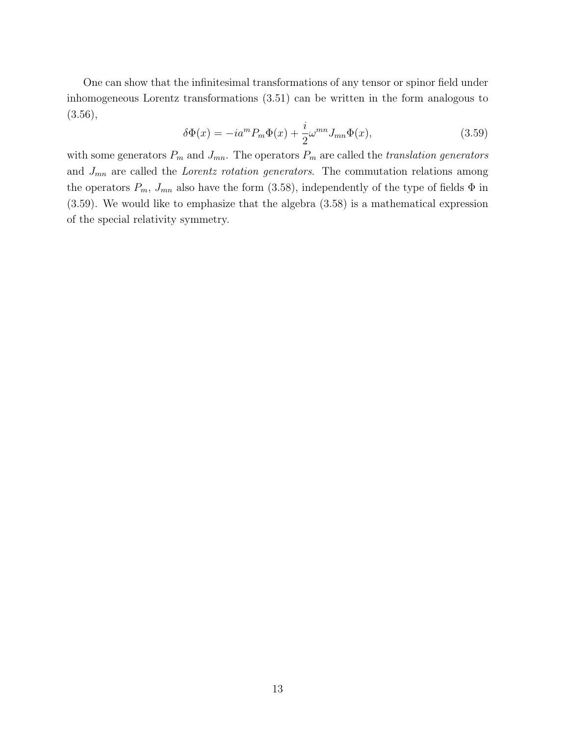One can show that the infinitesimal transformations of any tensor or spinor field under inhomogeneous Lorentz transformations (3.51) can be written in the form analogous to  $(3.56),$ 

$$
\delta\Phi(x) = -ia^m P_m \Phi(x) + \frac{i}{2} \omega^{mn} J_{mn} \Phi(x), \qquad (3.59)
$$

with some generators  $P_m$  and  $J_{mn}$ . The operators  $P_m$  are called the *translation generators* and *Jmn* are called the *Lorentz rotation generators*. The commutation relations among the operators  $P_m$ ,  $J_{mn}$  also have the form (3.58), independently of the type of fields  $\Phi$  in (3.59). We would like to emphasize that the algebra (3.58) is a mathematical expression of the special relativity symmetry.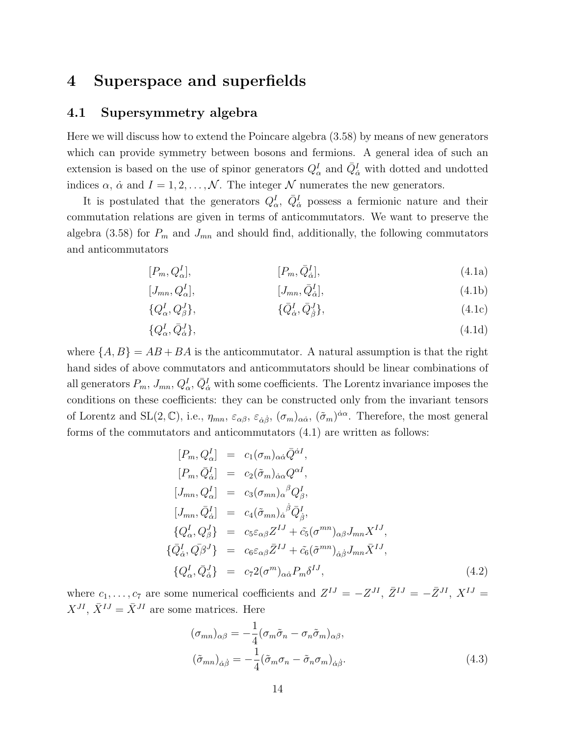### **4 Superspace and superfields**

### **4.1 Supersymmetry algebra**

Here we will discuss how to extend the Poincare algebra (3.58) by means of new generators which can provide symmetry between bosons and fermions. A general idea of such an extension is based on the use of spinor generators  $Q^I_\alpha$  and  $\bar{Q}^I_{\dot{\alpha}}$  with dotted and undotted indices  $\alpha$ ,  $\dot{\alpha}$  and  $I = 1, 2, \dots, \mathcal{N}$ . The integer  $\mathcal N$  numerates the new generators.

It is postulated that the generators  $Q^I_\alpha$ ,  $\overline{Q}^I_{\dot{\alpha}}$  possess a fermionic nature and their commutation relations are given in terms of anticommutators. We want to preserve the algebra (3.58) for  $P_m$  and  $J_{mn}$  and should find, additionally, the following commutators and anticommutators

$$
[P_m, Q_\alpha^I], \qquad [P_m, \bar{Q}_\alpha^I], \qquad (4.1a)
$$

$$
[J_{mn}, Q^I_{\alpha}], \qquad [J_{mn}, \bar{Q}^I_{\dot{\alpha}}], \qquad (4.1b)
$$

$$
\{Q^I_{\alpha}, Q^J_{\beta}\}, \qquad \{ \bar{Q}^I_{\dot{\alpha}}, \bar{Q}^J_{\dot{\beta}}\}, \qquad (4.1c)
$$

$$
\{Q^I_{\alpha}, \bar{Q}^J_{\dot{\alpha}}\},\tag{4.1d}
$$

where  $\{A, B\} = AB + BA$  is the anticommutator. A natural assumption is that the right hand sides of above commutators and anticommutators should be linear combinations of all generators  $P_m$ ,  $J_{mn}$ ,  $Q^I_{\alpha}$ ,  $\bar{Q}^I_{\dot{\alpha}}$  with some coefficients. The Lorentz invariance imposes the conditions on these coefficients: they can be constructed only from the invariant tensors of Lorentz and SL(2,  $\mathbb{C}$ ), i.e.,  $\eta_{mn}$ ,  $\varepsilon_{\alpha\beta}$ ,  $\varepsilon_{\dot{\alpha}\dot{\beta}}$ ,  $(\sigma_m)_{\alpha\dot{\alpha}}$ ,  $(\tilde{\sigma}_m)^{\dot{\alpha}\alpha}$ . Therefore, the most general forms of the commutators and anticommutators (4.1) are written as follows:

$$
[P_m, Q_\alpha^I] = c_1(\sigma_m)_{\alpha\dot{\alpha}} \bar{Q}^{\dot{\alpha}I},
$$
  
\n
$$
[P_m, \bar{Q}_\alpha^I] = c_2(\tilde{\sigma}_m)_{\dot{\alpha}\alpha} Q^{\alpha I},
$$
  
\n
$$
[J_{mn}, Q_\alpha^I] = c_3(\sigma_{mn})_{\alpha}{}^{\beta} Q_\beta^I,
$$
  
\n
$$
[J_{mn}, \bar{Q}_\alpha^I] = c_4(\tilde{\sigma}_{mn})_{\dot{\alpha}}{}^{\dot{\beta}} \bar{Q}_\beta^I,
$$
  
\n
$$
\{Q_\alpha^I, Q_\beta^J\} = c_5 \varepsilon_{\alpha\beta} Z^{IJ} + \tilde{c}_5(\sigma^{mn})_{\alpha\beta} J_{mn} X^{IJ},
$$
  
\n
$$
\{\bar{Q}_\alpha^I, \bar{Q}_\beta^J\} = c_6 \varepsilon_{\alpha\beta} \bar{Z}^{IJ} + \tilde{c}_6(\tilde{\sigma}^{mn})_{\dot{\alpha}\dot{\beta}} J_{mn} \bar{X}^{IJ},
$$
  
\n
$$
\{Q_\alpha^I, \bar{Q}_\alpha^J\} = c_7 2(\sigma^m)_{\alpha\dot{\alpha}} P_m \delta^{IJ},
$$
  
\n(4.2)

where  $c_1, \ldots, c_7$  are some numerical coefficients and  $Z^{IJ} = -Z^{JI}$ ,  $\bar{Z}^{IJ} = -\bar{Z}^{JI}$ ,  $X^{IJ} = -\bar{Z}^{JI}$  $X^{JI}$ ,  $\bar{X}^{IJ} = \bar{X}^{JI}$  are some matrices. Here

$$
(\sigma_{mn})_{\alpha\beta} = -\frac{1}{4} (\sigma_m \tilde{\sigma}_n - \sigma_n \tilde{\sigma}_m)_{\alpha\beta},
$$
  

$$
(\tilde{\sigma}_{mn})_{\dot{\alpha}\dot{\beta}} = -\frac{1}{4} (\tilde{\sigma}_m \sigma_n - \tilde{\sigma}_n \sigma_m)_{\dot{\alpha}\dot{\beta}}.
$$
 (4.3)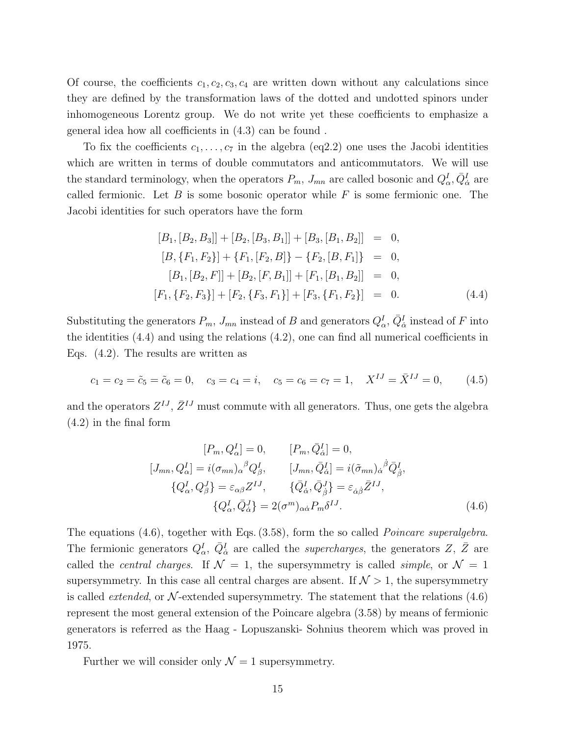Of course, the coefficients  $c_1, c_2, c_3, c_4$  are written down without any calculations since they are defined by the transformation laws of the dotted and undotted spinors under inhomogeneous Lorentz group. We do not write yet these coefficients to emphasize a general idea how all coefficients in (4.3) can be found .

To fix the coefficients  $c_1, \ldots, c_7$  in the algebra (eq2.2) one uses the Jacobi identities which are written in terms of double commutators and anticommutators. We will use the standard terminology, when the operators  $P_m$ ,  $J_{mn}$  are called bosonic and  $Q^I_\alpha$ ,  $\bar{Q}^I_{\dot{\alpha}}$  are called fermionic. Let *B* is some bosonic operator while *F* is some fermionic one. The Jacobi identities for such operators have the form

$$
[B_1, [B_2, B_3]] + [B_2, [B_3, B_1]] + [B_3, [B_1, B_2]] = 0,
$$
  
\n
$$
[B, \{F_1, F_2\}] + \{F_1, [F_2, B]\} - \{F_2, [B, F_1]\} = 0,
$$
  
\n
$$
[B_1, [B_2, F]] + [B_2, [F, B_1]] + [F_1, [B_1, B_2]] = 0,
$$
  
\n
$$
[F_1, \{F_2, F_3\}] + [F_2, \{F_3, F_1\}] + [F_3, \{F_1, F_2\}] = 0.
$$
\n(4.4)

Substituting the generators  $P_m$ ,  $J_{mn}$  instead of *B* and generators  $Q^I_\alpha$ ,  $\bar{Q}^I_{\dot{\alpha}}$  instead of *F* into the identities (4.4) and using the relations (4.2), one can find all numerical coefficients in Eqs. (4.2). The results are written as

$$
c_1 = c_2 = \tilde{c}_5 = \tilde{c}_6 = 0
$$
,  $c_3 = c_4 = i$ ,  $c_5 = c_6 = c_7 = 1$ ,  $X^{IJ} = \overline{X}^{IJ} = 0$ , (4.5)

and the operators  $Z^{IJ}$ ,  $\bar{Z}^{IJ}$  must commute with all generators. Thus, one gets the algebra (4.2) in the final form

$$
[P_m, Q_\alpha^I] = 0, \t [P_m, \bar{Q}_\alpha^I] = 0,
$$
  
\n
$$
[J_{mn}, Q_\alpha^I] = i(\sigma_{mn})_\alpha{}^\beta Q_\beta^I, \t [J_{mn}, \bar{Q}_\alpha^I] = i(\tilde{\sigma}_{mn})_\alpha{}^\beta \bar{Q}_\beta^I,
$$
  
\n
$$
\{Q_\alpha^I, Q_\beta^J\} = \varepsilon_{\alpha\beta} Z^{IJ}, \t \{\bar{Q}_\alpha^I, \bar{Q}_\beta^J\} = \varepsilon_{\dot{\alpha}\dot{\beta}} \bar{Z}^{IJ},
$$
  
\n
$$
\{Q_\alpha^I, \bar{Q}_\alpha^J\} = 2(\sigma^m)_{\alpha\dot{\alpha}} P_m \delta^{IJ}.
$$
\n(4.6)

The equations (4.6), together with Eqs. (3.58), form the so called *Poincare superalgebra*. The fermionic generators  $Q^I_\alpha$ ,  $\bar{Q}^I_{\dot{\alpha}}$  are called the *supercharges*, the generators *Z*, *Z* are called the *central charges*. If  $\mathcal{N} = 1$ , the supersymmetry is called *simple*, or  $\mathcal{N} = 1$ supersymmetry. In this case all central charges are absent. If  $\mathcal{N} > 1$ , the supersymmetry is called *extended*, or  $N$ -extended supersymmetry. The statement that the relations  $(4.6)$ represent the most general extension of the Poincare algebra (3.58) by means of fermionic generators is referred as the Haag - Lopuszanski- Sohnius theorem which was proved in 1975.

Further we will consider only  $\mathcal{N}=1$  supersymmetry.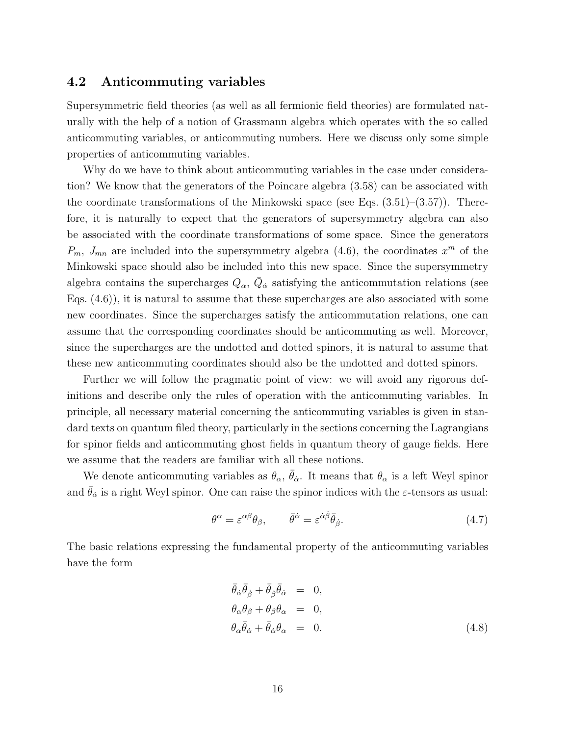### **4.2 Anticommuting variables**

Supersymmetric field theories (as well as all fermionic field theories) are formulated naturally with the help of a notion of Grassmann algebra which operates with the so called anticommuting variables, or anticommuting numbers. Here we discuss only some simple properties of anticommuting variables.

Why do we have to think about anticommuting variables in the case under consideration? We know that the generators of the Poincare algebra (3.58) can be associated with the coordinate transformations of the Minkowski space (see Eqs.  $(3.51)$ – $(3.57)$ ). Therefore, it is naturally to expect that the generators of supersymmetry algebra can also be associated with the coordinate transformations of some space. Since the generators  $P_m$ ,  $J_{mn}$  are included into the supersymmetry algebra (4.6), the coordinates  $x^m$  of the Minkowski space should also be included into this new space. Since the supersymmetry algebra contains the supercharges  $Q_{\alpha}$ ,  $\bar{Q}_{\dot{\alpha}}$  satisfying the anticommutation relations (see Eqs. (4.6)), it is natural to assume that these supercharges are also associated with some new coordinates. Since the supercharges satisfy the anticommutation relations, one can assume that the corresponding coordinates should be anticommuting as well. Moreover, since the supercharges are the undotted and dotted spinors, it is natural to assume that these new anticommuting coordinates should also be the undotted and dotted spinors.

Further we will follow the pragmatic point of view: we will avoid any rigorous definitions and describe only the rules of operation with the anticommuting variables. In principle, all necessary material concerning the anticommuting variables is given in standard texts on quantum filed theory, particularly in the sections concerning the Lagrangians for spinor fields and anticommuting ghost fields in quantum theory of gauge fields. Here we assume that the readers are familiar with all these notions.

We denote anticommuting variables as  $\theta_{\alpha}$ ,  $\bar{\theta}_{\dot{\alpha}}$ . It means that  $\theta_{\alpha}$  is a left Weyl spinor and  $\bar{\theta}_{\dot{\alpha}}$  is a right Weyl spinor. One can raise the spinor indices with the *ε*-tensors as usual:

$$
\theta^{\alpha} = \varepsilon^{\alpha\beta} \theta_{\beta}, \qquad \bar{\theta}^{\dot{\alpha}} = \varepsilon^{\dot{\alpha}\dot{\beta}} \bar{\theta}_{\dot{\beta}}.
$$
\n(4.7)

The basic relations expressing the fundamental property of the anticommuting variables have the form

$$
\begin{aligned}\n\bar{\theta}_{\dot{\alpha}} \bar{\theta}_{\dot{\beta}} + \bar{\theta}_{\dot{\beta}} \bar{\theta}_{\dot{\alpha}} &= 0, \\
\theta_{\alpha} \theta_{\beta} + \theta_{\beta} \theta_{\alpha} &= 0, \\
\theta_{\alpha} \bar{\theta}_{\dot{\alpha}} + \bar{\theta}_{\dot{\alpha}} \theta_{\alpha} &= 0.\n\end{aligned}
$$
(4.8)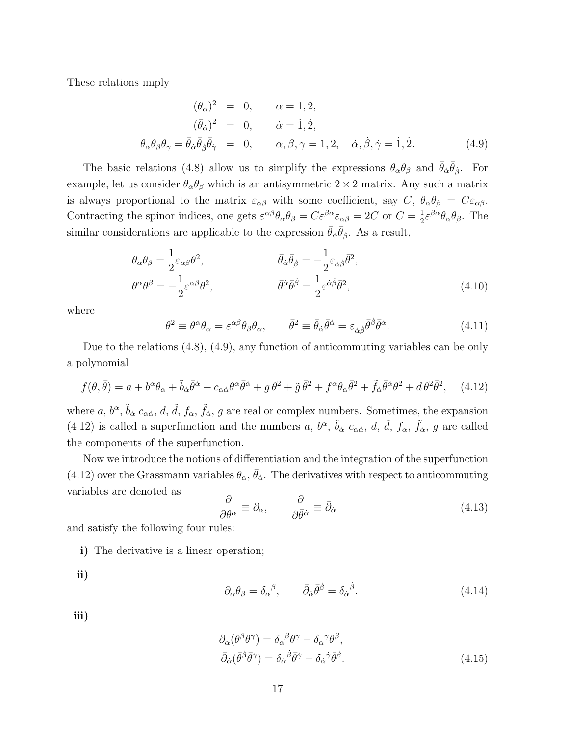These relations imply

$$
(\theta_{\alpha})^2 = 0, \qquad \alpha = 1, 2,
$$
  
\n
$$
(\bar{\theta}_{\dot{\alpha}})^2 = 0, \qquad \dot{\alpha} = 1, \dot{2},
$$
  
\n
$$
\theta_{\alpha}\theta_{\beta}\theta_{\gamma} = \bar{\theta}_{\dot{\alpha}}\bar{\theta}_{\dot{\beta}}\bar{\theta}_{\dot{\gamma}} = 0, \qquad \alpha, \beta, \gamma = 1, 2, \quad \dot{\alpha}, \dot{\beta}, \dot{\gamma} = 1, \dot{2}.
$$
\n(4.9)

The basic relations (4.8) allow us to simplify the expressions  $\theta_{\alpha}\theta_{\beta}$  and  $\bar{\theta}_{\dot{\alpha}}\bar{\theta}_{\dot{\beta}}$ . For example, let us consider  $\theta_{\alpha}\theta_{\beta}$  which is an antisymmetric  $2 \times 2$  matrix. Any such a matrix is always proportional to the matrix  $\varepsilon_{\alpha\beta}$  with some coefficient, say  $C, \ \theta_{\alpha}\theta_{\beta} = C\varepsilon_{\alpha\beta}$ . Contracting the spinor indices, one gets  $\varepsilon^{\alpha\beta}\theta_{\alpha}\theta_{\beta} = C\varepsilon^{\beta\alpha}\varepsilon_{\alpha\beta} = 2C$  or  $C = \frac{1}{2}$  $\frac{1}{2} \varepsilon^{\beta \alpha} \theta_{\alpha} \theta_{\beta}$ . The similar considerations are applicable to the expression  $\bar{\theta}_{\dot{\alpha}}\bar{\theta}_{\dot{\beta}}$ . As a result,

$$
\theta_{\alpha}\theta_{\beta} = \frac{1}{2}\varepsilon_{\alpha\beta}\theta^{2}, \qquad \bar{\theta}_{\dot{\alpha}}\bar{\theta}_{\dot{\beta}} = -\frac{1}{2}\varepsilon_{\dot{\alpha}\dot{\beta}}\bar{\theta}^{2}, \n\theta^{\alpha}\theta^{\beta} = -\frac{1}{2}\varepsilon^{\alpha\beta}\theta^{2}, \qquad \bar{\theta}^{\dot{\alpha}}\bar{\theta}^{\dot{\beta}} = \frac{1}{2}\varepsilon^{\dot{\alpha}\dot{\beta}}\bar{\theta}^{2},
$$
\n(4.10)

where

$$
\theta^2 \equiv \theta^{\alpha} \theta_{\alpha} = \varepsilon^{\alpha \beta} \theta_{\beta} \theta_{\alpha}, \qquad \bar{\theta}^2 \equiv \bar{\theta}_{\dot{\alpha}} \bar{\theta}^{\dot{\alpha}} = \varepsilon_{\dot{\alpha}\dot{\beta}} \bar{\theta}^{\dot{\beta}} \bar{\theta}^{\dot{\alpha}}.
$$
 (4.11)

Due to the relations (4.8), (4.9), any function of anticommuting variables can be only a polynomial

$$
f(\theta,\bar{\theta}) = a + b^{\alpha}\theta_{\alpha} + \tilde{b}_{\dot{\alpha}}\bar{\theta}^{\dot{\alpha}} + c_{\alpha\dot{\alpha}}\theta^{\alpha}\bar{\theta}^{\dot{\alpha}} + g\,\theta^2 + \tilde{g}\,\bar{\theta}^2 + f^{\alpha}\theta_{\alpha}\bar{\theta}^2 + \tilde{f}_{\dot{\alpha}}\bar{\theta}^{\dot{\alpha}}\theta^2 + d\,\theta^2\bar{\theta}^2, \quad (4.12)
$$

where *a*,  $b^{\alpha}$ ,  $\tilde{b}_{\dot{\alpha}}$  *c*<sub>α $\dot{\alpha}$ </sub>, *d*, *d*<sup>*f*</sup><sub>*a*</sub>, *f*<sub>*a*</sub>, *f*<sub>*a*</sub>, *g* are real or complex numbers. Sometimes, the expansion (4.12) is called a superfunction and the numbers *a*,  $b^{\alpha}$ ,  $\tilde{b}_{\dot{\alpha}}$  *c*<sub>α $\dot{\alpha}$ , *d*, *d*, *f*<sub>*a*</sub>, *f*<sub>*a*</sub>, *g* are called</sub> the components of the superfunction.

Now we introduce the notions of differentiation and the integration of the superfunction  $(4.12)$  over the Grassmann variables  $\theta_{\alpha}$ ,  $\bar{\theta}_{\dot{\alpha}}$ . The derivatives with respect to anticommuting variables are denoted as

$$
\frac{\partial}{\partial \theta^{\alpha}} \equiv \partial_{\alpha}, \qquad \frac{\partial}{\partial \bar{\theta}^{\dot{\alpha}}} \equiv \bar{\partial}_{\dot{\alpha}} \tag{4.13}
$$

and satisfy the following four rules:

**i)** The derivative is a linear operation;

**ii)**

$$
\partial_{\alpha}\theta_{\beta} = \delta_{\alpha}{}^{\beta}, \qquad \bar{\partial}_{\dot{\alpha}}\bar{\theta}^{\dot{\beta}} = \delta_{\dot{\alpha}}{}^{\dot{\beta}}.
$$
\n(4.14)

**iii)**

$$
\partial_{\alpha}(\theta^{\beta}\theta^{\gamma}) = \delta_{\alpha}{}^{\beta}\theta^{\gamma} - \delta_{\alpha}{}^{\gamma}\theta^{\beta}, \bar{\partial}_{\dot{\alpha}}(\bar{\theta}^{\dot{\beta}}\bar{\theta}^{\dot{\gamma}}) = \delta_{\dot{\alpha}}{}^{\dot{\beta}}\bar{\theta}^{\dot{\gamma}} - \delta_{\dot{\alpha}}{}^{\dot{\gamma}}\bar{\theta}^{\dot{\beta}}.
$$
\n(4.15)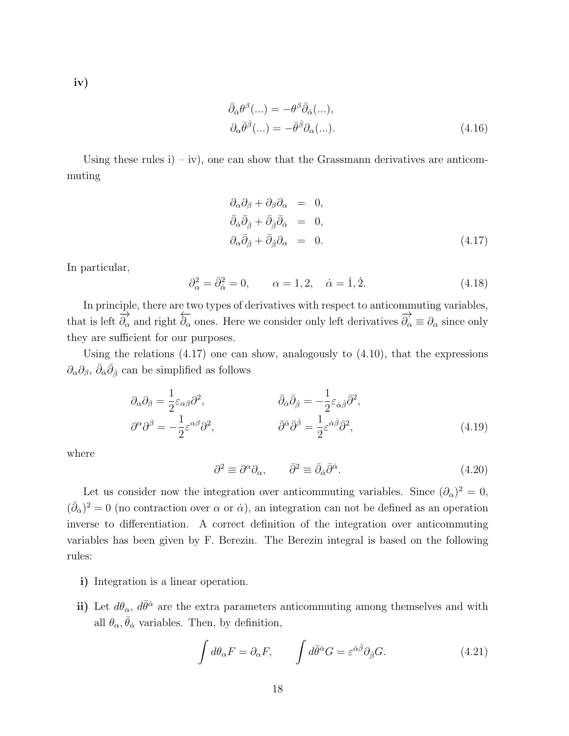**iv)**

$$
\bar{\partial}_{\dot{\alpha}}\theta^{\beta}(...) = -\theta^{\beta}\bar{\partial}_{\dot{\alpha}}(...),
$$
  
\n
$$
\partial_{\alpha}\bar{\theta}^{\dot{\beta}}(...) = -\bar{\theta}^{\dot{\beta}}\partial_{\alpha}(...).
$$
\n(4.16)

Using these rules  $i$ ) – iv), one can show that the Grassmann derivatives are anticommuting

$$
\partial_{\alpha}\partial_{\beta} + \partial_{\beta}\partial_{\alpha} = 0, \n\bar{\partial}_{\dot{\alpha}}\bar{\partial}_{\dot{\beta}} + \bar{\partial}_{\dot{\beta}}\bar{\partial}_{\dot{\alpha}} = 0, \n\partial_{\alpha}\bar{\partial}_{\dot{\beta}} + \bar{\partial}_{\dot{\beta}}\partial_{\alpha} = 0.
$$
\n(4.17)

In particular,

$$
\partial_{\alpha}^{2} = \bar{\partial}_{\dot{\alpha}}^{2} = 0, \qquad \alpha = 1, 2, \quad \dot{\alpha} = \dot{1}, \dot{2}.
$$
\n(4.18)

In principle, there are two types of derivatives with respect to anticommuting variables, that is left  $\overrightarrow{\partial_{\alpha}}$  and right  $\overrightarrow{\partial_{\alpha}}$  ones. Here we consider only left derivatives  $\overrightarrow{\partial_{\alpha}} \equiv \partial_{\alpha}$  since only they are sufficient for our purposes.

Using the relations  $(4.17)$  one can show, analogously to  $(4.10)$ , that the expressions  $\partial_{\alpha}\partial_{\beta}$ ,  $\bar{\partial}_{\dot{\alpha}}\bar{\partial}_{\dot{\beta}}$  can be simplified as follows

$$
\partial_{\alpha}\partial_{\beta} = \frac{1}{2}\varepsilon_{\alpha\beta}\partial^{2}, \qquad \qquad \bar{\partial}_{\dot{\alpha}}\bar{\partial}_{\dot{\beta}} = -\frac{1}{2}\varepsilon_{\dot{\alpha}\dot{\beta}}\bar{\partial}^{2}, \n\partial^{\alpha}\partial^{\beta} = -\frac{1}{2}\varepsilon^{\alpha\beta}\partial^{2}, \qquad \qquad \bar{\partial}^{\dot{\alpha}}\bar{\partial}^{\dot{\beta}} = \frac{1}{2}\varepsilon^{\dot{\alpha}\dot{\beta}}\bar{\partial}^{2},
$$
\n(4.19)

where

$$
\partial^2 \equiv \partial^{\alpha} \partial_{\alpha}, \qquad \bar{\partial}^2 \equiv \bar{\partial}_{\dot{\alpha}} \bar{\partial}^{\dot{\alpha}}.
$$
\n(4.20)

Let us consider now the integration over anticommuting variables. Since  $(\partial_{\alpha})^2 = 0$ ,  $(\bar{\partial}_{\dot{\alpha}})^2 = 0$  (no contraction over  $\alpha$  or  $\dot{\alpha}$ ), an integration can not be defined as an operation inverse to differentiation. A correct definition of the integration over anticommuting variables has been given by F. Berezin. The Berezin integral is based on the following rules:

- **i)** Integration is a linear operation.
- **ii**) Let  $d\theta_{\alpha}$ ,  $d\bar{\theta}^{\dot{\alpha}}$  are the extra parameters anticommuting among themselves and with all  $\theta_{\alpha}, \bar{\theta}_{\dot{\alpha}}$  variables. Then, by definition,

$$
\int d\theta_{\alpha} F = \partial_{\alpha} F, \qquad \int d\bar{\theta}^{\dot{\alpha}} G = \varepsilon^{\dot{\alpha}\dot{\beta}} \partial_{\dot{\beta}} G. \tag{4.21}
$$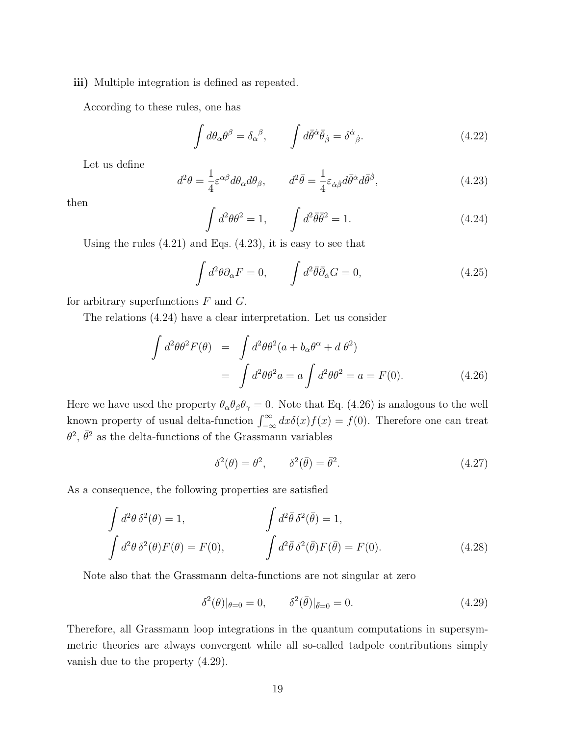#### **iii)** Multiple integration is defined as repeated.

According to these rules, one has

$$
\int d\theta_{\alpha}\theta^{\beta} = \delta_{\alpha}{}^{\beta}, \qquad \int d\bar{\theta}^{\dot{\alpha}}\bar{\theta}_{\dot{\beta}} = \delta^{\dot{\alpha}}{}_{\dot{\beta}}.
$$
\n(4.22)

Let us define

$$
d^2\theta = \frac{1}{4}\varepsilon^{\alpha\beta}d\theta_{\alpha}d\theta_{\beta}, \qquad d^2\bar{\theta} = \frac{1}{4}\varepsilon_{\dot{\alpha}\dot{\beta}}d\bar{\theta}^{\dot{\alpha}}d\bar{\theta}^{\dot{\beta}}, \tag{4.23}
$$

then

$$
\int d^2\theta \theta^2 = 1, \qquad \int d^2\bar{\theta} \bar{\theta}^2 = 1. \tag{4.24}
$$

Using the rules  $(4.21)$  and Eqs.  $(4.23)$ , it is easy to see that

$$
\int d^2\theta \partial_\alpha F = 0, \qquad \int d^2\bar{\theta} \bar{\partial}_\alpha G = 0, \qquad (4.25)
$$

for arbitrary superfunctions *F* and *G*.

The relations (4.24) have a clear interpretation. Let us consider

$$
\int d^2\theta \theta^2 F(\theta) = \int d^2\theta \theta^2 (a + b_\alpha \theta^\alpha + d\theta^2)
$$

$$
= \int d^2\theta \theta^2 a = a \int d^2\theta \theta^2 = a = F(0). \qquad (4.26)
$$

Here we have used the property  $\theta_{\alpha}\theta_{\beta}\theta_{\gamma} = 0$ . Note that Eq. (4.26) is analogous to the well known property of usual delta-function  $\int_{-\infty}^{\infty} dx \delta(x) f(x) = f(0)$ . Therefore one can treat  $\theta^2$ ,  $\bar{\theta}^2$  as the delta-functions of the Grassmann variables

$$
\delta^2(\theta) = \theta^2, \qquad \delta^2(\bar{\theta}) = \bar{\theta}^2. \tag{4.27}
$$

As a consequence, the following properties are satisfied

$$
\int d^2\theta \,\delta^2(\theta) = 1, \qquad \qquad \int d^2\bar{\theta} \,\delta^2(\bar{\theta}) = 1, \n\int d^2\bar{\theta} \,\delta^2(\bar{\theta}) F(\bar{\theta}) = F(0). \n\int d^2\bar{\theta} \,\delta^2(\bar{\theta}) F(\bar{\theta}) = F(0). \qquad (4.28)
$$

Note also that the Grassmann delta-functions are not singular at zero

$$
\delta^2(\theta)|_{\theta=0} = 0, \qquad \delta^2(\bar{\theta})|_{\bar{\theta}=0} = 0.
$$
\n(4.29)

Therefore, all Grassmann loop integrations in the quantum computations in supersymmetric theories are always convergent while all so-called tadpole contributions simply vanish due to the property (4.29).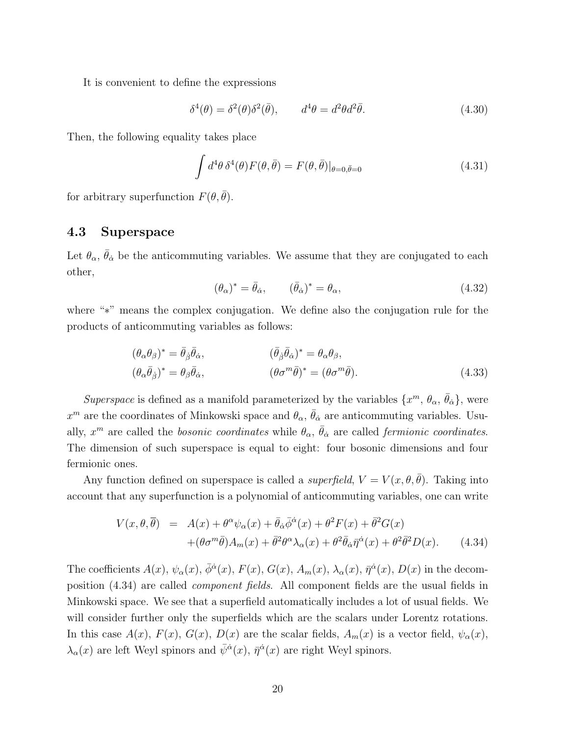It is convenient to define the expressions

$$
\delta^4(\theta) = \delta^2(\theta)\delta^2(\bar{\theta}), \qquad d^4\theta = d^2\theta d^2\bar{\theta}.
$$
\n(4.30)

Then, the following equality takes place

$$
\int d^4\theta \,\delta^4(\theta) F(\theta, \bar{\theta}) = F(\theta, \bar{\theta})|_{\theta=0, \bar{\theta}=0}
$$
\n(4.31)

for arbitrary superfunction  $F(\theta, \bar{\theta})$ .

### **4.3 Superspace**

Let  $\theta_{\alpha}$ ,  $\bar{\theta}_{\dot{\alpha}}$  be the anticommuting variables. We assume that they are conjugated to each other,

$$
(\theta_{\alpha})^* = \bar{\theta}_{\dot{\alpha}}, \qquad (\bar{\theta}_{\dot{\alpha}})^* = \theta_{\alpha}, \qquad (4.32)
$$

where "*∗*" means the complex conjugation. We define also the conjugation rule for the products of anticommuting variables as follows:

$$
(\theta_{\alpha}\theta_{\beta})^* = \bar{\theta}_{\dot{\beta}}\bar{\theta}_{\dot{\alpha}}, \qquad (\bar{\theta}_{\dot{\beta}}\bar{\theta}_{\dot{\alpha}})^* = \theta_{\alpha}\theta_{\beta}, (\theta_{\alpha}\bar{\theta}_{\dot{\beta}})^* = \theta_{\beta}\bar{\theta}_{\dot{\alpha}}, \qquad (\theta\sigma^m\bar{\theta})^* = (\theta\sigma^m\bar{\theta}).
$$
 (4.33)

*Superspace* is defined as a manifold parameterized by the variables  $\{x^m, \theta_\alpha, \bar{\theta}_\alpha\}$ , were  $x^m$  are the coordinates of Minkowski space and  $\theta_\alpha$ ,  $\bar{\theta}_{\dot{\alpha}}$  are anticommuting variables. Usually,  $x^m$  are called the *bosonic coordinates* while  $\theta_\alpha$ ,  $\bar{\theta}_{\dot{\alpha}}$  are called *fermionic coordinates*. The dimension of such superspace is equal to eight: four bosonic dimensions and four fermionic ones.

Any function defined on superspace is called a *superfield*,  $V = V(x, \theta, \bar{\theta})$ . Taking into account that any superfunction is a polynomial of anticommuting variables, one can write

$$
V(x,\theta,\overline{\theta}) = A(x) + \theta^{\alpha}\psi_{\alpha}(x) + \overline{\theta}_{\dot{\alpha}}\overline{\phi}^{\dot{\alpha}}(x) + \theta^{2}F(x) + \overline{\theta}^{2}G(x) + (\theta\sigma^{m}\overline{\theta})A_{m}(x) + \overline{\theta}^{2}\theta^{\alpha}\lambda_{\alpha}(x) + \theta^{2}\overline{\theta}_{\dot{\alpha}}\overline{\eta}^{\dot{\alpha}}(x) + \theta^{2}\overline{\theta}^{2}D(x).
$$
 (4.34)

The coefficients  $A(x)$ ,  $\psi_{\alpha}(x)$ ,  $\bar{\phi}^{\dot{\alpha}}(x)$ ,  $F(x)$ ,  $G(x)$ ,  $A_m(x)$ ,  $\lambda_{\alpha}(x)$ ,  $\bar{\eta}^{\dot{\alpha}}(x)$ ,  $D(x)$  in the decomposition (4.34) are called *component fields*. All component fields are the usual fields in Minkowski space. We see that a superfield automatically includes a lot of usual fields. We will consider further only the superfields which are the scalars under Lorentz rotations. In this case  $A(x)$ ,  $F(x)$ ,  $G(x)$ ,  $D(x)$  are the scalar fields,  $A_m(x)$  is a vector field,  $\psi_{\alpha}(x)$ ,  $\lambda_{\alpha}(x)$  are left Weyl spinors and  $\bar{\psi}^{\dot{\alpha}}(x)$ ,  $\bar{\eta}^{\dot{\alpha}}(x)$  are right Weyl spinors.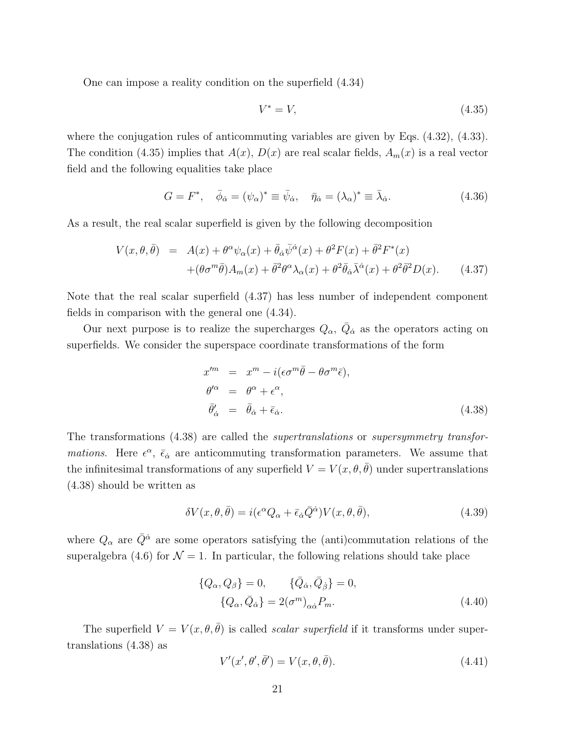One can impose a reality condition on the superfield (4.34)

$$
V^* = V,\tag{4.35}
$$

where the conjugation rules of anticommuting variables are given by Eqs. (4.32), (4.33). The condition (4.35) implies that  $A(x)$ ,  $D(x)$  are real scalar fields,  $A_m(x)$  is a real vector field and the following equalities take place

$$
G = F^*, \quad \bar{\phi}_{\dot{\alpha}} = (\psi_{\alpha})^* \equiv \bar{\psi}_{\dot{\alpha}}, \quad \bar{\eta}_{\dot{\alpha}} = (\lambda_{\alpha})^* \equiv \bar{\lambda}_{\dot{\alpha}}.
$$
 (4.36)

As a result, the real scalar superfield is given by the following decomposition

$$
V(x,\theta,\bar{\theta}) = A(x) + \theta^{\alpha}\psi_{\alpha}(x) + \bar{\theta}_{\dot{\alpha}}\bar{\psi}^{\dot{\alpha}}(x) + \theta^2 F(x) + \bar{\theta}^2 F^*(x) + (\theta\sigma^m\bar{\theta})A_m(x) + \bar{\theta}^2\theta^{\alpha}\lambda_{\alpha}(x) + \theta^2\bar{\theta}_{\dot{\alpha}}\bar{\lambda}^{\dot{\alpha}}(x) + \theta^2\bar{\theta}^2 D(x).
$$
 (4.37)

Note that the real scalar superfield (4.37) has less number of independent component fields in comparison with the general one (4.34).

Our next purpose is to realize the supercharges  $Q_{\alpha}$ ,  $\overline{Q}_{\dot{\alpha}}$  as the operators acting on superfields. We consider the superspace coordinate transformations of the form

$$
x^{\prime m} = x^{m} - i(\epsilon \sigma^{m} \bar{\theta} - \theta \sigma^{m} \bar{\epsilon}),
$$
  
\n
$$
\theta^{\prime \alpha} = \theta^{\alpha} + \epsilon^{\alpha},
$$
  
\n
$$
\bar{\theta}^{\prime}_{\dot{\alpha}} = \bar{\theta}_{\dot{\alpha}} + \bar{\epsilon}_{\dot{\alpha}}.
$$
\n(4.38)

The transformations (4.38) are called the *supertranslations* or *supersymmetry transformations*. Here  $\epsilon^{\alpha}$ ,  $\bar{\epsilon}_{\dot{\alpha}}$  are anticommuting transformation parameters. We assume that the infinitesimal transformations of any superfield  $V = V(x, \theta, \bar{\theta})$  under supertranslations (4.38) should be written as

$$
\delta V(x,\theta,\bar{\theta}) = i(\epsilon^{\alpha} Q_{\alpha} + \bar{\epsilon}_{\dot{\alpha}} \bar{Q}^{\dot{\alpha}}) V(x,\theta,\bar{\theta}), \qquad (4.39)
$$

where  $Q_{\alpha}$  are  $\overline{Q}^{\dot{\alpha}}$  are some operators satisfying the (anti)commutation relations of the superalgebra (4.6) for  $\mathcal{N} = 1$ . In particular, the following relations should take place

$$
\{Q_{\alpha}, Q_{\beta}\} = 0, \qquad \{\bar{Q}_{\dot{\alpha}}, \bar{Q}_{\dot{\beta}}\} = 0, \n\{Q_{\alpha}, \bar{Q}_{\dot{\alpha}}\} = 2(\sigma^{m})_{\alpha\dot{\alpha}} P_{m}.
$$
\n(4.40)

The superfield  $V = V(x, \theta, \bar{\theta})$  is called *scalar superfield* if it transforms under supertranslations (4.38) as

$$
V'(x', \theta', \bar{\theta}') = V(x, \theta, \bar{\theta}). \tag{4.41}
$$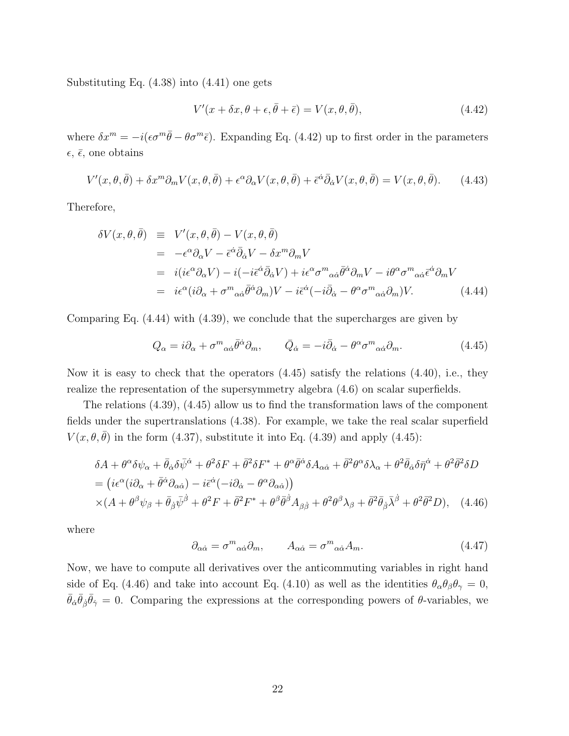Substituting Eq. (4.38) into (4.41) one gets

$$
V'(x + \delta x, \theta + \epsilon, \bar{\theta} + \bar{\epsilon}) = V(x, \theta, \bar{\theta}), \tag{4.42}
$$

where  $\delta x^m = -i(\epsilon \sigma^m \bar{\theta} - \theta \sigma^m \bar{\epsilon})$ . Expanding Eq. (4.42) up to first order in the parameters  $\epsilon$ ,  $\bar{\epsilon}$ , one obtains

$$
V'(x,\theta,\bar{\theta}) + \delta x^m \partial_m V(x,\theta,\bar{\theta}) + \epsilon^\alpha \partial_\alpha V(x,\theta,\bar{\theta}) + \bar{\epsilon}^{\dot{\alpha}} \bar{\partial}_{\dot{\alpha}} V(x,\theta,\bar{\theta}) = V(x,\theta,\bar{\theta}). \tag{4.43}
$$

Therefore,

$$
\delta V(x,\theta,\bar{\theta}) = V'(x,\theta,\bar{\theta}) - V(x,\theta,\bar{\theta})
$$
  
\n
$$
= -\epsilon^{\alpha}\partial_{\alpha}V - \bar{\epsilon}^{\dot{\alpha}}\bar{\partial}_{\dot{\alpha}}V - \delta x^{m}\partial_{m}V
$$
  
\n
$$
= i(i\epsilon^{\alpha}\partial_{\alpha}V) - i(-i\bar{\epsilon}^{\dot{\alpha}}\bar{\partial}_{\dot{\alpha}}V) + i\epsilon^{\alpha}\sigma^{m}{}_{\alpha\dot{\alpha}}\bar{\theta}^{\dot{\alpha}}\partial_{m}V - i\theta^{\alpha}\sigma^{m}{}_{\alpha\dot{\alpha}}\bar{\epsilon}^{\dot{\alpha}}\partial_{m}V
$$
  
\n
$$
= i\epsilon^{\alpha}(i\partial_{\alpha} + \sigma^{m}{}_{\alpha\dot{\alpha}}\bar{\theta}^{\dot{\alpha}}\partial_{m})V - i\bar{\epsilon}^{\dot{\alpha}}(-i\bar{\partial}_{\dot{\alpha}} - \theta^{\alpha}\sigma^{m}{}_{\alpha\dot{\alpha}}\partial_{m})V.
$$
 (4.44)

Comparing Eq. (4.44) with (4.39), we conclude that the supercharges are given by

$$
Q_{\alpha} = i\partial_{\alpha} + \sigma^{m}{}_{\alpha\dot{\alpha}}\bar{\theta}^{\dot{\alpha}}\partial_{m}, \qquad \bar{Q}_{\dot{\alpha}} = -i\bar{\partial}_{\dot{\alpha}} - \theta^{\alpha}\sigma^{m}{}_{\alpha\dot{\alpha}}\partial_{m}.
$$
 (4.45)

Now it is easy to check that the operators  $(4.45)$  satisfy the relations  $(4.40)$ , i.e., they realize the representation of the supersymmetry algebra (4.6) on scalar superfields.

The relations (4.39), (4.45) allow us to find the transformation laws of the component fields under the supertranslations (4.38). For example, we take the real scalar superfield  $V(x, \theta, \bar{\theta})$  in the form (4.37), substitute it into Eq. (4.39) and apply (4.45):

$$
\delta A + \theta^{\alpha} \delta \psi_{\alpha} + \bar{\theta}_{\dot{\alpha}} \delta \bar{\psi}^{\dot{\alpha}} + \theta^2 \delta F + \bar{\theta}^2 \delta F^* + \theta^{\alpha} \bar{\theta}^{\dot{\alpha}} \delta A_{\alpha \dot{\alpha}} + \bar{\theta}^2 \theta^{\alpha} \delta \lambda_{\alpha} + \theta^2 \bar{\theta}_{\dot{\alpha}} \delta \bar{\eta}^{\dot{\alpha}} + \theta^2 \bar{\theta}^2 \delta D
$$
  
=  $(i\epsilon^{\alpha}(i\partial_{\alpha} + \bar{\theta}^{\dot{\alpha}}\partial_{\alpha \dot{\alpha}}) - i\bar{\epsilon}^{\dot{\alpha}}(-i\partial_{\dot{\alpha}} - \theta^{\alpha}\partial_{\alpha \dot{\alpha}}))$   
  $\times (A + \theta^{\beta}\psi_{\beta} + \bar{\theta}_{\dot{\beta}}\bar{\psi}^{\dot{\beta}} + \theta^2 F + \bar{\theta}^2 F^* + \theta^{\beta}\bar{\theta}^{\dot{\beta}}A_{\beta \dot{\beta}} + \theta^2 \theta^{\beta}\lambda_{\beta} + \bar{\theta}^2 \bar{\theta}_{\dot{\beta}}\bar{\lambda}^{\dot{\beta}} + \theta^2 \bar{\theta}^2 D),$  (4.46)

where

$$
\partial_{\alpha\dot{\alpha}} = \sigma^m{}_{\alpha\dot{\alpha}} \partial_m, \qquad A_{\alpha\dot{\alpha}} = \sigma^m{}_{\alpha\dot{\alpha}} A_m. \tag{4.47}
$$

Now, we have to compute all derivatives over the anticommuting variables in right hand side of Eq. (4.46) and take into account Eq. (4.10) as well as the identities  $\theta_{\alpha}\theta_{\beta}\theta_{\gamma}=0$ ,  $\bar{\theta}_{\dot{\alpha}}\bar{\theta}_{\dot{\beta}}\bar{\theta}_{\dot{\gamma}}=0$ . Comparing the expressions at the corresponding powers of  $\theta$ -variables, we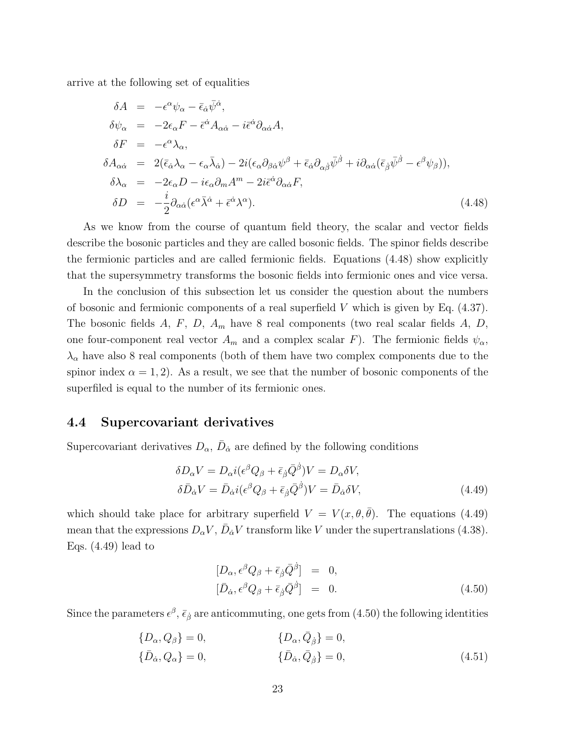arrive at the following set of equalities

$$
\delta A = -\epsilon^{\alpha}\psi_{\alpha} - \bar{\epsilon}_{\dot{\alpha}}\bar{\psi}^{\dot{\alpha}},
$$
  
\n
$$
\delta\psi_{\alpha} = -2\epsilon_{\alpha}F - \bar{\epsilon}^{\dot{\alpha}}A_{\alpha\dot{\alpha}} - i\bar{\epsilon}^{\dot{\alpha}}\partial_{\alpha\dot{\alpha}}A,
$$
  
\n
$$
\delta F = -\epsilon^{\alpha}\lambda_{\alpha},
$$
  
\n
$$
\delta A_{\alpha\dot{\alpha}} = 2(\bar{\epsilon}_{\dot{\alpha}}\lambda_{\alpha} - \epsilon_{\alpha}\bar{\lambda}_{\dot{\alpha}}) - 2i(\epsilon_{\alpha}\partial_{\beta\dot{\alpha}}\psi^{\beta} + \bar{\epsilon}_{\dot{\alpha}}\partial_{\alpha\dot{\beta}}\bar{\psi}^{\dot{\beta}} + i\partial_{\alpha\dot{\alpha}}(\bar{\epsilon}_{\dot{\beta}}\bar{\psi}^{\dot{\beta}} - \epsilon^{\beta}\psi_{\beta})),
$$
  
\n
$$
\delta\lambda_{\alpha} = -2\epsilon_{\alpha}D - i\epsilon_{\alpha}\partial_{m}A^{m} - 2i\bar{\epsilon}^{\dot{\alpha}}\partial_{\alpha\dot{\alpha}}F,
$$
  
\n
$$
\delta D = -\frac{i}{2}\partial_{\alpha\dot{\alpha}}(\epsilon^{\alpha}\bar{\lambda}^{\dot{\alpha}} + \bar{\epsilon}^{\dot{\alpha}}\lambda^{\alpha}).
$$
\n(4.48)

As we know from the course of quantum field theory, the scalar and vector fields describe the bosonic particles and they are called bosonic fields. The spinor fields describe the fermionic particles and are called fermionic fields. Equations (4.48) show explicitly that the supersymmetry transforms the bosonic fields into fermionic ones and vice versa.

In the conclusion of this subsection let us consider the question about the numbers of bosonic and fermionic components of a real superfield *V* which is given by Eq. (4.37). The bosonic fields *A*, *F*, *D*, *A<sup>m</sup>* have 8 real components (two real scalar fields *A*, *D*, one four-component real vector  $A_m$  and a complex scalar *F*). The fermionic fields  $\psi_\alpha$ ,  $\lambda_{\alpha}$  have also 8 real components (both of them have two complex components due to the spinor index  $\alpha = 1, 2$ ). As a result, we see that the number of bosonic components of the superfiled is equal to the number of its fermionic ones.

### **4.4 Supercovariant derivatives**

Supercovariant derivatives  $D_{\alpha}$ ,  $\bar{D}_{\dot{\alpha}}$  are defined by the following conditions

$$
\delta D_{\alpha} V = D_{\alpha} i (\epsilon^{\beta} Q_{\beta} + \bar{\epsilon}_{\dot{\beta}} \bar{Q}^{\dot{\beta}}) V = D_{\alpha} \delta V,
$$
  
\n
$$
\delta \bar{D}_{\dot{\alpha}} V = \bar{D}_{\dot{\alpha}} i (\epsilon^{\beta} Q_{\beta} + \bar{\epsilon}_{\dot{\beta}} \bar{Q}^{\dot{\beta}}) V = \bar{D}_{\dot{\alpha}} \delta V,
$$
\n(4.49)

which should take place for arbitrary superfield  $V = V(x, \theta, \bar{\theta})$ . The equations (4.49) mean that the expressions  $D_{\alpha}V$ ,  $\bar{D}_{\dot{\alpha}}V$  transform like *V* under the supertranslations (4.38). Eqs.  $(4.49)$  lead to

$$
[D_{\alpha}, \epsilon^{\beta} Q_{\beta} + \bar{\epsilon}_{\dot{\beta}} \bar{Q}^{\dot{\beta}}] = 0, [\bar{D}_{\dot{\alpha}}, \epsilon^{\beta} Q_{\beta} + \bar{\epsilon}_{\dot{\beta}} \bar{Q}^{\dot{\beta}}] = 0.
$$
 (4.50)

Since the parameters  $\epsilon^{\beta}$ ,  $\bar{\epsilon}_{\dot{\beta}}$  are anticommuting, one gets from (4.50) the following identities

$$
\{D_{\alpha}, Q_{\beta}\} = 0, \qquad \{D_{\alpha}, \bar{Q}_{\dot{\beta}}\} = 0, \{\bar{D}_{\dot{\alpha}}, Q_{\alpha}\} = 0, \qquad \{\bar{D}_{\dot{\alpha}}, \bar{Q}_{\dot{\beta}}\} = 0,
$$
\n(4.51)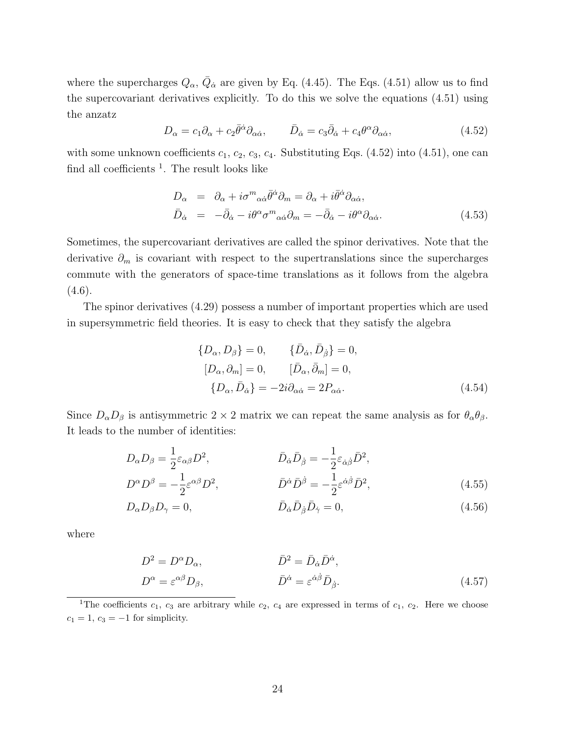where the supercharges  $Q_{\alpha}$ ,  $\overline{Q}_{\dot{\alpha}}$  are given by Eq. (4.45). The Eqs. (4.51) allow us to find the supercovariant derivatives explicitly. To do this we solve the equations (4.51) using the anzatz

$$
D_{\alpha} = c_1 \partial_{\alpha} + c_2 \bar{\theta}^{\dot{\alpha}} \partial_{\alpha \dot{\alpha}}, \qquad \bar{D}_{\dot{\alpha}} = c_3 \bar{\partial}_{\dot{\alpha}} + c_4 \theta^{\alpha} \partial_{\alpha \dot{\alpha}}, \qquad (4.52)
$$

with some unknown coefficients  $c_1$ ,  $c_2$ ,  $c_3$ ,  $c_4$ . Substituting Eqs. (4.52) into (4.51), one can find all coefficients  $<sup>1</sup>$ . The result looks like</sup>

$$
D_{\alpha} = \partial_{\alpha} + i\sigma^{m}{}_{\alpha\dot{\alpha}}\bar{\theta}^{\dot{\alpha}}\partial_{m} = \partial_{\alpha} + i\bar{\theta}^{\dot{\alpha}}\partial_{\alpha\dot{\alpha}},
$$
  
\n
$$
\bar{D}_{\dot{\alpha}} = -\bar{\partial}_{\dot{\alpha}} - i\theta^{\alpha}{}_{\sigma}{}^{m}{}_{\alpha\dot{\alpha}}\partial_{m} = -\bar{\partial}_{\dot{\alpha}} - i\theta^{\alpha}{}_{\partial_{\alpha\dot{\alpha}}}.
$$
\n(4.53)

Sometimes, the supercovariant derivatives are called the spinor derivatives. Note that the derivative  $\partial_m$  is covariant with respect to the supertranslations since the supercharges commute with the generators of space-time translations as it follows from the algebra  $(4.6).$ 

The spinor derivatives (4.29) possess a number of important properties which are used in supersymmetric field theories. It is easy to check that they satisfy the algebra

$$
\{D_{\alpha}, D_{\beta}\} = 0, \qquad \{\bar{D}_{\dot{\alpha}}, \bar{D}_{\dot{\beta}}\} = 0,
$$
  
\n
$$
[D_{\alpha}, \partial_{m}] = 0, \qquad [\bar{D}_{\alpha}, \bar{\partial}_{m}] = 0,
$$
  
\n
$$
\{D_{\alpha}, \bar{D}_{\dot{\alpha}}\} = -2i\partial_{\alpha\dot{\alpha}} = 2P_{\alpha\dot{\alpha}}.
$$
\n(4.54)

Since  $D_{\alpha}D_{\beta}$  is antisymmetric 2 × 2 matrix we can repeat the same analysis as for  $\theta_{\alpha}\theta_{\beta}$ . It leads to the number of identities:

$$
D_{\alpha}D_{\beta} = \frac{1}{2}\varepsilon_{\alpha\beta}D^2, \qquad \qquad \bar{D}_{\dot{\alpha}}\bar{D}_{\dot{\beta}} = -\frac{1}{2}\varepsilon_{\dot{\alpha}\dot{\beta}}\bar{D}^2, \nD^{\alpha}D^{\beta} = -\frac{1}{2}\varepsilon^{\alpha\beta}D^2, \qquad \qquad \bar{D}^{\dot{\alpha}}\bar{D}^{\dot{\beta}} = -\frac{1}{2}\varepsilon^{\dot{\alpha}\dot{\beta}}\bar{D}^2,
$$
\n(4.55)

$$
\bar{D}_{\alpha}D_{\beta}D_{\gamma} = 0, \qquad \qquad \bar{D}_{\dot{\alpha}}\bar{D}_{\dot{\beta}}\bar{D}_{\dot{\gamma}} = 0, \qquad (4.56)
$$

where

$$
D^2 = D^{\alpha} D_{\alpha}, \qquad \qquad \bar{D}^2 = \bar{D}_{\dot{\alpha}} \bar{D}^{\dot{\alpha}},
$$

$$
D^{\alpha} = \varepsilon^{\alpha \beta} D_{\beta}, \qquad \qquad \bar{D}^{\dot{\alpha}} = \varepsilon^{\dot{\alpha}\dot{\beta}} \bar{D}_{\dot{\beta}}.
$$
(4.57)

<sup>1</sup>The coefficients  $c_1$ ,  $c_3$  are arbitrary while  $c_2$ ,  $c_4$  are expressed in terms of  $c_1$ ,  $c_2$ . Here we choose  $c_1 = 1, c_3 = -1$  for simplicity.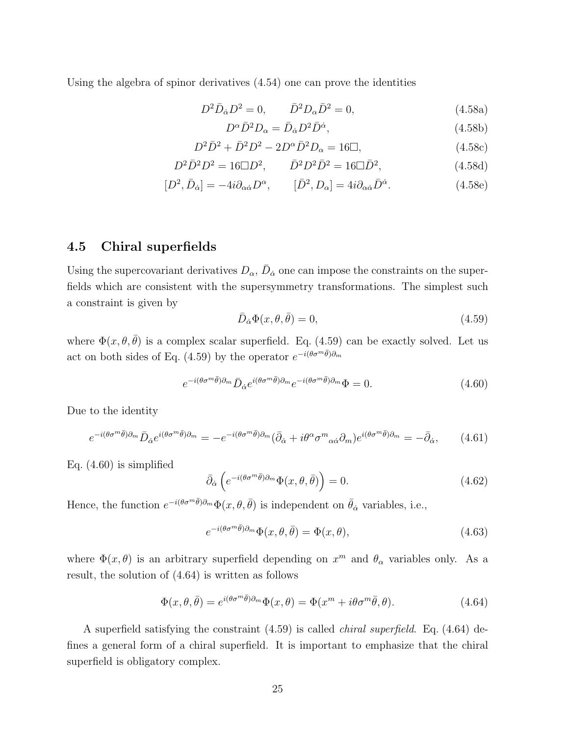Using the algebra of spinor derivatives (4.54) one can prove the identities

$$
D^2 \bar{D}_{\dot{\alpha}} D^2 = 0, \qquad \bar{D}^2 D_{\alpha} \bar{D}^2 = 0,
$$
\n(4.58a)

$$
D^{\alpha}\bar{D}^{2}D_{\alpha} = \bar{D}_{\dot{\alpha}}D^{2}\bar{D}^{\dot{\alpha}},\tag{4.58b}
$$

$$
D^2 \bar{D}^2 + \bar{D}^2 D^2 - 2D^{\alpha} \bar{D}^2 D_{\alpha} = 16 \Box, \tag{4.58c}
$$

$$
D^2 \bar{D}^2 D^2 = 16 \Box D^2, \qquad \bar{D}^2 D^2 \bar{D}^2 = 16 \Box \bar{D}^2, \tag{4.58d}
$$

$$
[D^2, \bar{D}_{\dot{\alpha}}] = -4i\partial_{\alpha\dot{\alpha}}D^{\alpha}, \qquad [\bar{D}^2, D_{\alpha}] = 4i\partial_{\alpha\dot{\alpha}}\bar{D}^{\dot{\alpha}}.
$$
 (4.58e)

### **4.5 Chiral superfields**

Using the supercovariant derivatives  $D_{\alpha}$ ,  $\bar{D}_{\dot{\alpha}}$  one can impose the constraints on the superfields which are consistent with the supersymmetry transformations. The simplest such a constraint is given by

$$
\bar{D}_{\dot{\alpha}}\Phi(x,\theta,\bar{\theta}) = 0,\tag{4.59}
$$

where  $\Phi(x, \theta, \bar{\theta})$  is a complex scalar superfield. Eq. (4.59) can be exactly solved. Let us act on both sides of Eq. (4.59) by the operator  $e^{-i(\theta \sigma^m \bar{\theta})\partial_m}$ 

$$
e^{-i(\theta\sigma^m\bar{\theta})\partial_m}\bar{D}_{\dot{\alpha}}e^{i(\theta\sigma^m\bar{\theta})\partial_m}e^{-i(\theta\sigma^m\bar{\theta})\partial_m}\Phi = 0.
$$
 (4.60)

Due to the identity

$$
e^{-i(\theta\sigma^m\bar{\theta})\partial_m}\bar{D}_{\dot{\alpha}}e^{i(\theta\sigma^m\bar{\theta})\partial_m} = -e^{-i(\theta\sigma^m\bar{\theta})\partial_m}(\bar{\partial}_{\dot{\alpha}} + i\theta^{\alpha}\sigma^m{}_{\alpha\dot{\alpha}}\partial_m)e^{i(\theta\sigma^m\bar{\theta})\partial_m} = -\bar{\partial}_{\dot{\alpha}},\tag{4.61}
$$

Eq.  $(4.60)$  is simplified

$$
\bar{\partial}_{\dot{\alpha}}\left(e^{-i(\theta\sigma^{m}\bar{\theta})\partial_{m}}\Phi(x,\theta,\bar{\theta})\right) = 0.
$$
\n(4.62)

Hence, the function  $e^{-i(\theta \sigma^m \bar{\theta})\partial_m} \Phi(x, \theta, \bar{\theta})$  is independent on  $\bar{\theta}_{\dot{\alpha}}$  variables, i.e.,

$$
e^{-i(\theta \sigma^m \bar{\theta})\partial_m} \Phi(x, \theta, \bar{\theta}) = \Phi(x, \theta), \qquad (4.63)
$$

where  $\Phi(x,\theta)$  is an arbitrary superfield depending on  $x^m$  and  $\theta_\alpha$  variables only. As a result, the solution of (4.64) is written as follows

$$
\Phi(x,\theta,\bar{\theta}) = e^{i(\theta\sigma^m\bar{\theta})\partial_m}\Phi(x,\theta) = \Phi(x^m + i\theta\sigma^m\bar{\theta},\theta). \tag{4.64}
$$

A superfield satisfying the constraint (4.59) is called *chiral superfield*. Eq. (4.64) defines a general form of a chiral superfield. It is important to emphasize that the chiral superfield is obligatory complex.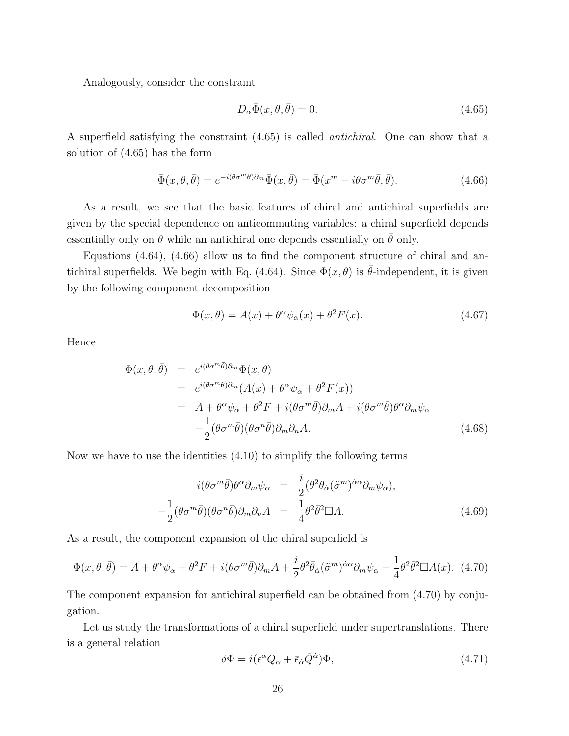Analogously, consider the constraint

$$
D_{\alpha}\bar{\Phi}(x,\theta,\bar{\theta}) = 0. \tag{4.65}
$$

A superfield satisfying the constraint (4.65) is called *antichiral*. One can show that a solution of (4.65) has the form

$$
\bar{\Phi}(x,\theta,\bar{\theta}) = e^{-i(\theta\sigma^m\bar{\theta})\partial_m}\bar{\Phi}(x,\bar{\theta}) = \bar{\Phi}(x^m - i\theta\sigma^m\bar{\theta},\bar{\theta}).\tag{4.66}
$$

As a result, we see that the basic features of chiral and antichiral superfields are given by the special dependence on anticommuting variables: a chiral superfield depends essentially only on  $\theta$  while an antichiral one depends essentially on  $\theta$  only.

Equations (4.64), (4.66) allow us to find the component structure of chiral and antichiral superfields. We begin with Eq. (4.64). Since  $\Phi(x, \theta)$  is  $\theta$ -independent, it is given by the following component decomposition

$$
\Phi(x,\theta) = A(x) + \theta^{\alpha}\psi_{\alpha}(x) + \theta^{2}F(x). \qquad (4.67)
$$

Hence

$$
\Phi(x,\theta,\bar{\theta}) = e^{i(\theta\sigma^m\bar{\theta})\partial_m}\Phi(x,\theta)
$$
  
\n
$$
= e^{i(\theta\sigma^m\bar{\theta})\partial_m}(A(x) + \theta^\alpha\psi_\alpha + \theta^2 F(x))
$$
  
\n
$$
= A + \theta^\alpha\psi_\alpha + \theta^2 F + i(\theta\sigma^m\bar{\theta})\partial_m A + i(\theta\sigma^m\bar{\theta})\theta^\alpha\partial_m\psi_\alpha
$$
  
\n
$$
- \frac{1}{2}(\theta\sigma^m\bar{\theta})(\theta\sigma^n\bar{\theta})\partial_m\partial_n A.
$$
\n(4.68)

Now we have to use the identities (4.10) to simplify the following terms

$$
i(\theta\sigma^m\bar{\theta})\theta^{\alpha}\partial_m\psi_{\alpha} = \frac{i}{2}(\theta^2\theta_{\dot{\alpha}}(\tilde{\sigma}^m)^{\dot{\alpha}\alpha}\partial_m\psi_{\alpha}),
$$
  

$$
-\frac{1}{2}(\theta\sigma^m\bar{\theta})(\theta\sigma^n\bar{\theta})\partial_m\partial_nA = \frac{1}{4}\theta^2\bar{\theta}^2\Box A.
$$
 (4.69)

As a result, the component expansion of the chiral superfield is

$$
\Phi(x,\theta,\bar{\theta}) = A + \theta^{\alpha}\psi_{\alpha} + \theta^{2}F + i(\theta\sigma^{m}\bar{\theta})\partial_{m}A + \frac{i}{2}\theta^{2}\bar{\theta}_{\dot{\alpha}}(\tilde{\sigma}^{m})^{\dot{\alpha}\alpha}\partial_{m}\psi_{\alpha} - \frac{1}{4}\theta^{2}\bar{\theta}^{2}\Box A(x). \tag{4.70}
$$

The component expansion for antichiral superfield can be obtained from (4.70) by conjugation.

Let us study the transformations of a chiral superfield under supertranslations. There is a general relation

$$
\delta\Phi = i(\epsilon^{\alpha}Q_{\alpha} + \bar{\epsilon}_{\dot{\alpha}}\bar{Q}^{\dot{\alpha}})\Phi, \tag{4.71}
$$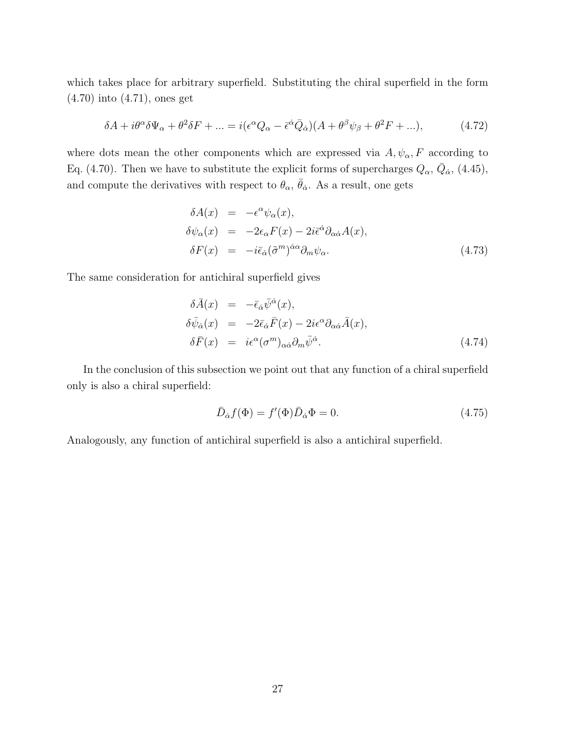which takes place for arbitrary superfield. Substituting the chiral superfield in the form (4.70) into (4.71), ones get

$$
\delta A + i\theta^{\alpha}\delta\Psi_{\alpha} + \theta^{2}\delta F + \dots = i(\epsilon^{\alpha}Q_{\alpha} - \bar{\epsilon}^{\dot{\alpha}}\bar{Q}_{\dot{\alpha}})(A + \theta^{\beta}\psi_{\beta} + \theta^{2}F + \dots), \tag{4.72}
$$

where dots mean the other components which are expressed via  $A, \psi_{\alpha}, F$  according to Eq. (4.70). Then we have to substitute the explicit forms of supercharges  $Q_{\alpha}$ ,  $\bar{Q}_{\dot{\alpha}}$ , (4.45), and compute the derivatives with respect to  $\theta_{\alpha}$ ,  $\bar{\theta}_{\dot{\alpha}}$ . As a result, one gets

$$
\delta A(x) = -\epsilon^{\alpha} \psi_{\alpha}(x), \n\delta \psi_{\alpha}(x) = -2\epsilon_{\alpha} F(x) - 2i \bar{\epsilon}^{\dot{\alpha}} \partial_{\alpha \dot{\alpha}} A(x), \n\delta F(x) = -i \bar{\epsilon}_{\dot{\alpha}} (\tilde{\sigma}^{m})^{\dot{\alpha}\alpha} \partial_{m} \psi_{\alpha}.
$$
\n(4.73)

The same consideration for antichiral superfield gives

$$
\delta \bar{A}(x) = -\bar{\epsilon}_{\dot{\alpha}} \bar{\psi}^{\dot{\alpha}}(x), \n\delta \bar{\psi}_{\dot{\alpha}}(x) = -2\bar{\epsilon}_{\dot{\alpha}} \bar{F}(x) - 2i\epsilon^{\alpha} \partial_{\alpha \dot{\alpha}} \bar{A}(x), \n\delta \bar{F}(x) = i\epsilon^{\alpha} (\sigma^{m})_{\alpha \dot{\alpha}} \partial_{m} \bar{\psi}^{\dot{\alpha}}.
$$
\n(4.74)

In the conclusion of this subsection we point out that any function of a chiral superfield only is also a chiral superfield:

$$
\bar{D}_{\dot{\alpha}}f(\Phi) = f'(\Phi)\bar{D}_{\dot{\alpha}}\Phi = 0.
$$
\n(4.75)

Analogously, any function of antichiral superfield is also a antichiral superfield.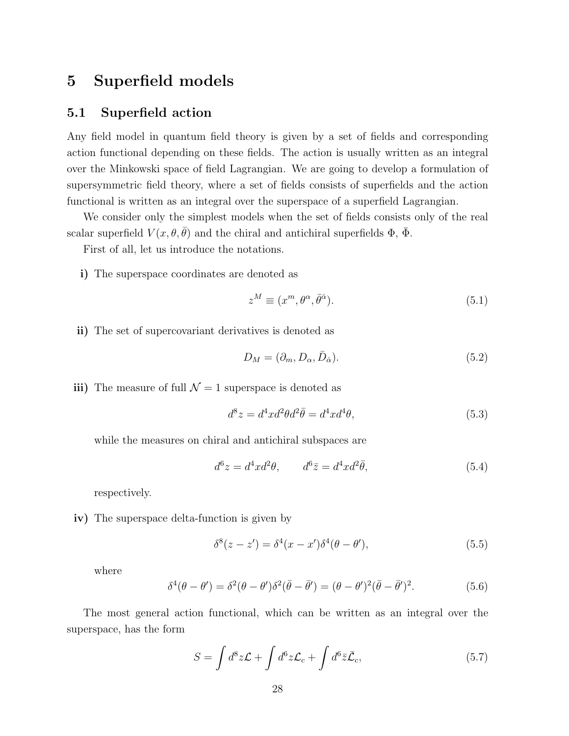### **5 Superfield models**

### **5.1 Superfield action**

Any field model in quantum field theory is given by a set of fields and corresponding action functional depending on these fields. The action is usually written as an integral over the Minkowski space of field Lagrangian. We are going to develop a formulation of supersymmetric field theory, where a set of fields consists of superfields and the action functional is written as an integral over the superspace of a superfield Lagrangian.

We consider only the simplest models when the set of fields consists only of the real scalar superfield  $V(x, \theta, \bar{\theta})$  and the chiral and antichiral superfields  $\Phi$ ,  $\Phi$ .

First of all, let us introduce the notations.

**i)** The superspace coordinates are denoted as

$$
z^M \equiv (x^m, \theta^\alpha, \bar{\theta}^{\dot{\alpha}}). \tag{5.1}
$$

**ii)** The set of supercovariant derivatives is denoted as

$$
D_M = (\partial_m, D_\alpha, \bar{D}_{\dot{\alpha}}). \tag{5.2}
$$

**iii)** The measure of full  $\mathcal{N} = 1$  superspace is denoted as

$$
d^8 z = d^4 x d^2 \theta d^2 \overline{\theta} = d^4 x d^4 \theta,\tag{5.3}
$$

while the measures on chiral and antichiral subspaces are

$$
d^6 z = d^4 x d^2 \theta, \qquad d^6 \bar{z} = d^4 x d^2 \bar{\theta}, \tag{5.4}
$$

respectively.

**iv)** The superspace delta-function is given by

$$
\delta^{8}(z-z') = \delta^{4}(x-x')\delta^{4}(\theta-\theta'), \qquad (5.5)
$$

where

$$
\delta^4(\theta - \theta') = \delta^2(\theta - \theta')\delta^2(\bar{\theta} - \bar{\theta}') = (\theta - \theta')^2(\bar{\theta} - \bar{\theta}')^2. \tag{5.6}
$$

The most general action functional, which can be written as an integral over the superspace, has the form

$$
S = \int d^8 z \mathcal{L} + \int d^6 z \mathcal{L}_c + \int d^6 \bar{z} \bar{\mathcal{L}}_c, \qquad (5.7)
$$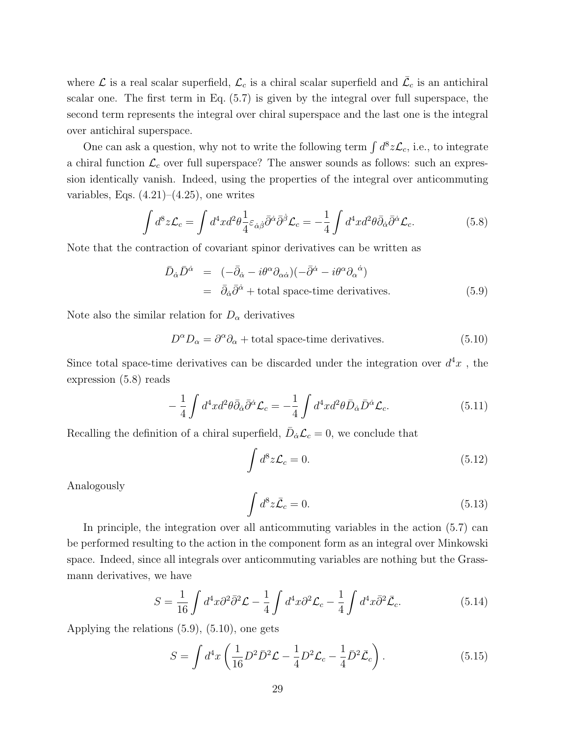where  $\mathcal L$  is a real scalar superfield,  $\mathcal L_c$  is a chiral scalar superfield and  $\bar{\mathcal L}_c$  is an antichiral scalar one. The first term in Eq. (5.7) is given by the integral over full superspace, the second term represents the integral over chiral superspace and the last one is the integral over antichiral superspace.

One can ask a question, why not to write the following term  $\int d^8 z \mathcal{L}_c$ , i.e., to integrate a chiral function  $\mathcal{L}_c$  over full superspace? The answer sounds as follows: such an expression identically vanish. Indeed, using the properties of the integral over anticommuting variables, Eqs.  $(4.21)$ – $(4.25)$ , one writes

$$
\int d^8 z \mathcal{L}_c = \int d^4 x d^2 \theta \frac{1}{4} \varepsilon_{\dot{\alpha}\dot{\beta}} \bar{\partial}^{\dot{\alpha}} \bar{\partial}^{\dot{\beta}} \mathcal{L}_c = -\frac{1}{4} \int d^4 x d^2 \theta \bar{\partial}_{\dot{\alpha}} \bar{\partial}^{\dot{\alpha}} \mathcal{L}_c.
$$
 (5.8)

Note that the contraction of covariant spinor derivatives can be written as

$$
\bar{D}_{\dot{\alpha}} \bar{D}^{\dot{\alpha}} = (-\bar{\partial}_{\dot{\alpha}} - i\theta^{\alpha} \partial_{\alpha \dot{\alpha}})(-\bar{\partial}^{\dot{\alpha}} - i\theta^{\alpha} \partial_{\alpha}^{\dot{\alpha}})
$$
\n
$$
= \bar{\partial}_{\dot{\alpha}} \bar{\partial}^{\dot{\alpha}} + \text{total space-time derivatives.} \tag{5.9}
$$

Note also the similar relation for  $D_{\alpha}$  derivatives

$$
D^{\alpha}D_{\alpha} = \partial^{\alpha}\partial_{\alpha} + \text{total space-time derivatives.}
$$
 (5.10)

Since total space-time derivatives can be discarded under the integration over  $d^4x$ , the expression (5.8) reads

$$
-\frac{1}{4}\int d^4x d^2\theta \bar{\partial}_{\dot{\alpha}}\bar{\partial}^{\dot{\alpha}}\mathcal{L}_c = -\frac{1}{4}\int d^4x d^2\theta \bar{D}_{\dot{\alpha}}\bar{D}^{\dot{\alpha}}\mathcal{L}_c.
$$
 (5.11)

Recalling the definition of a chiral superfield,  $\bar{D}_{\dot{\alpha}} \mathcal{L}_c = 0$ , we conclude that

$$
\int d^8 z \mathcal{L}_c = 0. \tag{5.12}
$$

Analogously

$$
\int d^8 z \bar{\mathcal{L}}_c = 0. \tag{5.13}
$$

In principle, the integration over all anticommuting variables in the action (5.7) can be performed resulting to the action in the component form as an integral over Minkowski space. Indeed, since all integrals over anticommuting variables are nothing but the Grassmann derivatives, we have

$$
S = \frac{1}{16} \int d^4x \partial^2 \bar{\partial}^2 \mathcal{L} - \frac{1}{4} \int d^4x \partial^2 \mathcal{L}_c - \frac{1}{4} \int d^4x \bar{\partial}^2 \bar{\mathcal{L}}_c.
$$
 (5.14)

Applying the relations (5.9), (5.10), one gets

$$
S = \int d^4x \left( \frac{1}{16} D^2 \bar{D}^2 \mathcal{L} - \frac{1}{4} D^2 \mathcal{L}_c - \frac{1}{4} \bar{D}^2 \bar{\mathcal{L}}_c \right).
$$
 (5.15)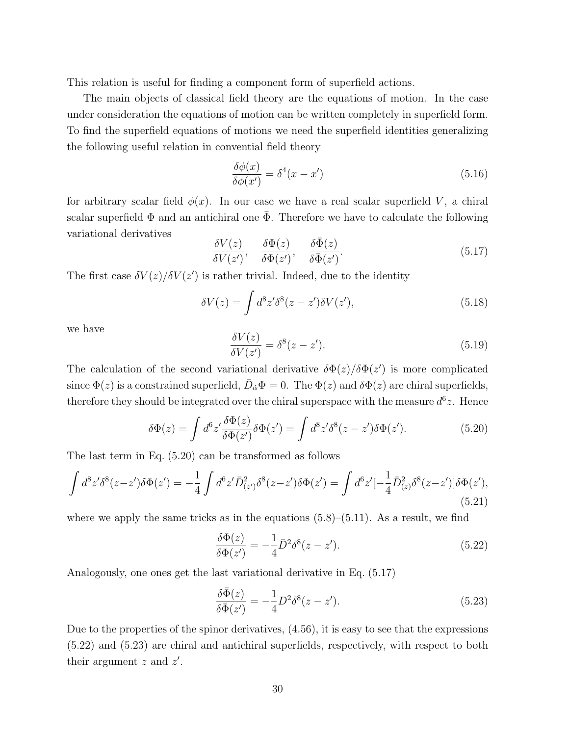This relation is useful for finding a component form of superfield actions.

The main objects of classical field theory are the equations of motion. In the case under consideration the equations of motion can be written completely in superfield form. To find the superfield equations of motions we need the superfield identities generalizing the following useful relation in convential field theory

$$
\frac{\delta\phi(x)}{\delta\phi(x')} = \delta^4(x - x')
$$
\n(5.16)

for arbitrary scalar field  $\phi(x)$ . In our case we have a real scalar superfield *V*, a chiral scalar superfield  $\Phi$  and an antichiral one  $\bar{\Phi}$ . Therefore we have to calculate the following variational derivatives

$$
\frac{\delta V(z)}{\delta V(z')}, \quad \frac{\delta \Phi(z)}{\delta \Phi(z')}, \quad \frac{\delta \bar{\Phi}(z)}{\delta \bar{\Phi}(z')}.
$$
\n(5.17)

The first case  $\delta V(z)/\delta V(z')$  is rather trivial. Indeed, due to the identity

$$
\delta V(z) = \int d^8 z' \delta^8(z - z') \delta V(z'),\tag{5.18}
$$

we have

$$
\frac{\delta V(z)}{\delta V(z')} = \delta^8(z - z'). \tag{5.19}
$$

The calculation of the second variational derivative  $\delta\Phi(z)/\delta\Phi(z')$  is more complicated since  $\Phi(z)$  is a constrained superfield,  $\bar{D}_{\dot{\alpha}}\Phi = 0$ . The  $\Phi(z)$  and  $\delta\Phi(z)$  are chiral superfields, therefore they should be integrated over the chiral superspace with the measure  $d^6z$ . Hence

$$
\delta\Phi(z) = \int d^6 z' \frac{\delta\Phi(z)}{\delta\Phi(z')} \delta\Phi(z') = \int d^8 z' \delta^8(z - z') \delta\Phi(z'). \tag{5.20}
$$

The last term in Eq. (5.20) can be transformed as follows

$$
\int d^8 z' \delta^8(z-z') \delta \Phi(z') = -\frac{1}{4} \int d^6 z' \bar{D}_{(z')}^2 \delta^8(z-z') \delta \Phi(z') = \int d^6 z' [-\frac{1}{4} \bar{D}_{(z)}^2 \delta^8(z-z')] \delta \Phi(z'),\tag{5.21}
$$

where we apply the same tricks as in the equations  $(5.8)$ – $(5.11)$ . As a result, we find

$$
\frac{\delta\Phi(z)}{\delta\Phi(z')} = -\frac{1}{4}\bar{D}^2\delta^8(z-z').\tag{5.22}
$$

Analogously, one ones get the last variational derivative in Eq. (5.17)

$$
\frac{\delta\bar{\Phi}(z)}{\delta\bar{\Phi}(z')} = -\frac{1}{4}D^2\delta^8(z-z').
$$
\n(5.23)

Due to the properties of the spinor derivatives, (4.56), it is easy to see that the expressions (5.22) and (5.23) are chiral and antichiral superfields, respectively, with respect to both their argument *z* and *z ′* .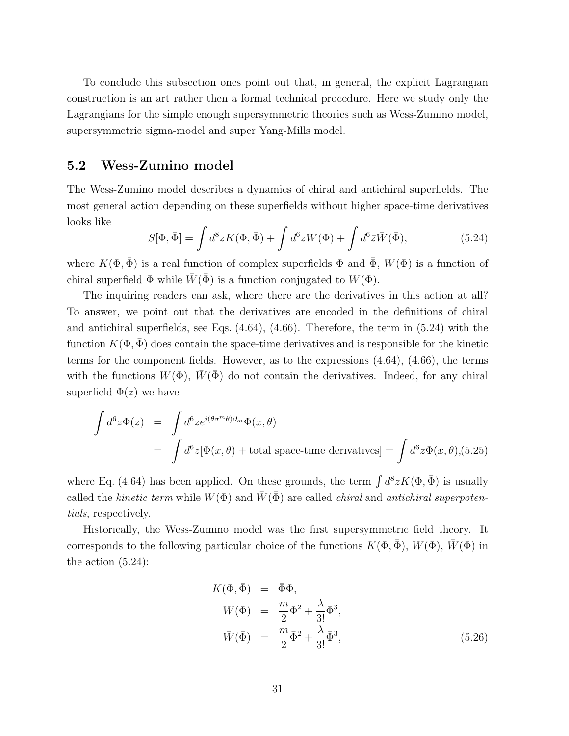To conclude this subsection ones point out that, in general, the explicit Lagrangian construction is an art rather then a formal technical procedure. Here we study only the Lagrangians for the simple enough supersymmetric theories such as Wess-Zumino model, supersymmetric sigma-model and super Yang-Mills model.

#### **5.2 Wess-Zumino model**

The Wess-Zumino model describes a dynamics of chiral and antichiral superfields. The most general action depending on these superfields without higher space-time derivatives looks like

$$
S[\Phi, \bar{\Phi}] = \int d^8 z K(\Phi, \bar{\Phi}) + \int d^6 z W(\Phi) + \int d^6 \bar{z} \bar{W}(\bar{\Phi}), \qquad (5.24)
$$

where  $K(\Phi, \bar{\Phi})$  is a real function of complex superfields  $\Phi$  and  $\bar{\Phi}$ ,  $W(\Phi)$  is a function of chiral superfield  $\Phi$  while  $\overline{W}(\overline{\Phi})$  is a function conjugated to  $W(\Phi)$ .

The inquiring readers can ask, where there are the derivatives in this action at all? To answer, we point out that the derivatives are encoded in the definitions of chiral and antichiral superfields, see Eqs. (4.64), (4.66). Therefore, the term in (5.24) with the function  $K(\Phi, \Phi)$  does contain the space-time derivatives and is responsible for the kinetic terms for the component fields. However, as to the expressions (4.64), (4.66), the terms with the functions  $W(\Phi)$ ,  $W(\Phi)$  do not contain the derivatives. Indeed, for any chiral superfield  $\Phi(z)$  we have

$$
\int d^6 z \Phi(z) = \int d^6 z e^{i(\theta \sigma^m \bar{\theta}) \partial_m} \Phi(x, \theta)
$$
  
= 
$$
\int d^6 z [\Phi(x, \theta) + \text{total space-time derivatives}] = \int d^6 z \Phi(x, \theta), (5.25)
$$

where Eq. (4.64) has been applied. On these grounds, the term  $\int d^8 z K(\Phi, \bar{\Phi})$  is usually called the *kinetic term* while  $W(\Phi)$  and  $\overline{W}(\overline{\Phi})$  are called *chiral* and *antichiral superpotentials*, respectively.

Historically, the Wess-Zumino model was the first supersymmetric field theory. It corresponds to the following particular choice of the functions  $K(\Phi, \Phi)$ ,  $W(\Phi)$ ,  $W(\Phi)$  in the action (5.24):

$$
K(\Phi, \bar{\Phi}) = \bar{\Phi}\Phi,
$$
  
\n
$$
W(\Phi) = \frac{m}{2}\Phi^2 + \frac{\lambda}{3!}\Phi^3,
$$
  
\n
$$
\bar{W}(\bar{\Phi}) = \frac{m}{2}\bar{\Phi}^2 + \frac{\lambda}{3!}\bar{\Phi}^3,
$$
\n(5.26)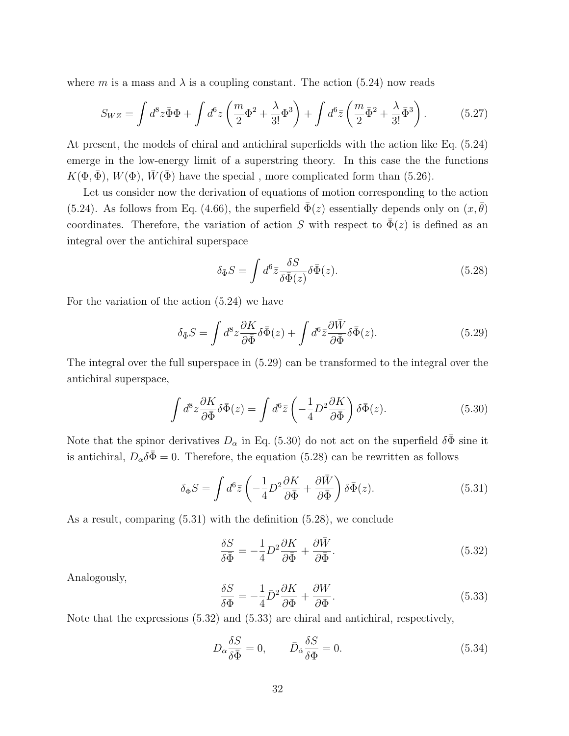where *m* is a mass and  $\lambda$  is a coupling constant. The action (5.24) now reads

$$
S_{WZ} = \int d^8 z \bar{\Phi} \Phi + \int d^6 z \left( \frac{m}{2} \Phi^2 + \frac{\lambda}{3!} \Phi^3 \right) + \int d^6 \bar{z} \left( \frac{m}{2} \bar{\Phi}^2 + \frac{\lambda}{3!} \bar{\Phi}^3 \right). \tag{5.27}
$$

At present, the models of chiral and antichiral superfields with the action like Eq. (5.24) emerge in the low-energy limit of a superstring theory. In this case the the functions  $K(\Phi, \overline{\Phi})$ ,  $W(\Phi)$ ,  $\overline{W}(\overline{\Phi})$  have the special, more complicated form than (5.26).

Let us consider now the derivation of equations of motion corresponding to the action (5.24). As follows from Eq. (4.66), the superfield  $\Phi(z)$  essentially depends only on  $(x, \theta)$ coordinates. Therefore, the variation of action *S* with respect to  $\bar{\Phi}(z)$  is defined as an integral over the antichiral superspace

$$
\delta_{\bar{\Phi}}S = \int d^6 \bar{z} \frac{\delta S}{\delta \bar{\Phi}(z)} \delta \bar{\Phi}(z). \tag{5.28}
$$

For the variation of the action (5.24) we have

$$
\delta_{\bar{\Phi}}S = \int d^8 z \frac{\partial K}{\partial \bar{\Phi}} \delta \bar{\Phi}(z) + \int d^6 \bar{z} \frac{\partial \bar{W}}{\partial \bar{\Phi}} \delta \bar{\Phi}(z). \tag{5.29}
$$

The integral over the full superspace in (5.29) can be transformed to the integral over the antichiral superspace,

$$
\int d^8 z \frac{\partial K}{\partial \bar{\Phi}} \delta \bar{\Phi}(z) = \int d^6 \bar{z} \left( -\frac{1}{4} D^2 \frac{\partial K}{\partial \bar{\Phi}} \right) \delta \bar{\Phi}(z). \tag{5.30}
$$

Note that the spinor derivatives  $D_{\alpha}$  in Eq. (5.30) do not act on the superfield  $\delta\bar{\Phi}$  sine it is antichiral,  $D_{\alpha}\delta\bar{\Phi} = 0$ . Therefore, the equation (5.28) can be rewritten as follows

$$
\delta_{\bar{\Phi}}S = \int d^6 \bar{z} \left( -\frac{1}{4} D^2 \frac{\partial K}{\partial \bar{\Phi}} + \frac{\partial \bar{W}}{\partial \bar{\Phi}} \right) \delta \bar{\Phi}(z). \tag{5.31}
$$

As a result, comparing (5.31) with the definition (5.28), we conclude

$$
\frac{\delta S}{\delta \bar{\Phi}} = -\frac{1}{4} D^2 \frac{\partial K}{\partial \bar{\Phi}} + \frac{\partial \bar{W}}{\partial \bar{\Phi}}.
$$
\n(5.32)

Analogously,

$$
\frac{\delta S}{\delta \Phi} = -\frac{1}{4} \bar{D}^2 \frac{\partial K}{\partial \Phi} + \frac{\partial W}{\partial \Phi}.
$$
\n(5.33)

Note that the expressions (5.32) and (5.33) are chiral and antichiral, respectively,

$$
D_{\alpha} \frac{\delta S}{\delta \bar{\Phi}} = 0, \qquad \bar{D}_{\dot{\alpha}} \frac{\delta S}{\delta \Phi} = 0.
$$
 (5.34)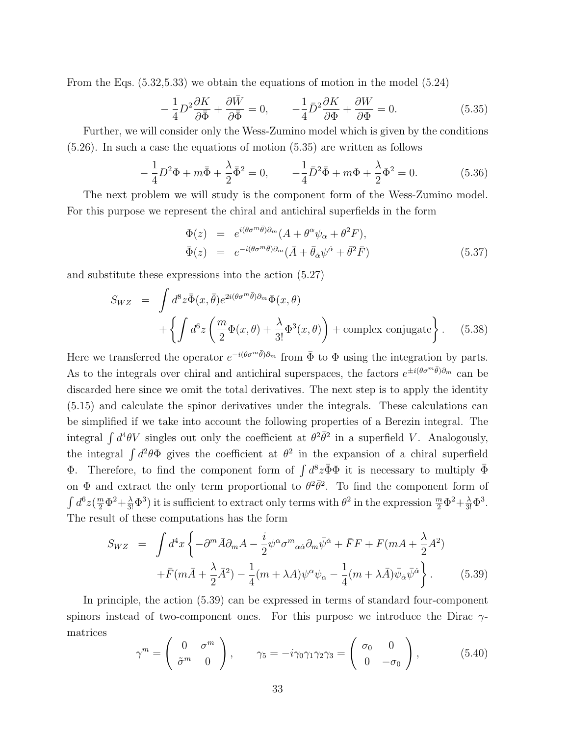From the Eqs. (5.32,5.33) we obtain the equations of motion in the model (5.24)

$$
-\frac{1}{4}D^2\frac{\partial K}{\partial \bar{\Phi}} + \frac{\partial \bar{W}}{\partial \bar{\Phi}} = 0, \qquad -\frac{1}{4}\bar{D}^2\frac{\partial K}{\partial \Phi} + \frac{\partial W}{\partial \Phi} = 0.
$$
 (5.35)

Further, we will consider only the Wess-Zumino model which is given by the conditions (5.26). In such a case the equations of motion (5.35) are written as follows

$$
-\frac{1}{4}D^2\Phi + m\bar{\Phi} + \frac{\lambda}{2}\bar{\Phi}^2 = 0, \qquad -\frac{1}{4}\bar{D}^2\bar{\Phi} + m\Phi + \frac{\lambda}{2}\Phi^2 = 0.
$$
 (5.36)

The next problem we will study is the component form of the Wess-Zumino model. For this purpose we represent the chiral and antichiral superfields in the form

$$
\begin{array}{rcl}\n\Phi(z) & = & e^{i(\theta \sigma^m \bar{\theta})\partial_m}(A + \theta^\alpha \psi_\alpha + \theta^2 F), \\
\bar{\Phi}(z) & = & e^{-i(\theta \sigma^m \bar{\theta})\partial_m}(\bar{A} + \bar{\theta}_\alpha \psi^\alpha + \bar{\theta}^2 \bar{F})\n\end{array} \tag{5.37}
$$

and substitute these expressions into the action (5.27)

$$
S_{WZ} = \int d^8 z \bar{\Phi}(x, \bar{\theta}) e^{2i(\theta \sigma^m \bar{\theta})\partial_m} \Phi(x, \theta)
$$
  
+ 
$$
\left\{ \int d^6 z \left( \frac{m}{2} \Phi(x, \theta) + \frac{\lambda}{3!} \Phi^3(x, \theta) \right) + \text{complex conjugate} \right\}.
$$
 (5.38)

Here we transferred the operator  $e^{-i(\theta \sigma^m \bar{\theta})\partial_m}$  from  $\bar{\Phi}$  to  $\Phi$  using the integration by parts. As to the integrals over chiral and antichiral superspaces, the factors  $e^{\pm i(\theta \sigma^m \bar{\theta})\partial_m}$  can be discarded here since we omit the total derivatives. The next step is to apply the identity (5.15) and calculate the spinor derivatives under the integrals. These calculations can be simplified if we take into account the following properties of a Berezin integral. The integral  $\int d^4\theta V$  singles out only the coefficient at  $\theta^2 \bar{\theta}^2$  in a superfield *V*. Analogously, the integral  $\int d^2\theta \Phi$  gives the coefficient at  $\theta^2$  in the expansion of a chiral superfield Φ. Therefore, to find the component form of  $\int d^8z \bar{\Phi} \Phi$  it is necessary to multiply  $\bar{\Phi}$ on  $\Phi$  and extract the only term proportional to  $\theta^2 \bar{\theta}^2$ . To find the component form of  $\int d^6z \left(\frac{m}{2}\Phi^2 + \frac{\lambda}{3!}\Phi^3\right)$  it is sufficient to extract only terms with  $\theta^2$  in the expression  $\frac{m}{2}\Phi^2 + \frac{\lambda}{3!}\Phi^3$ . The result of these computations has the form

$$
S_{WZ} = \int d^4x \left\{ -\partial^m \bar{A} \partial_m A - \frac{i}{2} \psi^\alpha \sigma^m{}_{\alpha \dot{\alpha}} \partial_m \bar{\psi}^{\dot{\alpha}} + \bar{F}F + F(mA + \frac{\lambda}{2}A^2) \right.+ \bar{F}(m\bar{A} + \frac{\lambda}{2}\bar{A}^2) - \frac{1}{4}(m + \lambda A) \psi^\alpha \psi_\alpha - \frac{1}{4}(m + \lambda \bar{A}) \bar{\psi}_{\dot{\alpha}} \bar{\psi}^{\dot{\alpha}} \right\}.
$$
(5.39)

In principle, the action (5.39) can be expressed in terms of standard four-component spinors instead of two-component ones. For this purpose we introduce the Dirac *γ*matrices

$$
\gamma^m = \begin{pmatrix} 0 & \sigma^m \\ \tilde{\sigma}^m & 0 \end{pmatrix}, \qquad \gamma_5 = -i\gamma_0\gamma_1\gamma_2\gamma_3 = \begin{pmatrix} \sigma_0 & 0 \\ 0 & -\sigma_0 \end{pmatrix}, \tag{5.40}
$$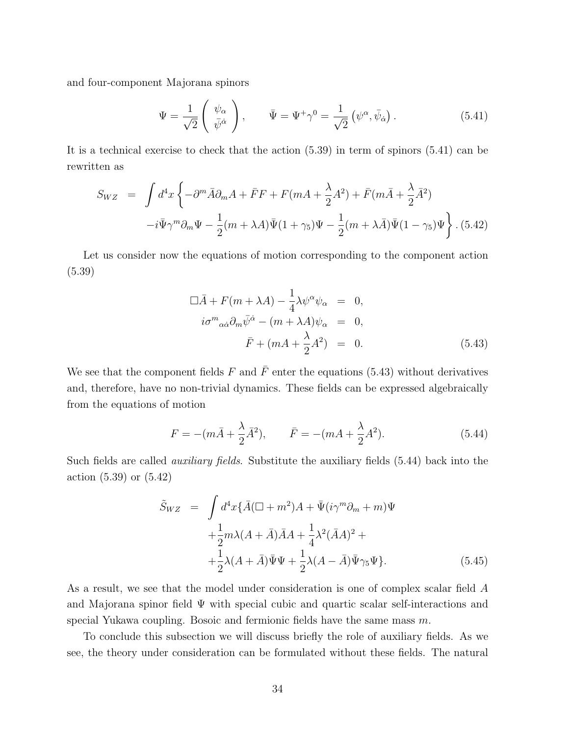and four-component Majorana spinors

$$
\Psi = \frac{1}{\sqrt{2}} \begin{pmatrix} \psi_{\alpha} \\ \bar{\psi}^{\dot{\alpha}} \end{pmatrix}, \qquad \bar{\Psi} = \Psi^{+} \gamma^{0} = \frac{1}{\sqrt{2}} \left( \psi^{\alpha}, \bar{\psi}_{\dot{\alpha}} \right). \tag{5.41}
$$

It is a technical exercise to check that the action (5.39) in term of spinors (5.41) can be rewritten as

$$
S_{WZ} = \int d^4x \left\{ -\partial^m \bar{A} \partial_m A + \bar{F}F + F(mA + \frac{\lambda}{2}A^2) + \bar{F}(m\bar{A} + \frac{\lambda}{2}\bar{A}^2) \right\}
$$

$$
-i\bar{\Psi}\gamma^m \partial_m \Psi - \frac{1}{2}(m + \lambda A)\bar{\Psi}(1 + \gamma_5)\Psi - \frac{1}{2}(m + \lambda \bar{A})\bar{\Psi}(1 - \gamma_5)\Psi \right\}.
$$
(5.42)

Let us consider now the equations of motion corresponding to the component action (5.39)

$$
\Box \bar{A} + F(m + \lambda A) - \frac{1}{4} \lambda \psi^{\alpha} \psi_{\alpha} = 0,
$$
  
\n
$$
i\sigma^{m}{}_{\alpha\dot{\alpha}} \partial_{m} \bar{\psi}^{\dot{\alpha}} - (m + \lambda A) \psi_{\alpha} = 0,
$$
  
\n
$$
\bar{F} + (mA + \frac{\lambda}{2} A^{2}) = 0.
$$
\n(5.43)

We see that the component fields  $F$  and  $\overline{F}$  enter the equations (5.43) without derivatives and, therefore, have no non-trivial dynamics. These fields can be expressed algebraically from the equations of motion

$$
F = -(m\bar{A} + \frac{\lambda}{2}\bar{A}^{2}), \qquad \bar{F} = -(m\bar{A} + \frac{\lambda}{2}A^{2}).
$$
 (5.44)

Such fields are called *auxiliary fields*. Substitute the auxiliary fields (5.44) back into the action (5.39) or (5.42)

$$
\tilde{S}_{WZ} = \int d^4x \{ \bar{A}(\Box + m^2)A + \bar{\Psi}(i\gamma^m \partial_m + m)\Psi
$$
  
 
$$
+ \frac{1}{2}m\lambda(A + \bar{A})\bar{A}A + \frac{1}{4}\lambda^2(\bar{A}A)^2 +
$$
  
 
$$
+ \frac{1}{2}\lambda(A + \bar{A})\bar{\Psi}\Psi + \frac{1}{2}\lambda(A - \bar{A})\bar{\Psi}\gamma_5\Psi \}.
$$
 (5.45)

As a result, we see that the model under consideration is one of complex scalar field *A* and Majorana spinor field  $\Psi$  with special cubic and quartic scalar self-interactions and special Yukawa coupling. Bosoic and fermionic fields have the same mass *m*.

To conclude this subsection we will discuss briefly the role of auxiliary fields. As we see, the theory under consideration can be formulated without these fields. The natural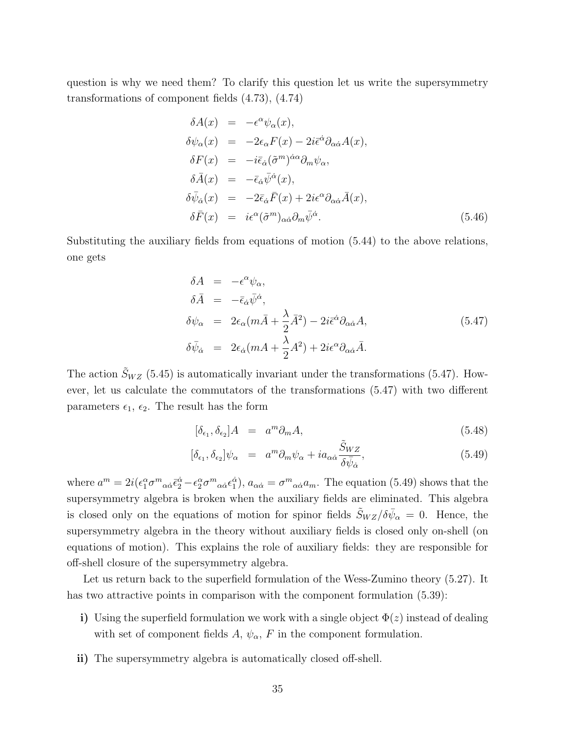question is why we need them? To clarify this question let us write the supersymmetry transformations of component fields (4.73), (4.74)

$$
\delta A(x) = -\epsilon^{\alpha} \psi_{\alpha}(x), \n\delta \psi_{\alpha}(x) = -2\epsilon_{\alpha} F(x) - 2i \bar{\epsilon}^{\dot{\alpha}} \partial_{\alpha \dot{\alpha}} A(x), \n\delta F(x) = -i \bar{\epsilon}_{\dot{\alpha}} (\tilde{\sigma}^{m})^{\dot{\alpha}\alpha} \partial_{m} \psi_{\alpha}, \n\delta \bar{A}(x) = -\bar{\epsilon}_{\dot{\alpha}} \bar{\psi}^{\dot{\alpha}}(x), \n\delta \bar{\psi}_{\dot{\alpha}}(x) = -2 \bar{\epsilon}_{\dot{\alpha}} \bar{F}(x) + 2i \epsilon^{\alpha} \partial_{\alpha \dot{\alpha}} \bar{A}(x), \n\delta \bar{F}(x) = i \epsilon^{\alpha} (\tilde{\sigma}^{m})_{\alpha \dot{\alpha}} \partial_{m} \bar{\psi}^{\dot{\alpha}}.
$$
\n(5.46)

Substituting the auxiliary fields from equations of motion (5.44) to the above relations, one gets

$$
\delta A = -\epsilon^{\alpha}\psi_{\alpha},
$$
  
\n
$$
\delta \bar{A} = -\bar{\epsilon}_{\dot{\alpha}}\bar{\psi}^{\dot{\alpha}},
$$
  
\n
$$
\delta \psi_{\alpha} = 2\epsilon_{\alpha}(m\bar{A} + \frac{\lambda}{2}\bar{A}^{2}) - 2i\bar{\epsilon}^{\dot{\alpha}}\partial_{\alpha\dot{\alpha}}A,
$$
  
\n
$$
\delta \bar{\psi}_{\dot{\alpha}} = 2\epsilon_{\dot{\alpha}}(m\bar{A} + \frac{\lambda}{2}\bar{A}^{2}) + 2i\epsilon^{\alpha}\partial_{\alpha\dot{\alpha}}\bar{A}.
$$
\n(5.47)

The action  $\tilde{S}_{WZ}$  (5.45) is automatically invariant under the transformations (5.47). However, let us calculate the commutators of the transformations (5.47) with two different parameters  $\epsilon_1$ ,  $\epsilon_2$ . The result has the form

$$
[\delta_{\epsilon_1}, \delta_{\epsilon_2}]A = a^m \partial_m A,\tag{5.48}
$$

$$
[\delta_{\epsilon_1}, \delta_{\epsilon_2}]\psi_\alpha = a^m \partial_m \psi_\alpha + i a_{\alpha \dot{\alpha}} \frac{\tilde{S}_{WZ}}{\delta \bar{\psi}_{\dot{\alpha}}},\tag{5.49}
$$

where  $a^m = 2i(\epsilon_1^{\alpha} \sigma^m{}_{\alpha \dot{\alpha}} \bar{\epsilon}_2^{\dot{\alpha}} - \epsilon_2^{\alpha} \sigma^m{}_{\alpha \dot{\alpha}} \epsilon_1^{\dot{\alpha}}), a_{\alpha \dot{\alpha}} = \sigma^m{}_{\alpha \dot{\alpha}} a_m$ . The equation (5.49) shows that the supersymmetry algebra is broken when the auxiliary fields are eliminated. This algebra is closed only on the equations of motion for spinor fields  $\tilde{S}_{WZ}/\delta \bar{\psi}_{\alpha} = 0$ . Hence, the supersymmetry algebra in the theory without auxiliary fields is closed only on-shell (on equations of motion). This explains the role of auxiliary fields: they are responsible for off-shell closure of the supersymmetry algebra.

Let us return back to the superfield formulation of the Wess-Zumino theory (5.27). It has two attractive points in comparison with the component formulation  $(5.39)$ :

- **i)** Using the superfield formulation we work with a single object  $\Phi(z)$  instead of dealing with set of component fields  $A, \psi_{\alpha}, F$  in the component formulation.
- **ii)** The supersymmetry algebra is automatically closed off-shell.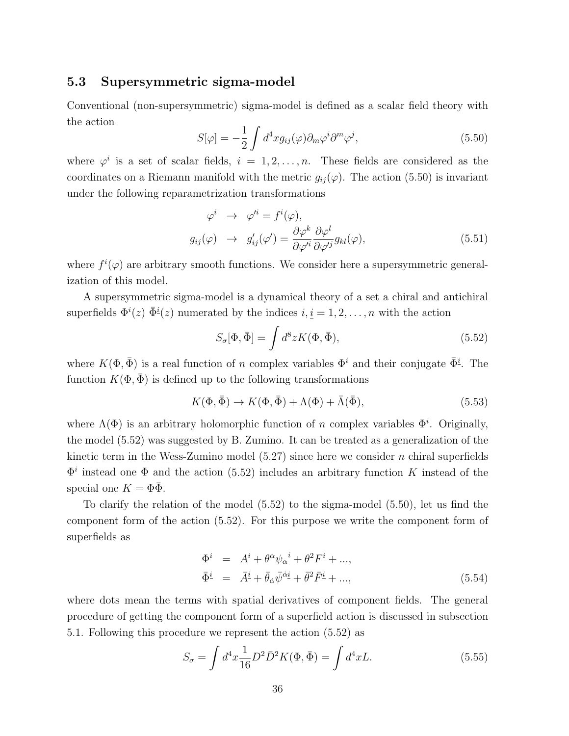### **5.3 Supersymmetric sigma-model**

Conventional (non-supersymmetric) sigma-model is defined as a scalar field theory with the action

$$
S[\varphi] = -\frac{1}{2} \int d^4x g_{ij}(\varphi) \partial_m \varphi^i \partial^m \varphi^j, \qquad (5.50)
$$

where  $\varphi^i$  is a set of scalar fields,  $i = 1, 2, \ldots, n$ . These fields are considered as the coordinates on a Riemann manifold with the metric  $g_{ij}(\varphi)$ . The action (5.50) is invariant under the following reparametrization transformations

$$
\varphi^i \to \varphi'^i = f^i(\varphi),
$$
  
\n
$$
g_{ij}(\varphi) \to g'_{ij}(\varphi') = \frac{\partial \varphi^k}{\partial \varphi'^i} \frac{\partial \varphi^l}{\partial \varphi'^j} g_{kl}(\varphi),
$$
\n(5.51)

where  $f^{i}(\varphi)$  are arbitrary smooth functions. We consider here a supersymmetric generalization of this model.

A supersymmetric sigma-model is a dynamical theory of a set a chiral and antichiral superfields  $\Phi^{i}(z)$   $\bar{\Phi}^{i}(z)$  numerated by the indices  $i, \underline{i} = 1, 2, \ldots, n$  with the action

$$
S_{\sigma}[\Phi, \bar{\Phi}] = \int d^8 z K(\Phi, \bar{\Phi}), \qquad (5.52)
$$

where  $K(\Phi, \bar{\Phi})$  is a real function of *n* complex variables  $\Phi^i$  and their conjugate  $\bar{\Phi}^i$ . The function  $K(\Phi, \bar{\Phi})$  is defined up to the following transformations

$$
K(\Phi, \bar{\Phi}) \to K(\Phi, \bar{\Phi}) + \Lambda(\Phi) + \bar{\Lambda}(\bar{\Phi}), \tag{5.53}
$$

where  $\Lambda(\Phi)$  is an arbitrary holomorphic function of *n* complex variables  $\Phi^i$ . Originally, the model (5.52) was suggested by B. Zumino. It can be treated as a generalization of the kinetic term in the Wess-Zumino model (5.27) since here we consider *n* chiral superfields  $\Phi^i$  instead one  $\Phi$  and the action (5.52) includes an arbitrary function *K* instead of the special one  $K = \Phi \overline{\Phi}$ .

To clarify the relation of the model (5.52) to the sigma-model (5.50), let us find the component form of the action (5.52). For this purpose we write the component form of superfields as

$$
\begin{aligned}\n\Phi^i &= A^i + \theta^\alpha \psi_\alpha{}^i + \theta^2 F^i + \dots, \\
\bar{\Phi}^i &= \bar{A}^i + \bar{\theta}_\alpha \bar{\psi}^{\dot{\alpha}i} + \bar{\theta}^2 \bar{F}^i + \dots,\n\end{aligned} \tag{5.54}
$$

where dots mean the terms with spatial derivatives of component fields. The general procedure of getting the component form of a superfield action is discussed in subsection 5.1. Following this procedure we represent the action (5.52) as

$$
S_{\sigma} = \int d^4x \frac{1}{16} D^2 \bar{D}^2 K(\Phi, \bar{\Phi}) = \int d^4x L. \tag{5.55}
$$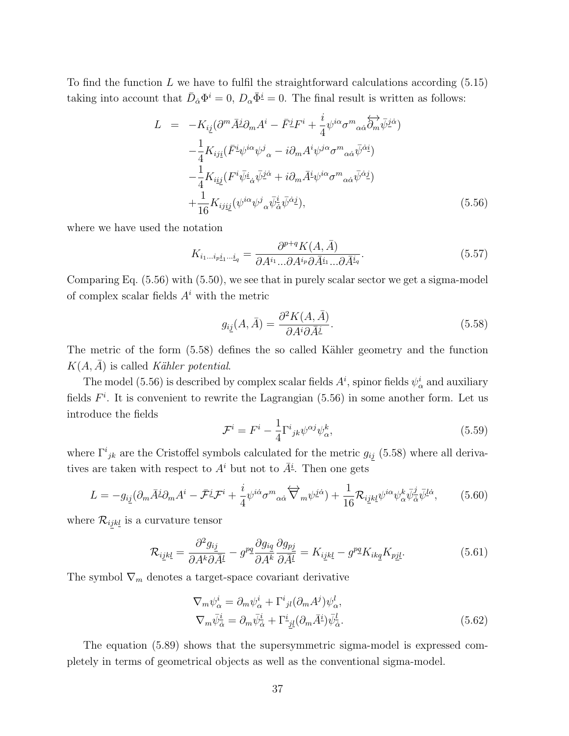To find the function *L* we have to fulfil the straightforward calculations according (5.15) taking into account that  $\bar{D}_{\dot{\alpha}}\Phi^i = 0$ ,  $D_{\alpha}\bar{\Phi}^i = 0$ . The final result is written as follows:

$$
L = -K_{ij}(\partial^m \bar{A}^j \partial_m A^i - \bar{F}^j F^i + \frac{i}{4} \psi^{i\alpha} \sigma^m{}_{\alpha\dot{\alpha}} \overleftrightarrow{\partial}_m \overline{\psi}^{j\dot{\alpha}})
$$
  

$$
- \frac{1}{4} K_{ij\underline{i}} (\bar{F}^i \psi^{i\alpha} \psi^j{}_{\alpha} - i \partial_m A^i \psi^{j\alpha} \sigma^m{}_{\alpha\dot{\alpha}} \overline{\psi}^{\dot{\alpha}i})
$$
  

$$
- \frac{1}{4} K_{i\underline{i}\underline{j}} (F^i \overline{\psi}^i{}_{\dot{\alpha}} \overline{\psi}^{j\dot{\alpha}} + i \partial_m \overline{A}^i \psi^{i\alpha} \sigma^m{}_{\alpha\dot{\alpha}} \overline{\psi}^{\dot{\alpha}j})
$$
  

$$
+ \frac{1}{16} K_{ij\underline{i}\underline{j}} (\psi^{i\alpha} \psi^j{}_{\alpha} \overline{\psi}^i{}_{\dot{\alpha}} \overline{\psi}^{\dot{\alpha}j}), \qquad (5.56)
$$

where we have used the notation

$$
K_{i_1\ldots i_p i_1\ldots i_q} = \frac{\partial^{p+q} K(A,\bar{A})}{\partial A^{i_1} \ldots \partial A^{i_p} \partial \bar{A}^{i_1} \ldots \partial \bar{A}^{i_q}}.
$$
\n(5.57)

Comparing Eq. (5.56) with (5.50), we see that in purely scalar sector we get a sigma-model of complex scalar fields *A<sup>i</sup>* with the metric

$$
g_{ij}(A,\bar{A}) = \frac{\partial^2 K(A,\bar{A})}{\partial A^i \partial \bar{A}^j}.
$$
\n(5.58)

The metric of the form (5.58) defines the so called Kähler geometry and the function  $K(A, \overline{A})$  is called *Kähler potential*.

The model (5.56) is described by complex scalar fields  $A^i$ , spinor fields  $\psi^i_\alpha$  and auxiliary fields  $F^i$ . It is convenient to rewrite the Lagrangian  $(5.56)$  in some another form. Let us introduce the fields

$$
\mathcal{F}^i = F^i - \frac{1}{4} \Gamma^i_{\ jk} \psi^{\alpha j} \psi^k_{\alpha},\tag{5.59}
$$

where  $\Gamma^{i}_{jk}$  are the Cristoffel symbols calculated for the metric  $g_{ij}$  (5.58) where all derivatives are taken with respect to  $A^i$  but not to  $\overline{A}^i$ . Then one gets

$$
L = -g_{i\underline{j}}(\partial_m \overline{A}^{\underline{j}} \partial_m A^i - \overline{\mathcal{F}}^{\underline{j}} \mathcal{F}^i + \frac{i}{4} \psi^{i\dot{\alpha}} \sigma^m{}_{\alpha\dot{\alpha}} \overleftrightarrow{\nabla}_m \psi^{\underline{j}\dot{\alpha}}) + \frac{1}{16} \mathcal{R}_{i\underline{j}k\underline{l}} \psi^{i\alpha} \psi^k_{\alpha} \overline{\psi}^{\underline{j}}_{\alpha} \overline{\psi}^{l\dot{\alpha}}, \qquad (5.60)
$$

where  $\mathcal{R}_{ijkl}$  is a curvature tensor

$$
\mathcal{R}_{ijkl} = \frac{\partial^2 g_{ij}}{\partial A^k \partial \bar{A}^l} - g^{pq} \frac{\partial g_{iq}}{\partial A^k} \frac{\partial g_{pj}}{\partial \bar{A}^l} = K_{ijkl} - g^{pq} K_{ikq} K_{pj}.
$$
 (5.61)

The symbol  $\nabla_m$  denotes a target-space covariant derivative

$$
\nabla_m \psi^i_{\alpha} = \partial_m \psi^i_{\alpha} + \Gamma^i_{\ jl} (\partial_m A^j) \psi^l_{\alpha},
$$
  

$$
\nabla_m \bar{\psi}^i_{\dot{\alpha}} = \partial_m \bar{\psi}^i_{\dot{\alpha}} + \Gamma^i_{\ jl} (\partial_m \bar{A}^i) \bar{\psi}^l_{\dot{\alpha}}.
$$
 (5.62)

The equation (5.89) shows that the supersymmetric sigma-model is expressed completely in terms of geometrical objects as well as the conventional sigma-model.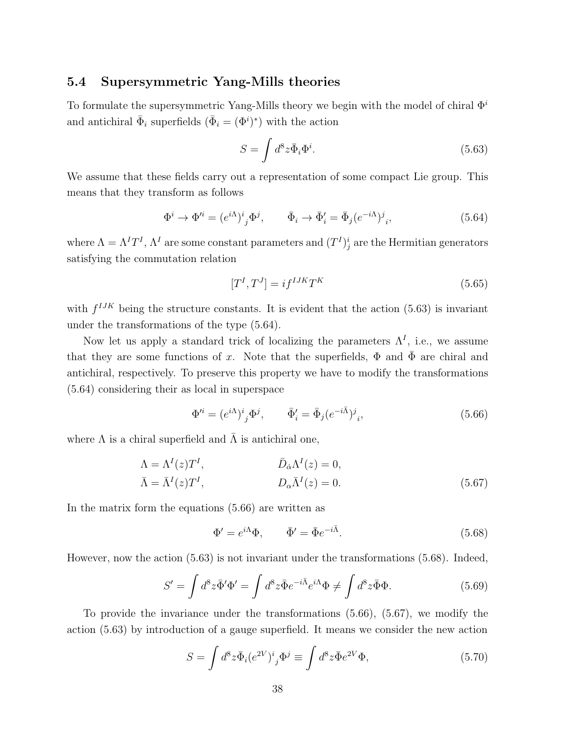#### **5.4 Supersymmetric Yang-Mills theories**

To formulate the supersymmetric Yang-Mills theory we begin with the model of chiral Φ*<sup>i</sup>* and antichiral  $\bar{\Phi}_i$  superfields  $(\bar{\Phi}_i = (\Phi^i)^*)$  with the action

$$
S = \int d^8 z \bar{\Phi}_i \Phi^i. \tag{5.63}
$$

We assume that these fields carry out a representation of some compact Lie group. This means that they transform as follows

$$
\Phi^i \to \Phi'^i = (e^{i\Lambda})^i{}_j \Phi^j, \qquad \bar{\Phi}_i \to \bar{\Phi}'_i = \bar{\Phi}_j (e^{-i\Lambda})^j{}_i,\tag{5.64}
$$

where  $\Lambda = \Lambda^I T^I$ ,  $\Lambda^I$  are some constant parameters and  $(T^I)^i_j$  are the Hermitian generators satisfying the commutation relation

$$
[T^I, T^J] = i f^{IJK} T^K \tag{5.65}
$$

with  $f^{IJK}$  being the structure constants. It is evident that the action  $(5.63)$  is invariant under the transformations of the type (5.64).

Now let us apply a standard trick of localizing the parameters  $\Lambda^I$ , i.e., we assume that they are some functions of *x*. Note that the superfields,  $\Phi$  and  $\bar{\Phi}$  are chiral and antichiral, respectively. To preserve this property we have to modify the transformations (5.64) considering their as local in superspace

$$
\Phi'^i = (e^{i\Lambda})^i{}_j \Phi^j, \qquad \bar{\Phi}'_i = \bar{\Phi}_j (e^{-i\bar{\Lambda}})^j{}_i,\tag{5.66}
$$

where  $\Lambda$  is a chiral superfield and  $\bar{\Lambda}$  is antichiral one,

$$
\Lambda = \Lambda^{I}(z)T^{I}, \qquad \qquad \bar{D}_{\dot{\alpha}}\Lambda^{I}(z) = 0, \n\bar{\Lambda} = \bar{\Lambda}^{I}(z)T^{I}, \qquad \qquad D_{\alpha}\bar{\Lambda}^{I}(z) = 0.
$$
\n(5.67)

In the matrix form the equations (5.66) are written as

$$
\Phi' = e^{i\Lambda}\Phi, \qquad \bar{\Phi}' = \bar{\Phi}e^{-i\bar{\Lambda}}.
$$
\n(5.68)

However, now the action (5.63) is not invariant under the transformations (5.68). Indeed,

$$
S' = \int d^8 z \bar{\Phi}' \Phi' = \int d^8 z \bar{\Phi} e^{-i\bar{\Lambda}} e^{i\Lambda} \Phi \neq \int d^8 z \bar{\Phi} \Phi.
$$
 (5.69)

To provide the invariance under the transformations (5.66), (5.67), we modify the action (5.63) by introduction of a gauge superfield. It means we consider the new action

$$
S = \int d^8 z \bar{\Phi}_i (e^{2V})^i{}_j \Phi^j \equiv \int d^8 z \bar{\Phi} e^{2V} \Phi,
$$
\n(5.70)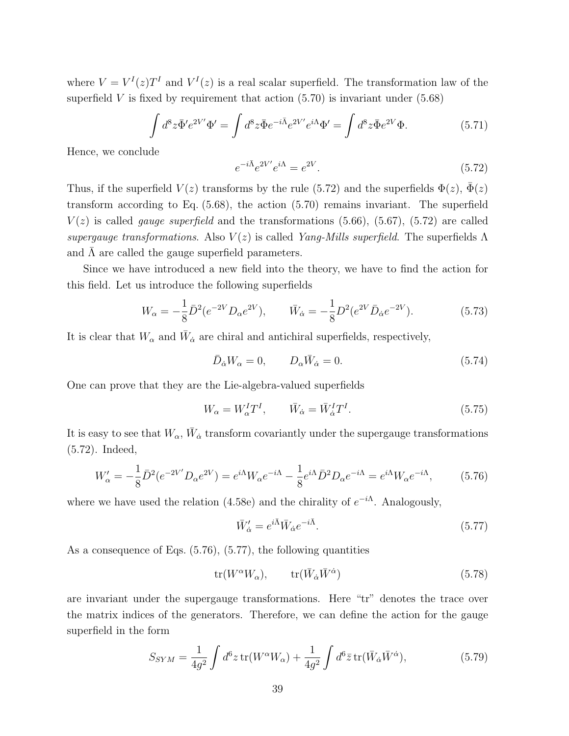where  $V = V^{I}(z)T^{I}$  and  $V^{I}(z)$  is a real scalar superfield. The transformation law of the superfield  $V$  is fixed by requirement that action  $(5.70)$  is invariant under  $(5.68)$ 

$$
\int d^8 z \bar{\Phi}' e^{2V'} \Phi' = \int d^8 z \bar{\Phi} e^{-i\bar{\Lambda}} e^{2V'} e^{i\Lambda} \Phi' = \int d^8 z \bar{\Phi} e^{2V} \Phi.
$$
 (5.71)

Hence, we conclude

$$
e^{-i\bar{\Lambda}}e^{2V'}e^{i\Lambda} = e^{2V}.\tag{5.72}
$$

Thus, if the superfield  $V(z)$  transforms by the rule (5.72) and the superfields  $\Phi(z)$ ,  $\bar{\Phi}(z)$ transform according to Eq. (5.68), the action (5.70) remains invariant. The superfield  $V(z)$  is called *gauge superfield* and the transformations (5.66), (5.67), (5.72) are called *supergauge transformations.* Also  $V(z)$  is called *Yang-Mills superfield*. The superfields  $\Lambda$ and  $\Lambda$  are called the gauge superfield parameters.

Since we have introduced a new field into the theory, we have to find the action for this field. Let us introduce the following superfields

$$
W_{\alpha} = -\frac{1}{8}\bar{D}^2(e^{-2V}D_{\alpha}e^{2V}), \qquad \bar{W}_{\dot{\alpha}} = -\frac{1}{8}D^2(e^{2V}\bar{D}_{\dot{\alpha}}e^{-2V}). \tag{5.73}
$$

It is clear that  $W_{\alpha}$  and  $\bar{W}_{\dot{\alpha}}$  are chiral and antichiral superfields, respectively,

$$
\bar{D}_{\dot{\alpha}}W_{\alpha} = 0, \qquad D_{\alpha}\bar{W}_{\dot{\alpha}} = 0. \tag{5.74}
$$

One can prove that they are the Lie-algebra-valued superfields

$$
W_{\alpha} = W_{\alpha}^{I} T^{I}, \qquad \bar{W}_{\dot{\alpha}} = \bar{W}_{\dot{\alpha}}^{I} T^{I}.
$$
\n(5.75)

It is easy to see that  $W_{\alpha}$ ,  $\bar{W}_{\dot{\alpha}}$  transform covariantly under the supergauge transformations (5.72). Indeed,

$$
W'_{\alpha} = -\frac{1}{8}\bar{D}^2(e^{-2V'}D_{\alpha}e^{2V}) = e^{i\Lambda}W_{\alpha}e^{-i\Lambda} - \frac{1}{8}e^{i\Lambda}\bar{D}^2D_{\alpha}e^{-i\Lambda} = e^{i\Lambda}W_{\alpha}e^{-i\Lambda},\tag{5.76}
$$

where we have used the relation (4.58e) and the chirality of  $e^{-i\Lambda}$ . Analogously,

$$
\bar{W}'_{\dot{\alpha}} = e^{i\bar{\Lambda}} \bar{W}_{\dot{\alpha}} e^{-i\bar{\Lambda}}.
$$
\n(5.77)

As a consequence of Eqs. (5.76), (5.77), the following quantities

$$
\operatorname{tr}(W^{\alpha}W_{\alpha}), \qquad \operatorname{tr}(\bar{W}_{\dot{\alpha}}\bar{W}^{\dot{\alpha}}) \tag{5.78}
$$

are invariant under the supergauge transformations. Here "tr" denotes the trace over the matrix indices of the generators. Therefore, we can define the action for the gauge superfield in the form

$$
S_{SYM} = \frac{1}{4g^2} \int d^6 z \operatorname{tr}(W^\alpha W_\alpha) + \frac{1}{4g^2} \int d^6 \bar{z} \operatorname{tr}(\bar{W}_{\dot{\alpha}} \bar{W}^{\dot{\alpha}}), \tag{5.79}
$$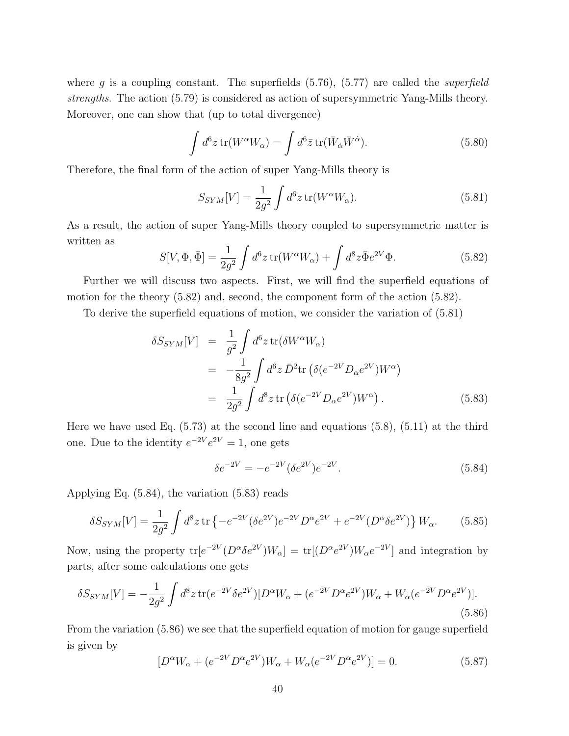where *g* is a coupling constant. The superfields (5.76), (5.77) are called the *superfield strengths*. The action (5.79) is considered as action of supersymmetric Yang-Mills theory. Moreover, one can show that (up to total divergence)

$$
\int d^6 z \,\text{tr}(W^\alpha W_\alpha) = \int d^6 \bar{z} \,\text{tr}(\bar{W}_{\dot{\alpha}} \bar{W}^{\dot{\alpha}}). \tag{5.80}
$$

Therefore, the final form of the action of super Yang-Mills theory is

$$
S_{SYM}[V] = \frac{1}{2g^2} \int d^6 z \operatorname{tr}(W^\alpha W_\alpha). \tag{5.81}
$$

As a result, the action of super Yang-Mills theory coupled to supersymmetric matter is written as

$$
S[V, \Phi, \bar{\Phi}] = \frac{1}{2g^2} \int d^6 z \operatorname{tr}(W^\alpha W_\alpha) + \int d^8 z \bar{\Phi} e^{2V} \Phi.
$$
 (5.82)

Further we will discuss two aspects. First, we will find the superfield equations of motion for the theory (5.82) and, second, the component form of the action (5.82).

To derive the superfield equations of motion, we consider the variation of (5.81)

$$
\delta S_{SYM}[V] = \frac{1}{g^2} \int d^6 z \operatorname{tr}(\delta W^{\alpha} W_{\alpha})
$$
  
= 
$$
-\frac{1}{8g^2} \int d^6 z \, \bar{D}^2 \operatorname{tr}(\delta(e^{-2V} D_{\alpha} e^{2V}) W^{\alpha})
$$
  
= 
$$
\frac{1}{2g^2} \int d^8 z \operatorname{tr}(\delta(e^{-2V} D_{\alpha} e^{2V}) W^{\alpha}).
$$
 (5.83)

Here we have used Eq.  $(5.73)$  at the second line and equations  $(5.8)$ ,  $(5.11)$  at the third one. Due to the identity  $e^{-2V}e^{2V} = 1$ , one gets

$$
\delta e^{-2V} = -e^{-2V} (\delta e^{2V}) e^{-2V}.
$$
\n(5.84)

Applying Eq. (5.84), the variation (5.83) reads

$$
\delta S_{SYM}[V] = \frac{1}{2g^2} \int d^8 z \, \text{tr} \left\{ -e^{-2V} (\delta e^{2V}) e^{-2V} D^{\alpha} e^{2V} + e^{-2V} (D^{\alpha} \delta e^{2V}) \right\} W_{\alpha}.
$$
 (5.85)

Now, using the property  $tr[e^{-2V}(D^{\alpha}\delta e^{2V})W_{\alpha}] = tr[(D^{\alpha}e^{2V})W_{\alpha}e^{-2V}]$  and integration by parts, after some calculations one gets

$$
\delta S_{SYM}[V] = -\frac{1}{2g^2} \int d^8 z \, \text{tr}(e^{-2V} \delta e^{2V}) [D^\alpha W_\alpha + (e^{-2V} D^\alpha e^{2V}) W_\alpha + W_\alpha (e^{-2V} D^\alpha e^{2V})]. \tag{5.86}
$$

From the variation (5.86) we see that the superfield equation of motion for gauge superfield is given by

$$
[D^{\alpha}W_{\alpha} + (e^{-2V}D^{\alpha}e^{2V})W_{\alpha} + W_{\alpha}(e^{-2V}D^{\alpha}e^{2V})] = 0.
$$
 (5.87)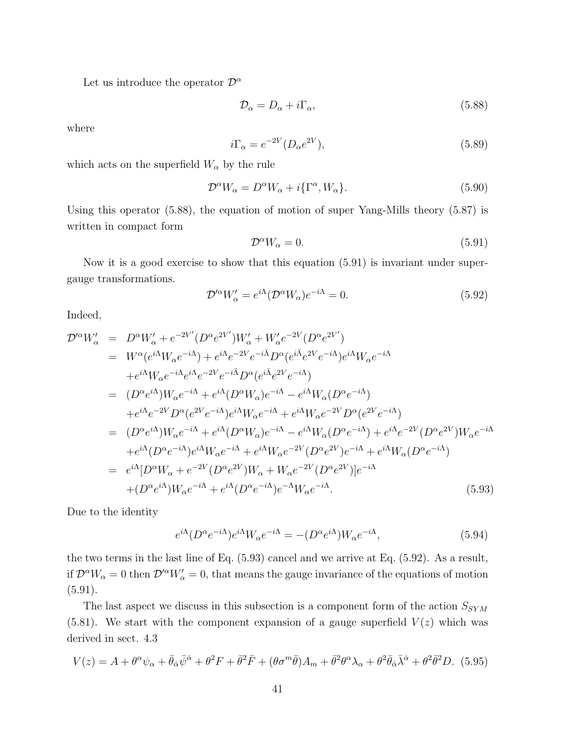Let us introduce the operator  $\mathcal{D}^{\alpha}$ 

$$
\mathcal{D}_{\alpha} = D_{\alpha} + i\Gamma_{\alpha},\tag{5.88}
$$

where

$$
i\Gamma_{\alpha} = e^{-2V} (D_{\alpha} e^{2V}), \qquad (5.89)
$$

which acts on the superfield  $W_{\alpha}$  by the rule

$$
\mathcal{D}^{\alpha}W_{\alpha} = D^{\alpha}W_{\alpha} + i\{\Gamma^{\alpha}, W_{\alpha}\}.
$$
\n(5.90)

Using this operator (5.88), the equation of motion of super Yang-Mills theory (5.87) is written in compact form

$$
\mathcal{D}^{\alpha}W_{\alpha} = 0. \tag{5.91}
$$

Now it is a good exercise to show that this equation (5.91) is invariant under supergauge transformations.

$$
\mathcal{D}'^{\alpha}W'_{\alpha} = e^{i\Lambda}(\mathcal{D}^{\alpha}W_{\alpha})e^{-i\Lambda} = 0.
$$
\n(5.92)

Indeed,

$$
\mathcal{D}'^{\alpha}W'_{\alpha} = D^{\alpha}W'_{\alpha} + e^{-2V'}(D^{\alpha}e^{2V'})W'_{\alpha} + W'_{\alpha}e^{-2V}(D^{\alpha}e^{2V'})
$$
  
\n
$$
= W^{\alpha}(e^{i\Lambda}W_{\alpha}e^{-i\Lambda}) + e^{i\Lambda}e^{-2V}e^{-i\bar{\Lambda}}D^{\alpha}(e^{i\bar{\Lambda}}e^{2V}e^{-i\Lambda})e^{i\Lambda}W_{\alpha}e^{-i\Lambda}
$$
  
\n
$$
+e^{i\Lambda}W_{\alpha}e^{-i\Lambda}e^{i\Lambda}e^{-2V}e^{-i\bar{\Lambda}}D^{\alpha}(e^{i\bar{\Lambda}}e^{2V}e^{-i\Lambda})
$$
  
\n
$$
= (D^{\alpha}e^{i\Lambda})W_{\alpha}e^{-i\Lambda} + e^{i\Lambda}(D^{\alpha}W_{\alpha})e^{-i\Lambda} - e^{i\Lambda}W_{\alpha}(D^{\alpha}e^{-i\Lambda})
$$
  
\n
$$
+e^{i\Lambda}e^{-2V}D^{\alpha}(e^{2V}e^{-i\Lambda})e^{i\Lambda}W_{\alpha}e^{-i\Lambda} + e^{i\Lambda}W_{\alpha}e^{-2V}D^{\alpha}(e^{2V}e^{-i\Lambda})
$$
  
\n
$$
= (D^{\alpha}e^{i\Lambda})W_{\alpha}e^{-i\Lambda} + e^{i\Lambda}(D^{\alpha}W_{\alpha})e^{-i\Lambda} - e^{i\Lambda}W_{\alpha}(D^{\alpha}e^{-i\Lambda}) + e^{i\Lambda}e^{-2V}(D^{\alpha}e^{2V})W_{\alpha}e^{-i\Lambda}
$$
  
\n
$$
+e^{i\Lambda}(D^{\alpha}e^{-i\Lambda})e^{i\Lambda}W_{\alpha}e^{-i\Lambda} + e^{i\Lambda}W_{\alpha}e^{-2V}(D^{\alpha}e^{2V})e^{-i\Lambda} + e^{i\Lambda}W_{\alpha}(D^{\alpha}e^{-i\Lambda})
$$
  
\n
$$
= e^{i\Lambda}[D^{\alpha}W_{\alpha} + e^{-2V}(D^{\alpha}e^{2V})W_{\alpha} + W_{\alpha}e^{-2V}(D^{\alpha}e^{2V})]e^{-i\Lambda}
$$
  
\n
$$
+ (D^{\alpha}e^{i\Lambda})W_{\alpha}e^{-i\Lambda} + e^{i\Lambda}(D^{\alpha}e^{-i\Lambda
$$

Due to the identity

$$
e^{i\Lambda}(D^{\alpha}e^{-i\Lambda})e^{i\Lambda}W_{\alpha}e^{-i\Lambda} = -(D^{\alpha}e^{i\Lambda})W_{\alpha}e^{-i\Lambda},\tag{5.94}
$$

the two terms in the last line of Eq. (5.93) cancel and we arrive at Eq. (5.92). As a result, if  $\mathcal{D}^{\alpha}W_{\alpha} = 0$  then  $\mathcal{D}'^{\alpha}W'_{\alpha} = 0$ , that means the gauge invariance of the equations of motion  $(5.91).$ 

The last aspect we discuss in this subsection is a component form of the action  $S_{SYM}$  $(5.81)$ . We start with the component expansion of a gauge superfield  $V(z)$  which was derived in sect. 4.3

$$
V(z) = A + \theta^{\alpha}\psi_{\alpha} + \bar{\theta}_{\dot{\alpha}}\bar{\psi}^{\dot{\alpha}} + \theta^2 F + \bar{\theta}^2 \bar{F} + (\theta \sigma^m \bar{\theta})A_m + \bar{\theta}^2 \theta^{\alpha}\lambda_{\alpha} + \theta^2 \bar{\theta}_{\dot{\alpha}}\bar{\lambda}^{\dot{\alpha}} + \theta^2 \bar{\theta}^2 D. (5.95)
$$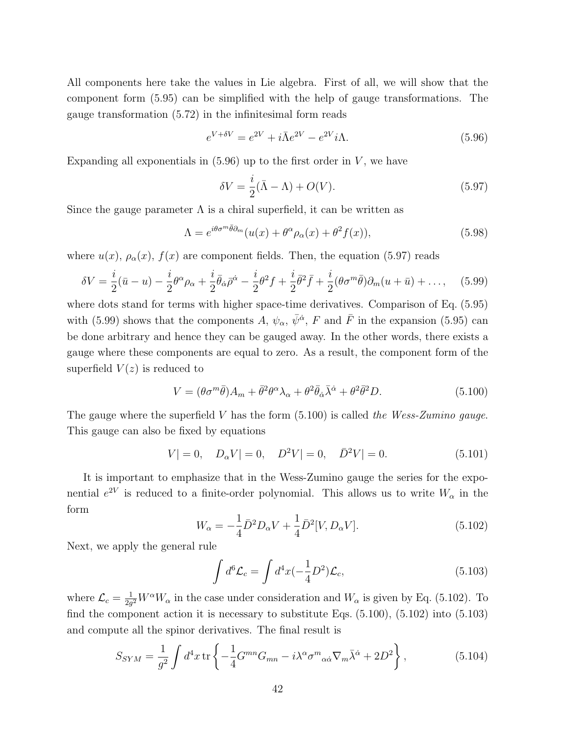All components here take the values in Lie algebra. First of all, we will show that the component form (5.95) can be simplified with the help of gauge transformations. The gauge transformation (5.72) in the infinitesimal form reads

$$
e^{V+\delta V} = e^{2V} + i\bar{\Lambda}e^{2V} - e^{2V}i\Lambda.
$$
\n(5.96)

Expanding all exponentials in  $(5.96)$  up to the first order in *V*, we have

$$
\delta V = \frac{i}{2}(\bar{\Lambda} - \Lambda) + O(V). \tag{5.97}
$$

Since the gauge parameter  $\Lambda$  is a chiral superfield, it can be written as

$$
\Lambda = e^{i\theta\sigma^m \bar{\theta}\partial_m}(u(x) + \theta^\alpha \rho_\alpha(x) + \theta^2 f(x)),\tag{5.98}
$$

where  $u(x)$ ,  $\rho_{\alpha}(x)$ ,  $f(x)$  are component fields. Then, the equation (5.97) reads

$$
\delta V = \frac{i}{2}(\bar{u} - u) - \frac{i}{2}\theta^{\alpha}\rho_{\alpha} + \frac{i}{2}\bar{\theta}_{\dot{\alpha}}\bar{\rho}^{\dot{\alpha}} - \frac{i}{2}\theta^2 f + \frac{i}{2}\bar{\theta}^2 \bar{f} + \frac{i}{2}(\theta\sigma^m\bar{\theta})\partial_m(u+\bar{u}) + \dots, \quad (5.99)
$$

where dots stand for terms with higher space-time derivatives. Comparison of Eq. (5.95) with (5.99) shows that the components *A*,  $\psi_{\alpha}$ ,  $\bar{\psi}^{\dot{\alpha}}$ , *F* and *F* in the expansion (5.95) can be done arbitrary and hence they can be gauged away. In the other words, there exists a gauge where these components are equal to zero. As a result, the component form of the superfield  $V(z)$  is reduced to

$$
V = (\theta \sigma^m \bar{\theta})A_m + \bar{\theta}^2 \theta^\alpha \lambda_\alpha + \theta^2 \bar{\theta}_{\dot{\alpha}} \bar{\lambda}^{\dot{\alpha}} + \theta^2 \bar{\theta}^2 D. \tag{5.100}
$$

The gauge where the superfield *V* has the form (5.100) is called *the Wess-Zumino gauge*. This gauge can also be fixed by equations

$$
V| = 0, \quad D_{\alpha}V| = 0, \quad D^{2}V| = 0, \quad \bar{D}^{2}V| = 0.
$$
 (5.101)

It is important to emphasize that in the Wess-Zumino gauge the series for the exponential  $e^{2V}$  is reduced to a finite-order polynomial. This allows us to write  $W_{\alpha}$  in the form

$$
W_{\alpha} = -\frac{1}{4}\bar{D}^2 D_{\alpha}V + \frac{1}{4}\bar{D}^2[V, D_{\alpha}V].
$$
\n(5.102)

Next, we apply the general rule

$$
\int d^6 \mathcal{L}_c = \int d^4 x \left(-\frac{1}{4}D^2\right) \mathcal{L}_c,\tag{5.103}
$$

where  $\mathcal{L}_c = \frac{1}{2a}$  $\frac{1}{2g^2}W^{\alpha}W_{\alpha}$  in the case under consideration and  $W_{\alpha}$  is given by Eq. (5.102). To find the component action it is necessary to substitute Eqs. (5.100), (5.102) into (5.103) and compute all the spinor derivatives. The final result is

$$
S_{SYM} = \frac{1}{g^2} \int d^4x \,\text{tr}\left\{-\frac{1}{4}G^{mn}G_{mn} - i\lambda^\alpha \sigma^m{}_{\alpha\dot{\alpha}}\nabla_m\bar{\lambda}^{\dot{\alpha}} + 2D^2\right\},\tag{5.104}
$$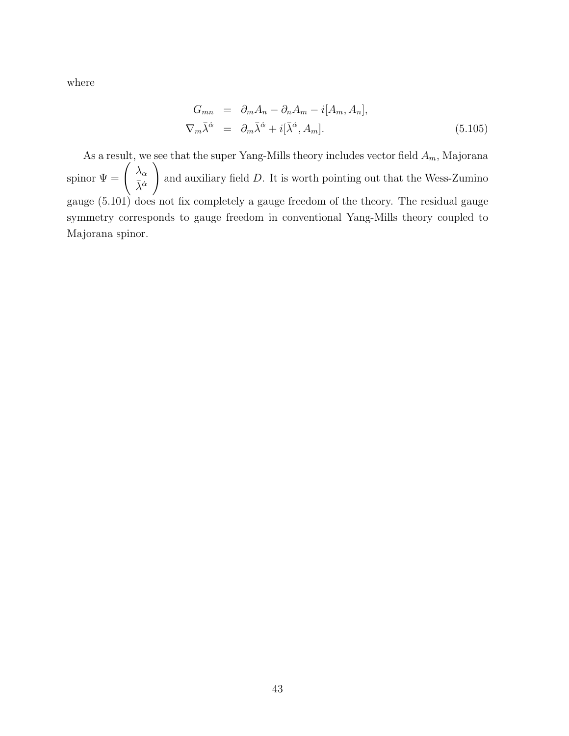where

$$
G_{mn} = \partial_m A_n - \partial_n A_m - i[A_m, A_n],
$$
  
\n
$$
\nabla_m \bar{\lambda}^{\dot{\alpha}} = \partial_m \bar{\lambda}^{\dot{\alpha}} + i[\bar{\lambda}^{\dot{\alpha}}, A_m].
$$
\n(5.105)

As a result, we see that the super Yang-Mills theory includes vector field *Am*, Majorana spinor  $\Psi = \begin{pmatrix} \lambda_{\alpha} \\ \bar{\lambda} \dot{\alpha} \end{pmatrix}$ *λ*¯*α*˙  $\setminus$ and auxiliary field *D*. It is worth pointing out that the Wess-Zumino gauge (5.101) does not fix completely a gauge freedom of the theory. The residual gauge symmetry corresponds to gauge freedom in conventional Yang-Mills theory coupled to Majorana spinor.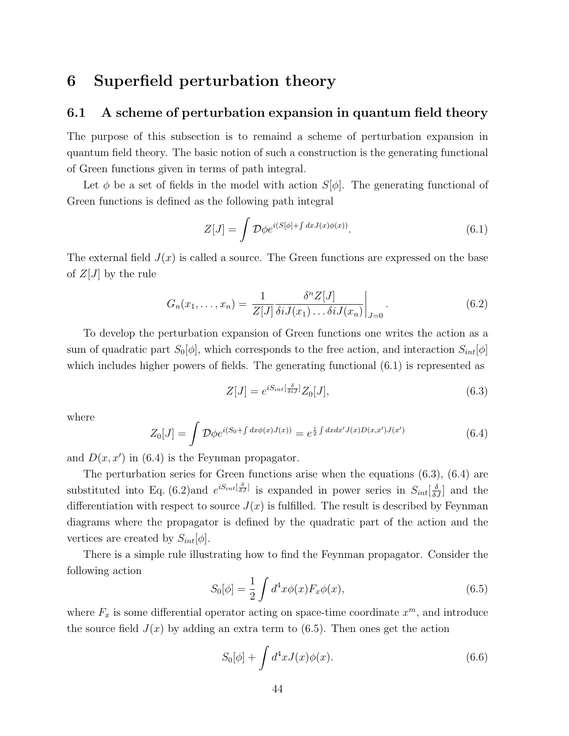### **6 Superfield perturbation theory**

### **6.1 A scheme of perturbation expansion in quantum field theory**

The purpose of this subsection is to remaind a scheme of perturbation expansion in quantum field theory. The basic notion of such a construction is the generating functional of Green functions given in terms of path integral.

Let  $\phi$  be a set of fields in the model with action  $S[\phi]$ . The generating functional of Green functions is defined as the following path integral

$$
Z[J] = \int \mathcal{D}\phi e^{i(S[\phi] + \int dx J(x)\phi(x))}.\tag{6.1}
$$

The external field  $J(x)$  is called a source. The Green functions are expressed on the base of  $Z|J|$  by the rule

$$
G_n(x_1,\ldots,x_n) = \left. \frac{1}{Z[J]} \frac{\delta^n Z[J]}{\delta i J(x_1)\ldots\delta i J(x_n)} \right|_{J=0}.
$$
\n(6.2)

To develop the perturbation expansion of Green functions one writes the action as a sum of quadratic part  $S_0[\phi]$ , which corresponds to the free action, and interaction  $S_{int}[\phi]$ which includes higher powers of fields. The generating functional  $(6.1)$  is represented as

$$
Z[J] = e^{iS_{int}[\frac{\delta}{\delta i J}]} Z_0[J], \qquad (6.3)
$$

where

$$
Z_0[J] = \int \mathcal{D}\phi e^{i(S_0 + \int dx \phi(x)J(x))} = e^{\frac{i}{2}\int dx dx' J(x)D(x,x')J(x')} \tag{6.4}
$$

and  $D(x, x')$  in (6.4) is the Feynman propagator.

The perturbation series for Green functions arise when the equations (6.3), (6.4) are substituted into Eq. (6.2)and  $e^{iS_{int}[\frac{\delta}{\delta J}]}$  is expanded in power series in  $S_{int}[\frac{\delta}{\delta J}]$  and the differentiation with respect to source  $J(x)$  is fulfilled. The result is described by Feynman diagrams where the propagator is defined by the quadratic part of the action and the vertices are created by  $S_{int}[\phi]$ .

There is a simple rule illustrating how to find the Feynman propagator. Consider the following action

$$
S_0[\phi] = \frac{1}{2} \int d^4x \phi(x) F_x \phi(x), \qquad (6.5)
$$

where  $F_x$  is some differential operator acting on space-time coordinate  $x^m$ , and introduce the source field  $J(x)$  by adding an extra term to  $(6.5)$ . Then ones get the action

$$
S_0[\phi] + \int d^4x J(x)\phi(x). \tag{6.6}
$$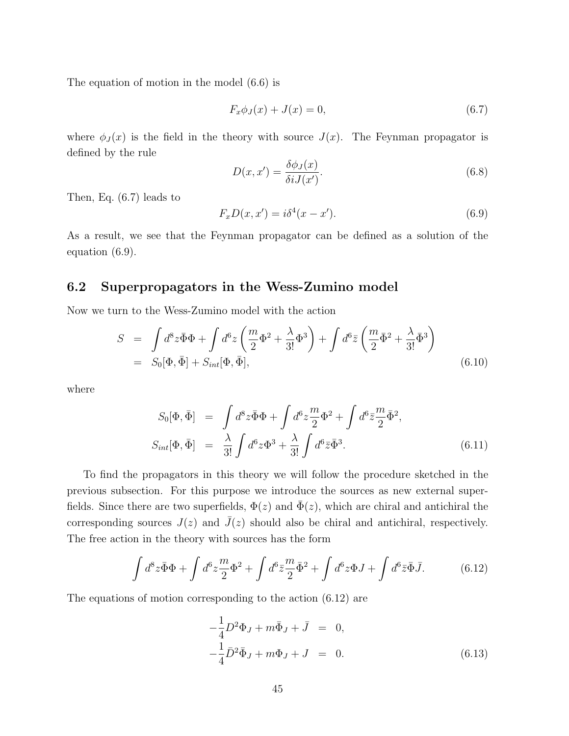The equation of motion in the model (6.6) is

$$
F_x \phi_J(x) + J(x) = 0,
$$
\n(6.7)

where  $\phi_J(x)$  is the field in the theory with source  $J(x)$ . The Feynman propagator is defined by the rule

$$
D(x, x') = \frac{\delta \phi_J(x)}{\delta i J(x')}.
$$
\n(6.8)

Then, Eq. (6.7) leads to

$$
F_x D(x, x') = i\delta^4 (x - x'). \tag{6.9}
$$

As a result, we see that the Feynman propagator can be defined as a solution of the equation (6.9).

#### **6.2 Superpropagators in the Wess-Zumino model**

Now we turn to the Wess-Zumino model with the action

$$
S = \int d^8 z \bar{\Phi} \Phi + \int d^6 z \left( \frac{m}{2} \Phi^2 + \frac{\lambda}{3!} \Phi^3 \right) + \int d^6 \bar{z} \left( \frac{m}{2} \bar{\Phi}^2 + \frac{\lambda}{3!} \bar{\Phi}^3 \right)
$$
  
=  $S_0[\Phi, \bar{\Phi}] + S_{int}[\Phi, \bar{\Phi}],$  (6.10)

where

$$
S_0[\Phi, \bar{\Phi}] = \int d^8 z \bar{\Phi} \Phi + \int d^6 z \frac{m}{2} \Phi^2 + \int d^6 \bar{z} \frac{m}{2} \bar{\Phi}^2,
$$
  
\n
$$
S_{int}[\Phi, \bar{\Phi}] = \frac{\lambda}{3!} \int d^6 z \Phi^3 + \frac{\lambda}{3!} \int d^6 \bar{z} \bar{\Phi}^3.
$$
\n(6.11)

To find the propagators in this theory we will follow the procedure sketched in the previous subsection. For this purpose we introduce the sources as new external superfields. Since there are two superfields,  $\Phi(z)$  and  $\bar{\Phi}(z)$ , which are chiral and antichiral the corresponding sources  $J(z)$  and  $\overline{J}(z)$  should also be chiral and antichiral, respectively. The free action in the theory with sources has the form

$$
\int d^8 z \bar{\Phi} \Phi + \int d^6 z \frac{m}{2} \Phi^2 + \int d^6 \bar{z} \frac{m}{2} \bar{\Phi}^2 + \int d^6 z \Phi J + \int d^6 \bar{z} \bar{\Phi} \bar{J}.
$$
 (6.12)

The equations of motion corresponding to the action (6.12) are

$$
-\frac{1}{4}D^2\Phi_J + m\bar{\Phi}_J + \bar{J} = 0,
$$
  

$$
-\frac{1}{4}\bar{D}^2\bar{\Phi}_J + m\Phi_J + J = 0.
$$
 (6.13)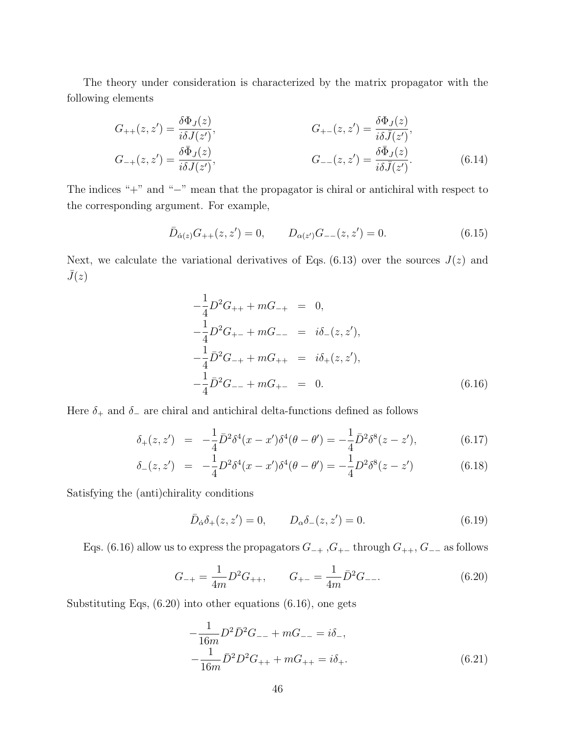The theory under consideration is characterized by the matrix propagator with the following elements

$$
G_{++}(z, z') = \frac{\delta \Phi_J(z)}{i \delta J(z')}, \qquad G_{+-}(z, z') = \frac{\delta \Phi_J(z)}{i \delta \bar{J}(z')}, G_{-+}(z, z') = \frac{\delta \bar{\Phi}_J(z)}{i \delta J(z')}, \qquad G_{--}(z, z') = \frac{\delta \bar{\Phi}_J(z)}{i \delta \bar{J}(z')}.
$$
(6.14)

The indices "+" and "*−*" mean that the propagator is chiral or antichiral with respect to the corresponding argument. For example,

$$
\bar{D}_{\dot{\alpha}(z)}G_{++}(z,z') = 0, \qquad D_{\alpha(z')}G_{--}(z,z') = 0.
$$
\n(6.15)

Next, we calculate the variational derivatives of Eqs.  $(6.13)$  over the sources  $J(z)$  and  $\bar{J}(z)$ 

$$
-\frac{1}{4}D^2G_{++} + mG_{-+} = 0,
$$
  
\n
$$
-\frac{1}{4}D^2G_{+-} + mG_{--} = i\delta_{-}(z, z'),
$$
  
\n
$$
-\frac{1}{4}\bar{D}^2G_{-+} + mG_{++} = i\delta_{+}(z, z'),
$$
  
\n
$$
-\frac{1}{4}\bar{D}^2G_{--} + mG_{+-} = 0.
$$
\n(6.16)

Here  $\delta_+$  and  $\delta_-$  are chiral and antichiral delta-functions defined as follows

$$
\delta_+(z,z') = -\frac{1}{4}\bar{D}^2\delta^4(x-x')\delta^4(\theta-\theta') = -\frac{1}{4}\bar{D}^2\delta^8(z-z'),\tag{6.17}
$$

$$
\delta_{-}(z, z') = -\frac{1}{4}D^2\delta^4(x - x')\delta^4(\theta - \theta') = -\frac{1}{4}D^2\delta^8(z - z')
$$
(6.18)

Satisfying the (anti)chirality conditions

$$
\bar{D}_{\dot{\alpha}}\delta_{+}(z,z') = 0, \qquad D_{\alpha}\delta_{-}(z,z') = 0.
$$
\n(6.19)

Eqs. (6.16) allow us to express the propagators *G−*<sup>+</sup> ,*G*<sup>+</sup>*<sup>−</sup>* through *G*++, *G−−* as follows

$$
G_{-+} = \frac{1}{4m} D^2 G_{++}, \qquad G_{+-} = \frac{1}{4m} \bar{D}^2 G_{--}.
$$
 (6.20)

Substituting Eqs, (6.20) into other equations (6.16), one gets

$$
-\frac{1}{16m}D^2\bar{D}^2G_{--} + mG_{--} = i\delta_-, \n-\frac{1}{16m}\bar{D}^2D^2G_{++} + mG_{++} = i\delta_+.
$$
\n(6.21)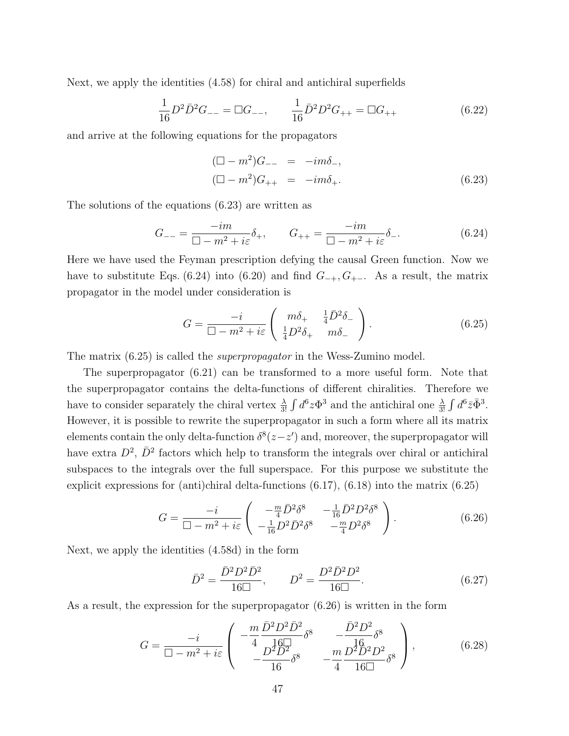Next, we apply the identities (4.58) for chiral and antichiral superfields

$$
\frac{1}{16}D^2\bar{D}^2G_{--} = \Box G_{--}, \qquad \frac{1}{16}\bar{D}^2D^2G_{++} = \Box G_{++} \tag{6.22}
$$

and arrive at the following equations for the propagators

$$
(\Box - m^2)G_{--} = -im\delta_{-},
$$
  
\n
$$
(\Box - m^2)G_{++} = -im\delta_{+}.
$$
\n(6.23)

The solutions of the equations (6.23) are written as

$$
G_{--} = \frac{-im}{\Box - m^2 + i\varepsilon} \delta_+, \qquad G_{++} = \frac{-im}{\Box - m^2 + i\varepsilon} \delta_-. \tag{6.24}
$$

Here we have used the Feyman prescription defying the causal Green function. Now we have to substitute Eqs. (6.24) into (6.20) and find  $G_{-+}, G_{+-}$ . As a result, the matrix propagator in the model under consideration is

$$
G = \frac{-i}{\Box - m^2 + i\varepsilon} \left( \begin{array}{cc} m\delta_+ & \frac{1}{4}\bar{D}^2\delta_-\\ \frac{1}{4}D^2\delta_+ & m\delta_- \end{array} \right). \tag{6.25}
$$

The matrix (6.25) is called the *superpropagator* in the Wess-Zumino model.

The superpropagator (6.21) can be transformed to a more useful form. Note that the superpropagator contains the delta-functions of different chiralities. Therefore we have to consider separately the chiral vertex  $\frac{\lambda}{3!} \int d^6 z \Phi^3$  and the antichiral one  $\frac{\lambda}{3!} \int d^6 \bar{z} \bar{\Phi}^3$ . However, it is possible to rewrite the superpropagator in such a form where all its matrix elements contain the only delta-function  $\delta^{8}(z-z')$  and, moreover, the superpropagator will have extra  $D^2$ ,  $\bar{D}^2$  factors which help to transform the integrals over chiral or antichiral subspaces to the integrals over the full superspace. For this purpose we substitute the explicit expressions for (anti)chiral delta-functions  $(6.17)$ ,  $(6.18)$  into the matrix  $(6.25)$ 

$$
G = \frac{-i}{\Box - m^2 + i\varepsilon} \begin{pmatrix} -\frac{m}{4} \bar{D}^2 \delta^8 & -\frac{1}{16} \bar{D}^2 D^2 \delta^8\\ -\frac{1}{16} D^2 \bar{D}^2 \delta^8 & -\frac{m}{4} D^2 \delta^8 \end{pmatrix} . \tag{6.26}
$$

Next, we apply the identities (4.58d) in the form

$$
\bar{D}^2 = \frac{\bar{D}^2 D^2 \bar{D}^2}{16\Box}, \qquad D^2 = \frac{D^2 \bar{D}^2 D^2}{16\Box}.
$$
 (6.27)

As a result, the expression for the superpropagator (6.26) is written in the form

$$
G = \frac{-i}{\Box - m^2 + i\varepsilon} \left( \begin{array}{cc} -\frac{m}{4} \frac{\bar{D}^2 D^2 \bar{D}^2}{16\Box} \delta^8 & -\frac{\bar{D}^2 D^2}{16} \delta^8\\ -\frac{D^2 \bar{D}^2}{16} \delta^8 & -\frac{m}{4} \frac{D^2 \bar{D}^2 D^2}{16\Box} \delta^8 \end{array} \right), \tag{6.28}
$$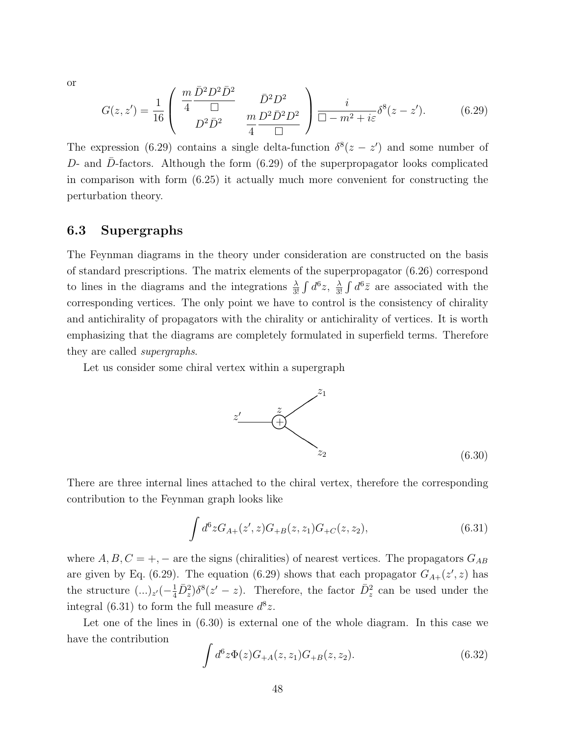or

$$
G(z, z') = \frac{1}{16} \begin{pmatrix} \frac{m}{4} \frac{\bar{D}^2 D^2 \bar{D}^2}{\Box} & \bar{D}^2 D^2 \\ D^2 \bar{D}^2 & \frac{m}{4} \frac{D^2 \bar{D}^2 D^2}{\Box} \end{pmatrix} \frac{i}{\Box - m^2 + i\varepsilon} \delta^8(z - z'). \tag{6.29}
$$

The expression (6.29) contains a single delta-function  $\delta^{8}(z - z')$  and some number of *D*- and *D*-factors. Although the form (6.29) of the superpropagator looks complicated in comparison with form (6.25) it actually much more convenient for constructing the perturbation theory.

### **6.3 Supergraphs**

The Feynman diagrams in the theory under consideration are constructed on the basis of standard prescriptions. The matrix elements of the superpropagator (6.26) correspond to lines in the diagrams and the integrations  $\frac{\lambda}{3!} \int d^6 z$ ,  $\frac{\lambda}{3!}$  $\frac{\lambda}{3!} \int d^6 \bar{z}$  are associated with the corresponding vertices. The only point we have to control is the consistency of chirality and antichirality of propagators with the chirality or antichirality of vertices. It is worth emphasizing that the diagrams are completely formulated in superfield terms. Therefore they are called *supergraphs*.

Let us consider some chiral vertex within a supergraph



There are three internal lines attached to the chiral vertex, therefore the corresponding contribution to the Feynman graph looks like

$$
\int d^6 z G_{A+}(z',z) G_{+B}(z,z_1) G_{+C}(z,z_2),\tag{6.31}
$$

where  $A, B, C = +, -$  are the signs (chiralities) of nearest vertices. The propagators  $G_{AB}$ are given by Eq. (6.29). The equation (6.29) shows that each propagator  $G_{A+}(z',z)$  has the structure  $(...)_{z'}(-\frac{1}{4}\overline{D}_z^2)\delta^8(z'-z)$ . Therefore, the factor  $\overline{D}_z^2$  can be used under the integral (6.31) to form the full measure  $d^8z$ .

Let one of the lines in (6.30) is external one of the whole diagram. In this case we have the contribution

$$
\int d^6 z \Phi(z) G_{+A}(z, z_1) G_{+B}(z, z_2). \tag{6.32}
$$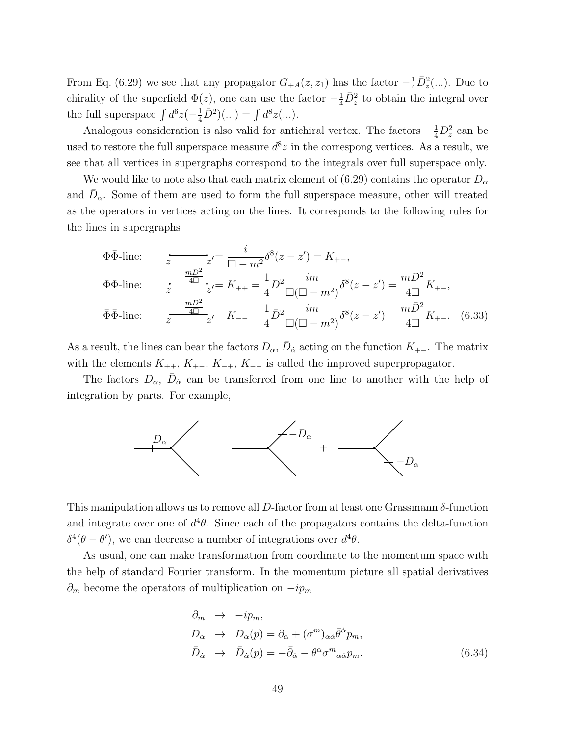From Eq. (6.29) we see that any propagator  $G_{+A}(z, z_1)$  has the factor  $-\frac{1}{4}\overline{D}_z^2(...)$ . Due to chirality of the superfield  $\Phi(z)$ , one can use the factor  $-\frac{1}{4}\overline{D}_z^2$  to obtain the integral over the full superspace  $\int d^6z \, (-\frac{1}{4}\bar{D}^2)(...) = \int d^8z \, (...).$ 

Analogous consideration is also valid for antichiral vertex. The factors  $-\frac{1}{4}D_z^2$  can be used to restore the full superspace measure  $d^8z$  in the correspong vertices. As a result, we see that all vertices in supergraphs correspond to the integrals over full superspace only.

We would like to note also that each matrix element of (6.29) contains the operator  $D_{\alpha}$ and  $\bar{D}_{\bar{\alpha}}$ . Some of them are used to form the full superspace measure, other will treated as the operators in vertices acting on the lines. It corresponds to the following rules for the lines in supergraphs

$$
\Phi \bar{\Phi}\text{-line:} \qquad \frac{z}{z} - \frac{i}{\Box - m^2} \delta^8(z - z') = K_{+-},
$$
\n
$$
\Phi \Phi\text{-line:} \qquad \frac{mD^2}{z} - K_{++} = \frac{1}{4} D^2 \frac{im}{\Box(\Box - m^2)} \delta^8(z - z') = \frac{mD^2}{4\Box} K_{+-},
$$
\n
$$
\bar{\Phi} \bar{\Phi}\text{-line:} \qquad \frac{m\bar{D}^2}{z} - K_{--} = \frac{1}{4} \bar{D}^2 \frac{im}{\Box(\Box - m^2)} \delta^8(z - z') = \frac{m\bar{D}^2}{4\Box} K_{+-}. \quad (6.33)
$$

As a result, the lines can bear the factors  $D_{\alpha}$ ,  $\bar{D}_{\dot{\alpha}}$  acting on the function  $K_{+-}$ . The matrix with the elements  $K_{++}$ ,  $K_{+-}$ ,  $K_{-+}$ ,  $K_{--}$  is called the improved superpropagator.

The factors  $D_{\alpha}$ ,  $\bar{D}_{\dot{\alpha}}$  can be transferred from one line to another with the help of integration by parts. For example,



This manipulation allows us to remove all *D*-factor from at least one Grassmann *δ*-function and integrate over one of  $d^4\theta$ . Since each of the propagators contains the delta-function *δ*<sup>4</sup>( $θ$  −  $θ'$ ), we can decrease a number of integrations over  $d<sup>4</sup>θ$ .

As usual, one can make transformation from coordinate to the momentum space with the help of standard Fourier transform. In the momentum picture all spatial derivatives *∂<sup>m</sup>* become the operators of multiplication on *−ip<sup>m</sup>*

$$
\partial_m \to -ip_m,
$$
  
\n
$$
D_{\alpha} \to D_{\alpha}(p) = \partial_{\alpha} + (\sigma^m)_{\alpha\dot{\alpha}} \bar{\theta}^{\dot{\alpha}} p_m,
$$
  
\n
$$
\bar{D}_{\dot{\alpha}} \to \bar{D}_{\dot{\alpha}}(p) = -\bar{\partial}_{\dot{\alpha}} - \theta^{\alpha} \sigma^m{}_{\alpha\dot{\alpha}} p_m.
$$
\n(6.34)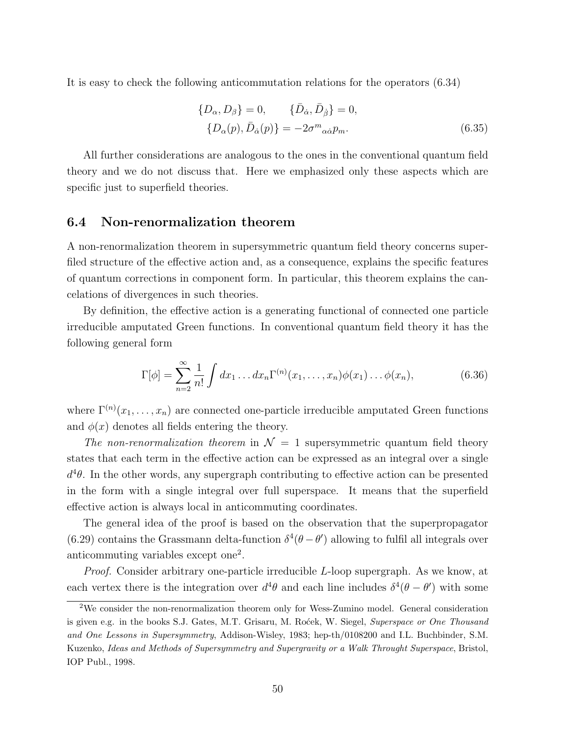It is easy to check the following anticommutation relations for the operators (6.34)

$$
\{D_{\alpha}, D_{\beta}\} = 0, \qquad \{\bar{D}_{\dot{\alpha}}, \bar{D}_{\dot{\beta}}\} = 0,
$$
  

$$
\{D_{\alpha}(p), \bar{D}_{\dot{\alpha}}(p)\} = -2\sigma^{m}{}_{\alpha\dot{\alpha}}p_{m}.
$$
 (6.35)

All further considerations are analogous to the ones in the conventional quantum field theory and we do not discuss that. Here we emphasized only these aspects which are specific just to superfield theories.

#### **6.4 Non-renormalization theorem**

A non-renormalization theorem in supersymmetric quantum field theory concerns superfiled structure of the effective action and, as a consequence, explains the specific features of quantum corrections in component form. In particular, this theorem explains the cancelations of divergences in such theories.

By definition, the effective action is a generating functional of connected one particle irreducible amputated Green functions. In conventional quantum field theory it has the following general form

$$
\Gamma[\phi] = \sum_{n=2}^{\infty} \frac{1}{n!} \int dx_1 \dots dx_n \Gamma^{(n)}(x_1, \dots, x_n) \phi(x_1) \dots \phi(x_n), \tag{6.36}
$$

where  $\Gamma^{(n)}(x_1,\ldots,x_n)$  are connected one-particle irreducible amputated Green functions and  $\phi(x)$  denotes all fields entering the theory.

*The non-renormalization theorem* in  $\mathcal{N} = 1$  supersymmetric quantum field theory states that each term in the effective action can be expressed as an integral over a single  $d^4\theta$ . In the other words, any supergraph contributing to effective action can be presented in the form with a single integral over full superspace. It means that the superfield effective action is always local in anticommuting coordinates.

The general idea of the proof is based on the observation that the superpropagator (6.29) contains the Grassmann delta-function  $\delta^4(\theta - \theta')$  allowing to fulfil all integrals over anticommuting variables except one<sup>2</sup>.

*Proof.* Consider arbitrary one-particle irreducible *L*-loop supergraph. As we know, at each vertex there is the integration over  $d^4\theta$  and each line includes  $\delta^4(\theta - \theta')$  with some

<sup>2</sup>We consider the non-renormalization theorem only for Wess-Zumino model. General consideration is given e.g. in the books S.J. Gates, M.T. Grisaru, M. Rocek, W. Siegel, *Superspace or One Thousand and One Lessons in Supersymmetry*, Addison-Wisley, 1983; hep-th/0108200 and I.L. Buchbinder, S.M. Kuzenko, *Ideas and Methods of Supersymmetry and Supergravity or a Walk Throught Superspace*, Bristol, IOP Publ., 1998.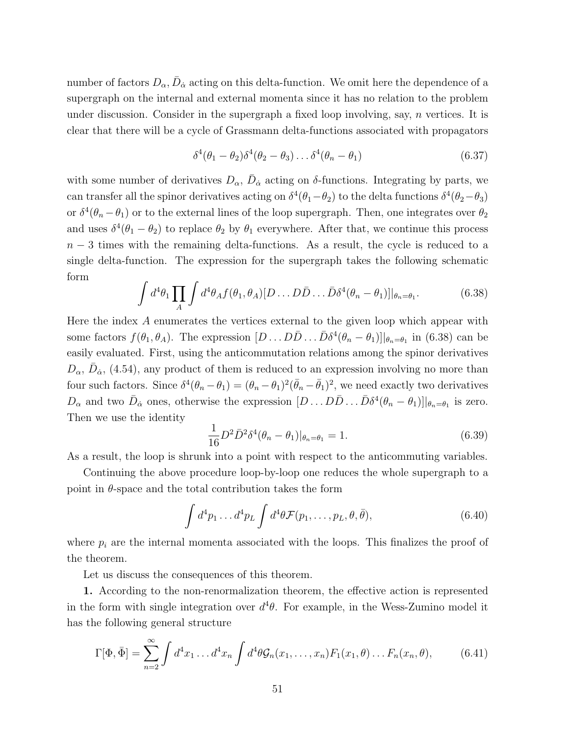number of factors  $D_{\alpha}$ ,  $\bar{D}_{\dot{\alpha}}$  acting on this delta-function. We omit here the dependence of a supergraph on the internal and external momenta since it has no relation to the problem under discussion. Consider in the supergraph a fixed loop involving, say, *n* vertices. It is clear that there will be a cycle of Grassmann delta-functions associated with propagators

$$
\delta^4(\theta_1 - \theta_2)\delta^4(\theta_2 - \theta_3)\dots\delta^4(\theta_n - \theta_1)
$$
\n(6.37)

with some number of derivatives  $D_{\alpha}$ ,  $\bar{D}_{\dot{\alpha}}$  acting on *δ*-functions. Integrating by parts, we can transfer all the spinor derivatives acting on  $\delta^4(\theta_1 - \theta_2)$  to the delta functions  $\delta^4(\theta_2 - \theta_3)$ or  $\delta^4(\theta_n - \theta_1)$  or to the external lines of the loop supergraph. Then, one integrates over  $\theta_2$ and uses  $\delta^4(\theta_1 - \theta_2)$  to replace  $\theta_2$  by  $\theta_1$  everywhere. After that, we continue this process *n* − 3 times with the remaining delta-functions. As a result, the cycle is reduced to a single delta-function. The expression for the supergraph takes the following schematic form

$$
\int d^4\theta_1 \prod_A \int d^4\theta_A f(\theta_1, \theta_A) [D \dots D\bar{D} \dots \bar{D}\delta^4(\theta_n - \theta_1)]|_{\theta_n = \theta_1}.
$$
 (6.38)

Here the index *A* enumerates the vertices external to the given loop which appear with some factors  $f(\theta_1, \theta_A)$ . The expression  $[D \dots D\overline{D} \dots \overline{D} \delta^4(\theta_n - \theta_1)]|_{\theta_n = \theta_1}$  in (6.38) can be easily evaluated. First, using the anticommutation relations among the spinor derivatives  $D_{\alpha}$ ,  $\bar{D}_{\dot{\alpha}}$ , (4.54), any product of them is reduced to an expression involving no more than four such factors. Since  $\delta^4(\theta_n - \theta_1) = (\theta_n - \theta_1)^2(\bar{\theta}_n - \bar{\theta}_1)^2$ , we need exactly two derivatives  $D_{\alpha}$  and two  $\bar{D}_{\dot{\alpha}}$  ones, otherwise the expression  $[D \dots D\bar{D} \dots \bar{D}\delta^4(\theta_n - \theta_1)]|_{\theta_n = \theta_1}$  is zero. Then we use the identity

$$
\frac{1}{16}D^2\bar{D}^2\delta^4(\theta_n - \theta_1)|_{\theta_n = \theta_1} = 1.
$$
\n(6.39)

As a result, the loop is shrunk into a point with respect to the anticommuting variables.

Continuing the above procedure loop-by-loop one reduces the whole supergraph to a point in  $\theta$ -space and the total contribution takes the form

$$
\int d^4p_1 \dots d^4p_L \int d^4\theta \mathcal{F}(p_1, \dots, p_L, \theta, \bar{\theta}), \tag{6.40}
$$

where  $p_i$  are the internal momenta associated with the loops. This finalizes the proof of the theorem.

Let us discuss the consequences of this theorem.

**1.** According to the non-renormalization theorem, the effective action is represented in the form with single integration over  $d^4\theta$ . For example, in the Wess-Zumino model it has the following general structure

$$
\Gamma[\Phi,\bar{\Phi}] = \sum_{n=2}^{\infty} \int d^4x_1 \dots d^4x_n \int d^4\theta \mathcal{G}_n(x_1,\dots,x_n) F_1(x_1,\theta) \dots F_n(x_n,\theta), \tag{6.41}
$$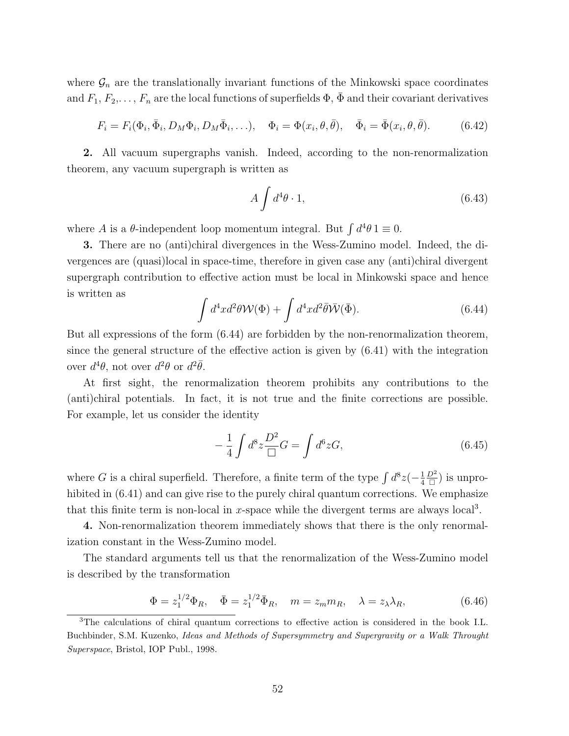where  $\mathcal{G}_n$  are the translationally invariant functions of the Minkowski space coordinates and  $F_1, F_2, \ldots, F_n$  are the local functions of superfields  $\Phi$ ,  $\bar{\Phi}$  and their covariant derivatives

$$
F_i = F_i(\Phi_i, \bar{\Phi}_i, D_M \Phi_i, D_M \bar{\Phi}_i, \ldots), \quad \Phi_i = \Phi(x_i, \theta, \bar{\theta}), \quad \bar{\Phi}_i = \bar{\Phi}(x_i, \theta, \bar{\theta}). \tag{6.42}
$$

**2.** All vacuum supergraphs vanish. Indeed, according to the non-renormalization theorem, any vacuum supergraph is written as

$$
A \int d^4 \theta \cdot 1,\tag{6.43}
$$

where *A* is a  $\theta$ -independent loop momentum integral. But  $\int d^4\theta \, 1 \equiv 0$ .

**3.** There are no (anti)chiral divergences in the Wess-Zumino model. Indeed, the divergences are (quasi)local in space-time, therefore in given case any (anti)chiral divergent supergraph contribution to effective action must be local in Minkowski space and hence is written as

$$
\int d^4x d^2\theta \mathcal{W}(\Phi) + \int d^4x d^2\bar{\theta} \bar{\mathcal{W}}(\bar{\Phi}).
$$
\n(6.44)

But all expressions of the form (6.44) are forbidden by the non-renormalization theorem, since the general structure of the effective action is given by (6.41) with the integration over  $d^4\theta$ , not over  $d^2\theta$  or  $d^2\bar{\theta}$ .

At first sight, the renormalization theorem prohibits any contributions to the (anti)chiral potentials. In fact, it is not true and the finite corrections are possible. For example, let us consider the identity

$$
-\frac{1}{4}\int d^8z \frac{D^2}{\Box}G = \int d^6z G,\tag{6.45}
$$

where *G* is a chiral superfield. Therefore, a finite term of the type  $\int d^8z(-\frac{1}{4})$ 4 *D*<sup>2</sup>  $\frac{D^2}{\Box}$ ) is unprohibited in  $(6.41)$  and can give rise to the purely chiral quantum corrections. We emphasize that this finite term is non-local in  $x$ -space while the divergent terms are always  $\text{local}^3$ .

**4.** Non-renormalization theorem immediately shows that there is the only renormalization constant in the Wess-Zumino model.

The standard arguments tell us that the renormalization of the Wess-Zumino model is described by the transformation

$$
\Phi = z_1^{1/2} \Phi_R, \quad \bar{\Phi} = z_1^{1/2} \bar{\Phi}_R, \quad m = z_m m_R, \quad \lambda = z_\lambda \lambda_R,\tag{6.46}
$$

<sup>3</sup>The calculations of chiral quantum corrections to effective action is considered in the book I.L. Buchbinder, S.M. Kuzenko, *Ideas and Methods of Supersymmetry and Supergravity or a Walk Throught Superspace*, Bristol, IOP Publ., 1998.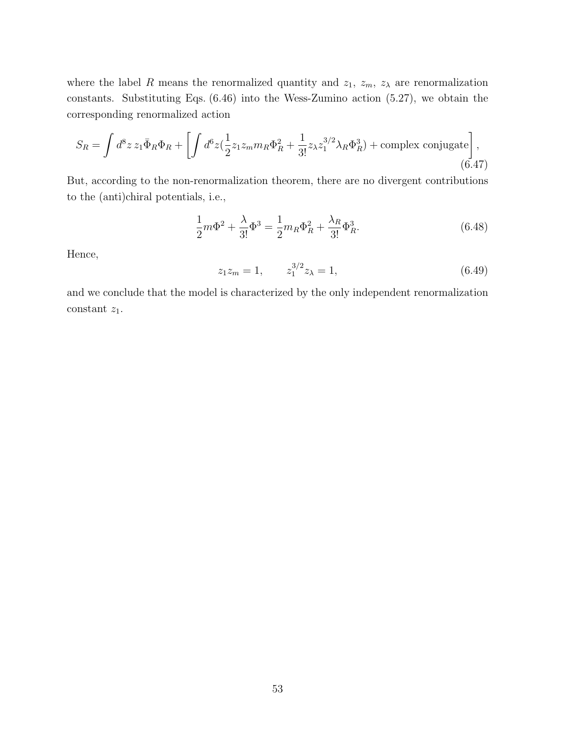where the label *R* means the renormalized quantity and  $z_1$ ,  $z_m$ ,  $z_\lambda$  are renormalization constants. Substituting Eqs. (6.46) into the Wess-Zumino action (5.27), we obtain the corresponding renormalized action

$$
S_R = \int d^8 z \, z_1 \bar{\Phi}_R \Phi_R + \left[ \int d^6 z (\frac{1}{2} z_1 z_m m_R \Phi_R^2 + \frac{1}{3!} z_\lambda z_1^{3/2} \lambda_R \Phi_R^3) + \text{complex conjugate} \right],\tag{6.47}
$$

But, according to the non-renormalization theorem, there are no divergent contributions to the (anti)chiral potentials, i.e.,

$$
\frac{1}{2}m\Phi^2 + \frac{\lambda}{3!}\Phi^3 = \frac{1}{2}m_R\Phi_R^2 + \frac{\lambda_R}{3!}\Phi_R^3.
$$
\n(6.48)

Hence,

$$
z_1 z_m = 1, \qquad z_1^{3/2} z_\lambda = 1,\tag{6.49}
$$

and we conclude that the model is characterized by the only independent renormalization constant *z*1.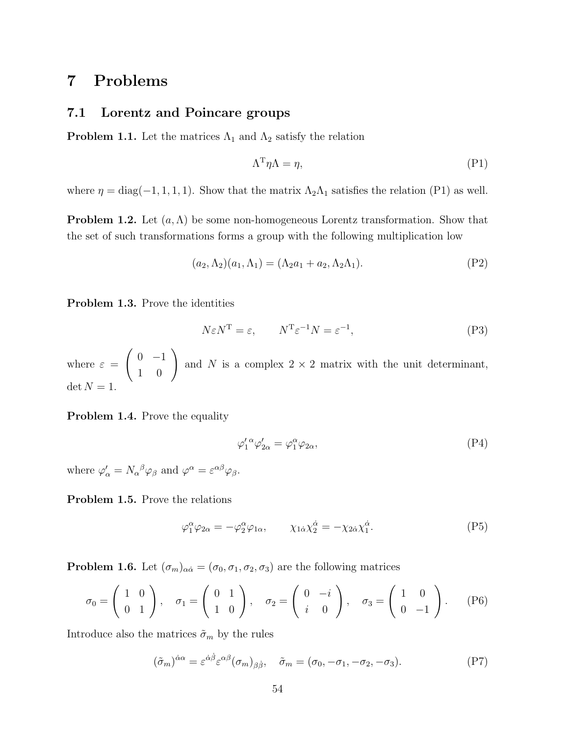# **7 Problems**

#### **7.1 Lorentz and Poincare groups**

**Problem 1.1.** Let the matrices  $\Lambda_1$  and  $\Lambda_2$  satisfy the relation

$$
\Lambda^{\mathrm{T}} \eta \Lambda = \eta,\tag{P1}
$$

where  $\eta = \text{diag}(-1, 1, 1, 1)$ . Show that the matrix  $\Lambda_2 \Lambda_1$  satisfies the relation (P1) as well.

**Problem 1.2.** Let (*a,*Λ) be some non-homogeneous Lorentz transformation. Show that the set of such transformations forms a group with the following multiplication low

$$
(a_2, \Lambda_2)(a_1, \Lambda_1) = (\Lambda_2 a_1 + a_2, \Lambda_2 \Lambda_1).
$$
 (P2)

**Problem 1.3.** Prove the identities

$$
N\varepsilon N^{\mathrm{T}} = \varepsilon, \qquad N^{\mathrm{T}}\varepsilon^{-1}N = \varepsilon^{-1}, \tag{P3}
$$

where  $\varepsilon =$  $\left(\begin{array}{cc} 0 & -1 \\ 1 & 0 \end{array}\right)$ and *N* is a complex  $2 \times 2$  matrix with the unit determinant,  $\det N = 1$ .

**Problem 1.4.** Prove the equality

$$
\varphi_1^{\prime \alpha} \varphi_{2\alpha}^{\prime} = \varphi_1^{\alpha} \varphi_{2\alpha}, \tag{P4}
$$

where  $\varphi'_{\alpha} = N_{\alpha}{}^{\beta} \varphi_{\beta}$  and  $\varphi^{\alpha} = \varepsilon^{\alpha \beta} \varphi_{\beta}$ .

**Problem 1.5.** Prove the relations

$$
\varphi_1^{\alpha}\varphi_{2\alpha} = -\varphi_2^{\alpha}\varphi_{1\alpha}, \qquad \chi_{1\dot{\alpha}}\chi_2^{\dot{\alpha}} = -\chi_{2\dot{\alpha}}\chi_1^{\dot{\alpha}}.
$$
 (P5)

**Problem 1.6.** Let  $(\sigma_m)_{\alpha\dot{\alpha}} = (\sigma_0, \sigma_1, \sigma_2, \sigma_3)$  are the following matrices

$$
\sigma_0 = \begin{pmatrix} 1 & 0 \\ 0 & 1 \end{pmatrix}, \quad \sigma_1 = \begin{pmatrix} 0 & 1 \\ 1 & 0 \end{pmatrix}, \quad \sigma_2 = \begin{pmatrix} 0 & -i \\ i & 0 \end{pmatrix}, \quad \sigma_3 = \begin{pmatrix} 1 & 0 \\ 0 & -1 \end{pmatrix}.
$$
 (P6)

Introduce also the matrices  $\tilde{\sigma}_m$  by the rules

$$
(\tilde{\sigma}_m)^{\dot{\alpha}\alpha} = \varepsilon^{\dot{\alpha}\dot{\beta}} \varepsilon^{\alpha\beta} (\sigma_m)_{\beta\dot{\beta}}, \quad \tilde{\sigma}_m = (\sigma_0, -\sigma_1, -\sigma_2, -\sigma_3). \tag{P7}
$$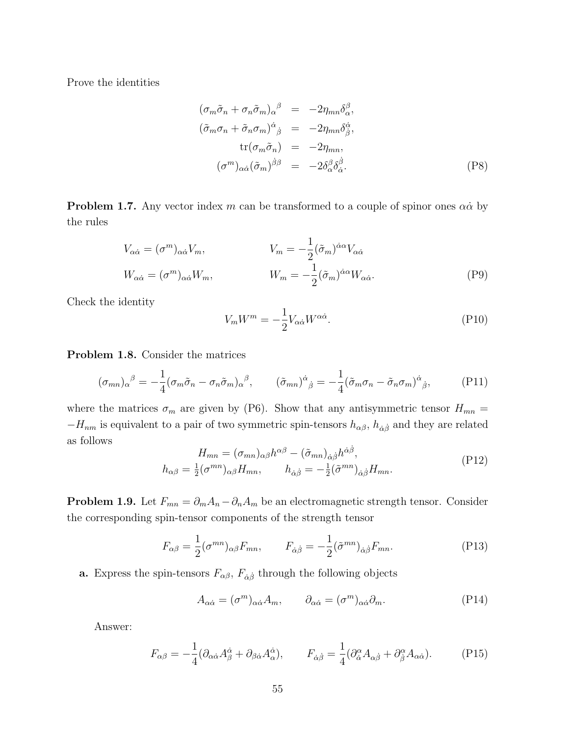Prove the identities

$$
(\sigma_m \tilde{\sigma}_n + \sigma_n \tilde{\sigma}_m)_{\alpha}{}^{\beta} = -2\eta_{mn} \delta_{\alpha}^{\beta},
$$
  
\n
$$
(\tilde{\sigma}_m \sigma_n + \tilde{\sigma}_n \sigma_m)^{\dot{\alpha}}_{\dot{\beta}} = -2\eta_{mn} \delta_{\dot{\beta}}^{\dot{\alpha}},
$$
  
\n
$$
\text{tr}(\sigma_m \tilde{\sigma}_n) = -2\eta_{mn},
$$
  
\n
$$
(\sigma^m)_{\alpha \dot{\alpha}} (\tilde{\sigma}_m)^{\dot{\beta}\beta} = -2\delta_{\alpha}^{\beta} \delta_{\dot{\alpha}}^{\dot{\beta}}.
$$
 (P8)

**Problem 1.7.** Any vector index  $m$  can be transformed to a couple of spinor ones  $\alpha \dot{\alpha}$  by the rules

$$
V_{\alpha\dot{\alpha}} = (\sigma^m)_{\alpha\dot{\alpha}} V_m, \qquad V_m = -\frac{1}{2} (\tilde{\sigma}_m)^{\dot{\alpha}\alpha} V_{\alpha\dot{\alpha}}
$$

$$
W_{\alpha\dot{\alpha}} = (\sigma^m)_{\alpha\dot{\alpha}} W_m, \qquad W_m = -\frac{1}{2} (\tilde{\sigma}_m)^{\dot{\alpha}\alpha} W_{\alpha\dot{\alpha}}.
$$
(P9)

Check the identity

$$
V_m W^m = -\frac{1}{2} V_{\alpha \dot{\alpha}} W^{\alpha \dot{\alpha}}.
$$
 (P10)

**Problem 1.8.** Consider the matrices

$$
(\sigma_{mn})_{\alpha}{}^{\beta} = -\frac{1}{4} (\sigma_m \tilde{\sigma}_n - \sigma_n \tilde{\sigma}_m)_{\alpha}{}^{\beta}, \qquad (\tilde{\sigma}_{mn})^{\dot{\alpha}}{}_{\dot{\beta}} = -\frac{1}{4} (\tilde{\sigma}_m \sigma_n - \tilde{\sigma}_n \sigma_m)^{\dot{\alpha}}{}_{\dot{\beta}}, \qquad (P11)
$$

where the matrices  $\sigma_m$  are given by (P6). Show that any antisymmetric tensor  $H_{mn}$  = *−H*<sub>nm</sub> is equivalent to a pair of two symmetric spin-tensors  $h_{\alpha\beta}$ ,  $h_{\dot{\alpha}\dot{\beta}}$  and they are related as follows

$$
H_{mn} = (\sigma_{mn})_{\alpha\beta} h^{\alpha\beta} - (\tilde{\sigma}_{mn})_{\dot{\alpha}\dot{\beta}} h^{\dot{\alpha}\dot{\beta}},
$$
  
\n
$$
h_{\alpha\beta} = \frac{1}{2} (\sigma^{mn})_{\alpha\beta} H_{mn}, \qquad h_{\dot{\alpha}\dot{\beta}} = -\frac{1}{2} (\tilde{\sigma}^{mn})_{\dot{\alpha}\dot{\beta}} H_{mn}.
$$
\n(P12)

**Problem 1.9.** Let  $F_{mn} = \partial_m A_n - \partial_n A_m$  be an electromagnetic strength tensor. Consider the corresponding spin-tensor components of the strength tensor

$$
F_{\alpha\beta} = \frac{1}{2} (\sigma^{mn})_{\alpha\beta} F_{mn}, \qquad F_{\dot{\alpha}\dot{\beta}} = -\frac{1}{2} (\tilde{\sigma}^{mn})_{\dot{\alpha}\dot{\beta}} F_{mn}.
$$
 (P13)

**a.** Express the spin-tensors  $F_{\alpha\beta}$ ,  $F_{\dot{\alpha}\dot{\beta}}$  through the following objects

$$
A_{\alpha\dot{\alpha}} = (\sigma^m)_{\alpha\dot{\alpha}} A_m, \qquad \partial_{\alpha\dot{\alpha}} = (\sigma^m)_{\alpha\dot{\alpha}} \partial_m.
$$
 (P14)

Answer:

$$
F_{\alpha\beta} = -\frac{1}{4}(\partial_{\alpha\dot{\alpha}}A^{\dot{\alpha}}_{\beta} + \partial_{\beta\dot{\alpha}}A^{\dot{\alpha}}_{\alpha}), \qquad F_{\dot{\alpha}\dot{\beta}} = \frac{1}{4}(\partial^{\alpha}_{\dot{\alpha}}A_{\alpha\dot{\beta}} + \partial^{\alpha}_{\dot{\beta}}A_{\alpha\dot{\alpha}}). \tag{P15}
$$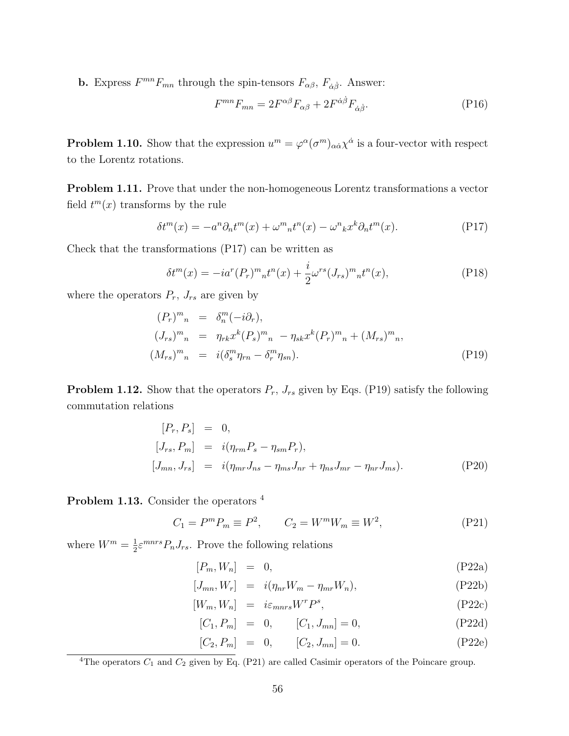**b.** Express  $F^{mn}F_{mn}$  through the spin-tensors  $F_{\alpha\beta}$ ,  $F_{\dot{\alpha}\dot{\beta}}$ . Answer:

$$
F^{mn}F_{mn} = 2F^{\alpha\beta}F_{\alpha\beta} + 2F^{\dot{\alpha}\dot{\beta}}F_{\dot{\alpha}\dot{\beta}}.
$$
 (P16)

**Problem 1.10.** Show that the expression  $u^m = \varphi^{\alpha}(\sigma^m)_{\alpha\dot{\alpha}}\chi^{\dot{\alpha}}$  is a four-vector with respect to the Lorentz rotations.

**Problem 1.11.** Prove that under the non-homogeneous Lorentz transformations a vector field  $t^m(x)$  transforms by the rule

$$
\delta t^{m}(x) = -a^{n}\partial_{n}t^{m}(x) + \omega^{m}{}_{n}t^{n}(x) - \omega^{n}{}_{k}x^{k}\partial_{n}t^{m}(x).
$$
 (P17)

Check that the transformations (P17) can be written as

$$
\delta t^{m}(x) = -ia^{r}(P_{r})^{m}{}_{n}t^{n}(x) + \frac{i}{2}\omega^{rs}(J_{rs})^{m}{}_{n}t^{n}(x), \qquad (P18)
$$

where the operators  $P_r$ ,  $J_{rs}$  are given by

$$
(P_r)^m{}_n = \delta_n^m(-i\partial_r),
$$
  
\n
$$
(J_{rs})^m{}_n = \eta_{rk} x^k (P_s)^m{}_n - \eta_{sk} x^k (P_r)^m{}_n + (M_{rs})^m{}_n,
$$
  
\n
$$
(M_{rs})^m{}_n = i(\delta_s^m \eta_{rn} - \delta_r^m \eta_{sn}).
$$
\n(P19)

**Problem 1.12.** Show that the operators  $P_r$ ,  $J_{rs}$  given by Eqs. (P19) satisfy the following commutation relations

$$
[P_r, P_s] = 0,\n[J_{rs}, P_m] = i(\eta_{rm} P_s - \eta_{sm} P_r),\n[J_{mn}, J_{rs}] = i(\eta_{mr} J_{ns} - \eta_{ms} J_{nr} + \eta_{ns} J_{mr} - \eta_{nr} J_{ms}).
$$
\n(P20)

**Problem 1.13.** Consider the operators <sup>4</sup>

$$
C_1 = P^m P_m \equiv P^2, \qquad C_2 = W^m W_m \equiv W^2,
$$
 (P21)

where  $W^m = \frac{1}{2}$  $\frac{1}{2} \varepsilon^{mnrs} P_n J_{rs}$ . Prove the following relations

$$
[P_m, W_n] = 0, \tag{P22a}
$$

$$
[J_{mn}, W_r] = i(\eta_{nr}W_m - \eta_{mr}W_n), \qquad (P22b)
$$

$$
[W_m, W_n] = i\varepsilon_{mnrs} W^r P^s, \tag{P22c}
$$

$$
[C_1, P_m] = 0, \t [C_1, J_{mn}] = 0,
$$
\t(P22d)

$$
[C_2, P_m] = 0, \t[C_2, J_{mn}] = 0.
$$
 (P22e)

<sup>&</sup>lt;sup>4</sup>The operators  $C_1$  and  $C_2$  given by Eq. (P21) are called Casimir operators of the Poincare group.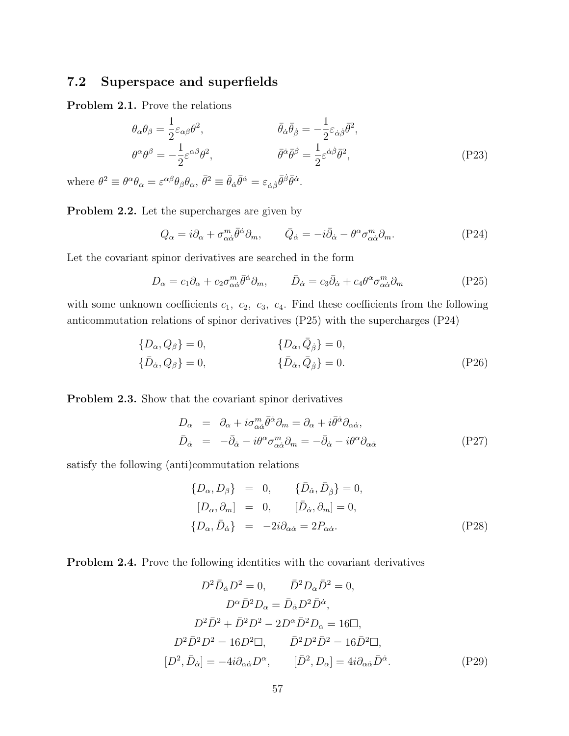### **7.2 Superspace and superfields**

**Problem 2.1.** Prove the relations

$$
\theta_{\alpha}\theta_{\beta} = \frac{1}{2}\varepsilon_{\alpha\beta}\theta^{2}, \qquad \bar{\theta}_{\dot{\alpha}}\bar{\theta}_{\dot{\beta}} = -\frac{1}{2}\varepsilon_{\dot{\alpha}\dot{\beta}}\bar{\theta}^{2}, \n\theta^{\alpha}\theta^{\beta} = -\frac{1}{2}\varepsilon^{\alpha\beta}\theta^{2}, \qquad \bar{\theta}^{\dot{\alpha}}\bar{\theta}^{\dot{\beta}} = \frac{1}{2}\varepsilon^{\dot{\alpha}\dot{\beta}}\bar{\theta}^{2},
$$
\n(P23)

where  $\theta^2 \equiv \theta^{\alpha} \theta_{\alpha} = \varepsilon^{\alpha \beta} \theta_{\beta} \theta_{\alpha}, \bar{\theta}^2 \equiv \bar{\theta}_{\dot{\alpha}} \bar{\theta}^{\dot{\alpha}} = \varepsilon_{\dot{\alpha} \dot{\beta}} \bar{\theta}^{\dot{\beta}} \bar{\theta}^{\dot{\alpha}}.$ 

**Problem 2.2.** Let the supercharges are given by

$$
Q_{\alpha} = i\partial_{\alpha} + \sigma_{\alpha\dot{\alpha}}^{m} \bar{\theta}^{\dot{\alpha}} \partial_{m}, \qquad \bar{Q}_{\dot{\alpha}} = -i\bar{\partial}_{\dot{\alpha}} - \theta^{\alpha} \sigma_{\alpha\dot{\alpha}}^{m} \partial_{m}. \tag{P24}
$$

Let the covariant spinor derivatives are searched in the form

$$
D_{\alpha} = c_1 \partial_{\alpha} + c_2 \sigma_{\alpha \dot{\alpha}}^m \bar{\theta}^{\dot{\alpha}} \partial_m, \qquad \bar{D}_{\dot{\alpha}} = c_3 \bar{\partial}_{\dot{\alpha}} + c_4 \theta^{\alpha} \sigma_{\alpha \dot{\alpha}}^m \partial_m \tag{P25}
$$

with some unknown coefficients  $c_1$ ,  $c_2$ ,  $c_3$ ,  $c_4$ . Find these coefficients from the following anticommutation relations of spinor derivatives (P25) with the supercharges (P24)

$$
\{D_{\alpha}, Q_{\beta}\} = 0, \qquad \{D_{\alpha}, \bar{Q}_{\dot{\beta}}\} = 0, \{\bar{D}_{\dot{\alpha}}, Q_{\beta}\} = 0, \qquad \{\bar{D}_{\dot{\alpha}}, \bar{Q}_{\dot{\beta}}\} = 0.
$$
\n(P26)

**Problem 2.3.** Show that the covariant spinor derivatives

$$
D_{\alpha} = \partial_{\alpha} + i\sigma^{m}_{\alpha\dot{\alpha}}\bar{\theta}^{\dot{\alpha}}\partial_{m} = \partial_{\alpha} + i\bar{\theta}^{\dot{\alpha}}\partial_{\alpha\dot{\alpha}},
$$
  
\n
$$
\bar{D}_{\dot{\alpha}} = -\bar{\partial}_{\dot{\alpha}} - i\theta^{\alpha}\sigma^{m}_{\alpha\dot{\alpha}}\partial_{m} = -\bar{\partial}_{\dot{\alpha}} - i\theta^{\alpha}\partial_{\alpha\dot{\alpha}}
$$
\n(P27)

satisfy the following (anti)commutation relations

$$
\begin{aligned}\n\{D_{\alpha}, D_{\beta}\} &= 0, & \{\bar{D}_{\dot{\alpha}}, \bar{D}_{\dot{\beta}}\} &= 0, \\
[D_{\alpha}, \partial_{m}] &= 0, & [\bar{D}_{\dot{\alpha}}, \partial_{m}] &= 0, \\
\{D_{\alpha}, \bar{D}_{\dot{\alpha}}\} &= -2i\partial_{\alpha\dot{\alpha}} &= 2P_{\alpha\dot{\alpha}}.\n\end{aligned} \tag{P28}
$$

**Problem 2.4.** Prove the following identities with the covariant derivatives

$$
D^2 \bar{D}_{\dot{\alpha}} D^2 = 0, \qquad \bar{D}^2 D_{\alpha} \bar{D}^2 = 0,
$$
  
\n
$$
D^{\alpha} \bar{D}^2 D_{\alpha} = \bar{D}_{\dot{\alpha}} D^2 \bar{D}^{\dot{\alpha}},
$$
  
\n
$$
D^2 \bar{D}^2 + \bar{D}^2 D^2 - 2D^{\alpha} \bar{D}^2 D_{\alpha} = 16 \Box,
$$
  
\n
$$
D^2 \bar{D}^2 D^2 = 16D^2 \Box, \qquad \bar{D}^2 D^2 \bar{D}^2 = 16\bar{D}^2 \Box,
$$
  
\n
$$
[D^2, \bar{D}_{\dot{\alpha}}] = -4i \partial_{\alpha \dot{\alpha}} D^{\alpha}, \qquad [\bar{D}^2, D_{\alpha}] = 4i \partial_{\alpha \dot{\alpha}} \bar{D}^{\dot{\alpha}}.
$$
 (P29)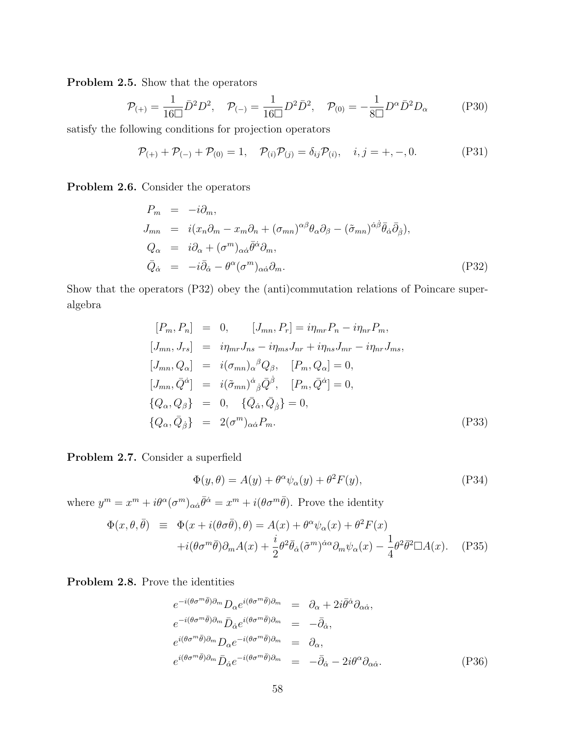**Problem 2.5.** Show that the operators

$$
\mathcal{P}_{(+)} = \frac{1}{16\Box} \bar{D}^2 D^2, \quad \mathcal{P}_{(-)} = \frac{1}{16\Box} D^2 \bar{D}^2, \quad \mathcal{P}_{(0)} = -\frac{1}{8\Box} D^{\alpha} \bar{D}^2 D_{\alpha}
$$
(P30)

satisfy the following conditions for projection operators

$$
\mathcal{P}_{(+)} + \mathcal{P}_{(-)} + \mathcal{P}_{(0)} = 1, \quad \mathcal{P}_{(i)}\mathcal{P}_{(j)} = \delta_{ij}\mathcal{P}_{(i)}, \quad i, j = +, -, 0.
$$
 (P31)

**Problem 2.6.** Consider the operators

$$
P_m = -i\partial_m,
$$
  
\n
$$
J_{mn} = i(x_n\partial_m - x_m\partial_n + (\sigma_{mn})^{\alpha\beta}\theta_\alpha\partial_\beta - (\tilde{\sigma}_{mn})^{\dot{\alpha}\dot{\beta}}\bar{\theta}_{\dot{\alpha}}\bar{\partial}_{\dot{\beta}}),
$$
  
\n
$$
Q_\alpha = i\partial_\alpha + (\sigma^m)_{\alpha\dot{\alpha}}\bar{\theta}^{\dot{\alpha}}\partial_m,
$$
  
\n
$$
\bar{Q}_{\dot{\alpha}} = -i\bar{\partial}_{\dot{\alpha}} - \theta^\alpha(\sigma^m)_{\alpha\dot{\alpha}}\partial_m.
$$
\n(P32)

Show that the operators (P32) obey the (anti)commutation relations of Poincare superalgebra

$$
[P_m, P_n] = 0, \t [J_{mn}, P_r] = i\eta_{mr} P_n - i\eta_{nr} P_m,
$$
  
\n
$$
[J_{mn}, J_{rs}] = i\eta_{mr} J_{ns} - i\eta_{ms} J_{nr} + i\eta_{ns} J_{mr} - i\eta_{nr} J_{ms},
$$
  
\n
$$
[J_{mn}, Q_\alpha] = i(\sigma_{mn})_\alpha{}^\beta Q_\beta, \t [P_m, Q_\alpha] = 0,
$$
  
\n
$$
[J_{mn}, \bar{Q}^{\dot{\alpha}}] = i(\tilde{\sigma}_{mn})^{\dot{\alpha}}{}_{\dot{\beta}} \bar{Q}^{\dot{\beta}}, \t [P_m, \bar{Q}^{\dot{\alpha}}] = 0,
$$
  
\n
$$
\{Q_\alpha, Q_\beta\} = 0, \t \{\bar{Q}_{\dot{\alpha}}, \bar{Q}_{\dot{\beta}}\} = 0,
$$
  
\n
$$
\{Q_\alpha, \bar{Q}_{\dot{\beta}}\} = 2(\sigma^m)_{\alpha\dot{\alpha}} P_m.
$$
\n(P33)

**Problem 2.7.** Consider a superfield

$$
\Phi(y,\theta) = A(y) + \theta^{\alpha}\psi_{\alpha}(y) + \theta^{2}F(y),\tag{P34}
$$

where  $y^m = x^m + i\theta^{\alpha}(\sigma^m)_{\alpha\dot{\alpha}}\bar{\theta}^{\dot{\alpha}} = x^m + i(\theta\sigma^m\bar{\theta})$ . Prove the identity

$$
\Phi(x,\theta,\bar{\theta}) = \Phi(x + i(\theta\sigma\bar{\theta}),\theta) = A(x) + \theta^{\alpha}\psi_{\alpha}(x) + \theta^{2}F(x) \n+ i(\theta\sigma^{m}\bar{\theta})\partial_{m}A(x) + \frac{i}{2}\theta^{2}\bar{\theta}_{\dot{\alpha}}(\tilde{\sigma}^{m})^{\dot{\alpha}\alpha}\partial_{m}\psi_{\alpha}(x) - \frac{1}{4}\theta^{2}\bar{\theta}^{2}\Box A(x).
$$
 (P35)

**Problem 2.8.** Prove the identities

$$
e^{-i(\theta\sigma^{m}\bar{\theta})\partial_{m}}D_{\alpha}e^{i(\theta\sigma^{m}\bar{\theta})\partial_{m}} = \partial_{\alpha} + 2i\bar{\theta}^{\dot{\alpha}}\partial_{\alpha\dot{\alpha}},
$$
  
\n
$$
e^{-i(\theta\sigma^{m}\bar{\theta})\partial_{m}}\bar{D}_{\dot{\alpha}}e^{i(\theta\sigma^{m}\bar{\theta})\partial_{m}} = -\bar{\partial}_{\dot{\alpha}},
$$
  
\n
$$
e^{i(\theta\sigma^{m}\bar{\theta})\partial_{m}}D_{\alpha}e^{-i(\theta\sigma^{m}\bar{\theta})\partial_{m}} = \partial_{\alpha},
$$
  
\n
$$
e^{i(\theta\sigma^{m}\bar{\theta})\partial_{m}}\bar{D}_{\dot{\alpha}}e^{-i(\theta\sigma^{m}\bar{\theta})\partial_{m}} = -\bar{\partial}_{\dot{\alpha}} - 2i\theta^{\alpha}\partial_{\alpha\dot{\alpha}}.
$$
\n(P36)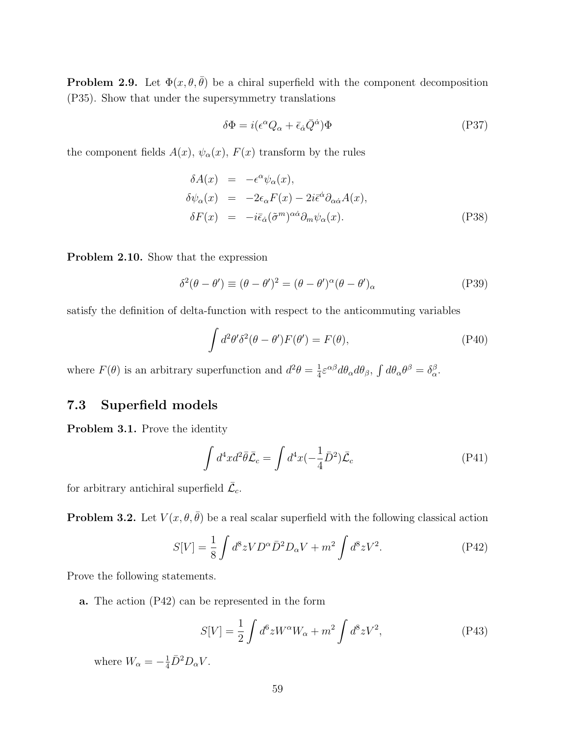**Problem 2.9.** Let  $\Phi(x, \theta, \bar{\theta})$  be a chiral superfield with the component decomposition (P35). Show that under the supersymmetry translations

$$
\delta\Phi = i(\epsilon^{\alpha}Q_{\alpha} + \bar{\epsilon}_{\dot{\alpha}}\bar{Q}^{\dot{\alpha}})\Phi \tag{P37}
$$

the component fields  $A(x)$ ,  $\psi_{\alpha}(x)$ ,  $F(x)$  transform by the rules

$$
\delta A(x) = -\epsilon^{\alpha} \psi_{\alpha}(x), \n\delta \psi_{\alpha}(x) = -2\epsilon_{\alpha} F(x) - 2i \bar{\epsilon}^{\dot{\alpha}} \partial_{\alpha \dot{\alpha}} A(x), \n\delta F(x) = -i \bar{\epsilon}_{\dot{\alpha}} (\tilde{\sigma}^{m})^{\alpha \dot{\alpha}} \partial_{m} \psi_{\alpha}(x).
$$
\n(P38)

**Problem 2.10.** Show that the expression

$$
\delta^2(\theta - \theta') \equiv (\theta - \theta')^2 = (\theta - \theta')^{\alpha}(\theta - \theta')_{\alpha}
$$
 (P39)

satisfy the definition of delta-function with respect to the anticommuting variables

$$
\int d^2\theta' \delta^2(\theta - \theta') F(\theta') = F(\theta), \tag{P40}
$$

where  $F(\theta)$  is an arbitrary superfunction and  $d^2\theta = \frac{1}{4}$  $\frac{1}{4}\varepsilon^{\alpha\beta}d\theta_{\alpha}d\theta_{\beta}, \int d\theta_{\alpha}\theta^{\beta} = \delta_{\alpha}^{\beta}.$ 

# **7.3 Superfield models**

**Problem 3.1.** Prove the identity

$$
\int d^4x d^2\bar{\theta}\bar{\mathcal{L}}_c = \int d^4x \left(-\frac{1}{4}\bar{D}^2\right)\bar{\mathcal{L}}_c\tag{P41}
$$

for arbitrary antichiral superfield  $\bar{\mathcal{L}}_c$ .

**Problem 3.2.** Let  $V(x, \theta, \bar{\theta})$  be a real scalar superfield with the following classical action

$$
S[V] = \frac{1}{8} \int d^8 z V D^\alpha \bar{D}^2 D_\alpha V + m^2 \int d^8 z V^2.
$$
 (P42)

Prove the following statements.

**a.** The action (P42) can be represented in the form

$$
S[V] = \frac{1}{2} \int d^6 z W^\alpha W_\alpha + m^2 \int d^8 z V^2,
$$
 (P43)

where  $W_{\alpha} = -\frac{1}{4}\bar{D}^2D_{\alpha}V$ .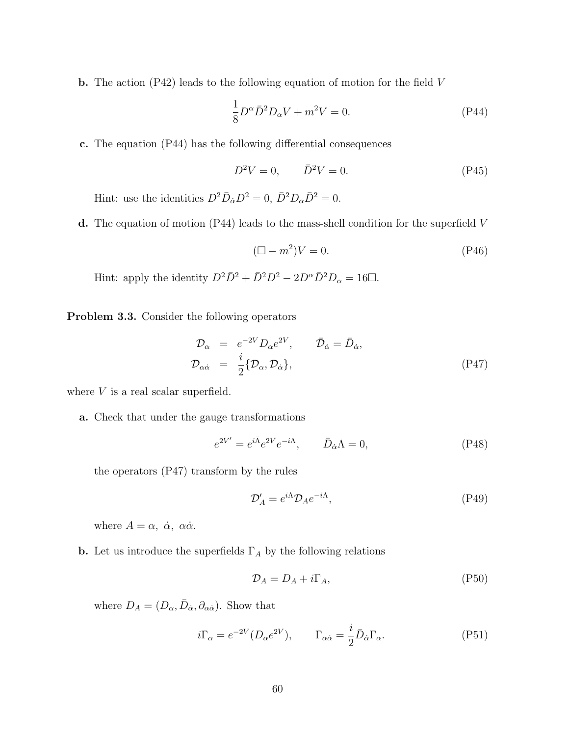**b.** The action (P42) leads to the following equation of motion for the field *V*

$$
\frac{1}{8}D^{\alpha}\bar{D}^{2}D_{\alpha}V + m^{2}V = 0.
$$
 (P44)

**c.** The equation (P44) has the following differential consequences

$$
D^2V = 0, \qquad \bar{D}^2V = 0.
$$
 (P45)

Hint: use the identities  $D^2 \bar{D}_{\dot{\alpha}} D^2 = 0$ ,  $\bar{D}^2 D_{\alpha} \bar{D}^2 = 0$ .

**d.** The equation of motion (P44) leads to the mass-shell condition for the superfield *V*

$$
(\Box - m^2)V = 0.\t\t(P46)
$$

Hint: apply the identity  $D^2 \bar{D}^2 + \bar{D}^2 D^2 - 2D^{\alpha} \bar{D}^2 D_{\alpha} = 16 \Box$ .

**Problem 3.3.** Consider the following operators

$$
\mathcal{D}_{\alpha} = e^{-2V} D_{\alpha} e^{2V}, \qquad \bar{\mathcal{D}}_{\dot{\alpha}} = \bar{D}_{\dot{\alpha}}, \n\mathcal{D}_{\alpha \dot{\alpha}} = \frac{i}{2} \{ \mathcal{D}_{\alpha}, \mathcal{D}_{\dot{\alpha}} \},
$$
\n(P47)

where *V* is a real scalar superfield.

**a.** Check that under the gauge transformations

$$
e^{2V'} = e^{i\bar{\Lambda}}e^{2V}e^{-i\Lambda}, \qquad \bar{D}_{\dot{\alpha}}\Lambda = 0, \tag{P48}
$$

the operators (P47) transform by the rules

$$
\mathcal{D}'_A = e^{i\Lambda} \mathcal{D}_A e^{-i\Lambda},\tag{P49}
$$

where  $A = \alpha$ ,  $\dot{\alpha}$ ,  $\alpha \dot{\alpha}$ .

**b.** Let us introduce the superfields  $\Gamma_A$  by the following relations

$$
\mathcal{D}_A = D_A + i\Gamma_A,\tag{P50}
$$

where  $D_A = (D_\alpha, \bar{D}_{\dot{\alpha}}, \partial_{\alpha \dot{\alpha}})$ . Show that

$$
i\Gamma_{\alpha} = e^{-2V} (D_{\alpha} e^{2V}), \qquad \Gamma_{\alpha\dot{\alpha}} = \frac{i}{2} \bar{D}_{\dot{\alpha}} \Gamma_{\alpha}.
$$
 (P51)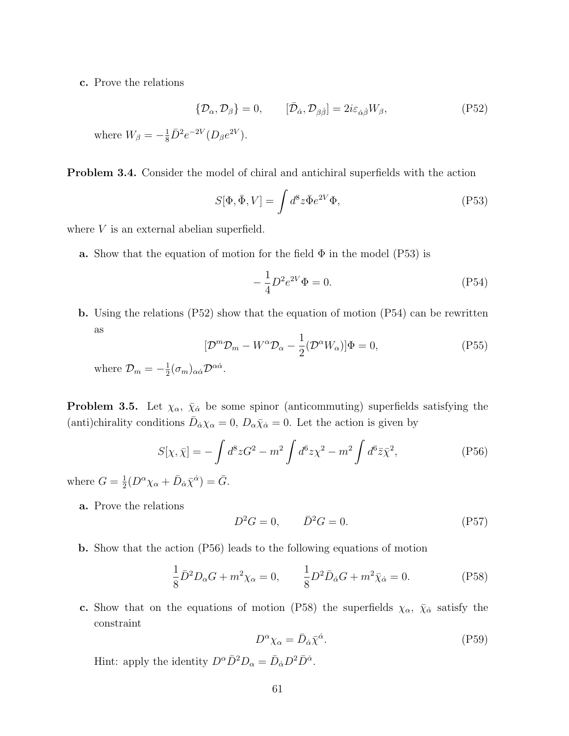**c.** Prove the relations

$$
\{\mathcal{D}_{\alpha}, \mathcal{D}_{\beta}\} = 0, \qquad [\bar{\mathcal{D}}_{\dot{\alpha}}, \mathcal{D}_{\beta \dot{\beta}}] = 2i\varepsilon_{\dot{\alpha}\dot{\beta}}W_{\beta}, \qquad (P52)
$$

where  $W_{\beta} = -\frac{1}{8}\bar{D}^2 e^{-2V} (D_{\beta}e^{2V}).$ 

**Problem 3.4.** Consider the model of chiral and antichiral superfields with the action

$$
S[\Phi, \bar{\Phi}, V] = \int d^8 z \bar{\Phi} e^{2V} \Phi,
$$
\n<sup>(P53)</sup>

where *V* is an external abelian superfield.

**a.** Show that the equation of motion for the field  $\Phi$  in the model (P53) is

$$
-\frac{1}{4}D^2e^{2V}\Phi = 0.
$$
 (P54)

**b.** Using the relations (P52) show that the equation of motion (P54) can be rewritten as

$$
[\mathcal{D}^m \mathcal{D}_m - W^\alpha \mathcal{D}_\alpha - \frac{1}{2} (\mathcal{D}^\alpha W_\alpha)] \Phi = 0, \tag{P55}
$$

where  $\mathcal{D}_m = -\frac{1}{2}$  $\frac{1}{2}(\sigma_m)_{\alpha\dot{\alpha}}\mathcal{D}^{\alpha\dot{\alpha}}.$ 

**Problem 3.5.** Let  $\chi_{\alpha}$ ,  $\bar{\chi}_{\dot{\alpha}}$  be some spinor (anticommuting) superfields satisfying the (anti)chirality conditions  $\bar{D}_{\dot{\alpha}} \chi_{\alpha} = 0$ ,  $D_{\alpha} \bar{\chi}_{\dot{\alpha}} = 0$ . Let the action is given by

$$
S[\chi, \bar{\chi}] = -\int d^8 z G^2 - m^2 \int d^6 z \chi^2 - m^2 \int d^6 \bar{z} \bar{\chi}^2,
$$
 (P56)

where  $G = \frac{1}{2}$  $\frac{1}{2}(D^{\alpha}\chi_{\alpha} + \bar{D}_{\dot{\alpha}}\bar{\chi}^{\dot{\alpha}}) = \bar{G}.$ 

**a.** Prove the relations

$$
D^2 G = 0, \qquad \bar{D}^2 G = 0. \tag{P57}
$$

**b.** Show that the action (P56) leads to the following equations of motion

$$
\frac{1}{8}\bar{D}^2 D_\alpha G + m^2 \chi_\alpha = 0, \qquad \frac{1}{8}D^2 \bar{D}_{\dot{\alpha}} G + m^2 \bar{\chi}_{\dot{\alpha}} = 0.
$$
 (P58)

**c.** Show that on the equations of motion (P58) the superfields  $\chi_{\alpha}$ ,  $\bar{\chi}_{\dot{\alpha}}$  satisfy the constraint

$$
D^{\alpha} \chi_{\alpha} = \bar{D}_{\dot{\alpha}} \bar{\chi}^{\dot{\alpha}}.
$$
 (P59)

Hint: apply the identity  $D^{\alpha} \bar{D}^2 D_{\alpha} = \bar{D}_{\dot{\alpha}} D^2 \bar{D}^{\dot{\alpha}}$ .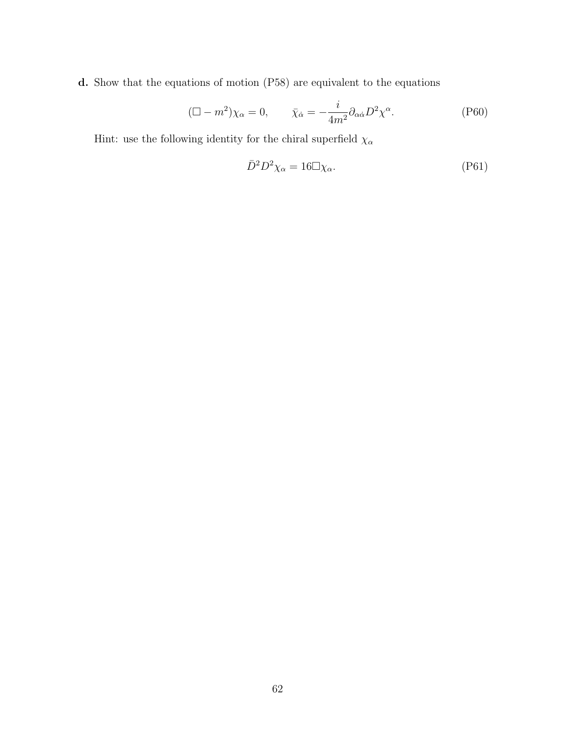**d.** Show that the equations of motion (P58) are equivalent to the equations

$$
(\Box - m^2)\chi_{\alpha} = 0, \qquad \bar{\chi}_{\dot{\alpha}} = -\frac{i}{4m^2} \partial_{\alpha\dot{\alpha}} D^2 \chi^{\alpha}.
$$
 (P60)

Hint: use the following identity for the chiral superfield  $\chi_{\alpha}$ 

$$
\bar{D}^2 D^2 \chi_{\alpha} = 16 \Box \chi_{\alpha}.
$$
 (P61)